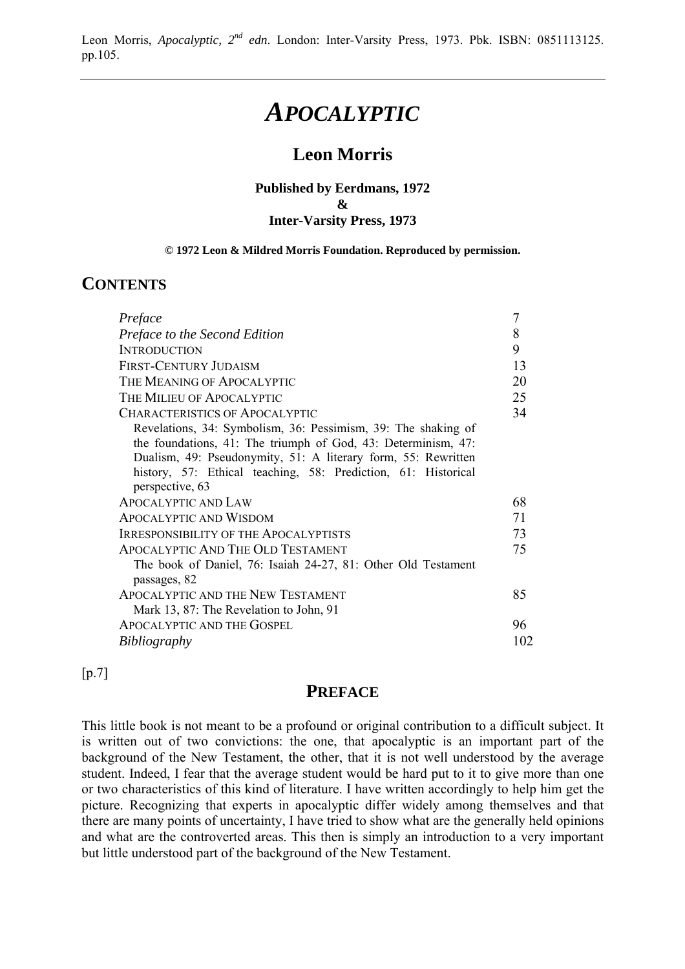# *APOCALYPTIC*

#### **Leon Morris**

**Published by Eerdmans, 1972 & Inter-Varsity Press, 1973**

**© 1972 Leon & Mildred Morris Foundation. Reproduced by permission.** 

#### **CONTENTS**

| Preface                                                       | 7   |
|---------------------------------------------------------------|-----|
| Preface to the Second Edition                                 | 8   |
| <b>INTRODUCTION</b>                                           | 9   |
| <b>FIRST-CENTURY JUDAISM</b>                                  | 13  |
| THE MEANING OF APOCALYPTIC                                    | 20  |
| THE MILIEU OF APOCALYPTIC                                     | 25  |
| <b>CHARACTERISTICS OF APOCALYPTIC</b>                         | 34  |
| Revelations, 34: Symbolism, 36: Pessimism, 39: The shaking of |     |
| the foundations, 41: The triumph of God, 43: Determinism, 47: |     |
| Dualism, 49: Pseudonymity, 51: A literary form, 55: Rewritten |     |
| history, 57: Ethical teaching, 58: Prediction, 61: Historical |     |
| perspective, 63                                               |     |
| <b>APOCALYPTIC AND LAW</b>                                    | 68  |
| <b>APOCALYPTIC AND WISDOM</b>                                 | 71  |
| <b>IRRESPONSIBILITY OF THE APOCALYPTISTS</b>                  | 73  |
| APOCALYPTIC AND THE OLD TESTAMENT                             | 75  |
| The book of Daniel, 76: Isaiah 24-27, 81: Other Old Testament |     |
| passages, 82                                                  |     |
| APOCALYPTIC AND THE NEW TESTAMENT                             | 85  |
| Mark 13, 87: The Revelation to John, 91                       |     |
| <b>APOCALYPTIC AND THE GOSPEL</b>                             | 96  |
| <i>Bibliography</i>                                           | 102 |

 $[p.7]$ 

#### **PREFACE**

This little book is not meant to be a profound or original contribution to a difficult subject. It is written out of two convictions: the one, that apocalyptic is an important part of the background of the New Testament, the other, that it is not well understood by the average student. Indeed, I fear that the average student would be hard put to it to give more than one or two characteristics of this kind of literature. I have written accordingly to help him get the picture. Recognizing that experts in apocalyptic differ widely among themselves and that there are many points of uncertainty, I have tried to show what are the generally held opinions and what are the controverted areas. This then is simply an introduction to a very important but little understood part of the background of the New Testament.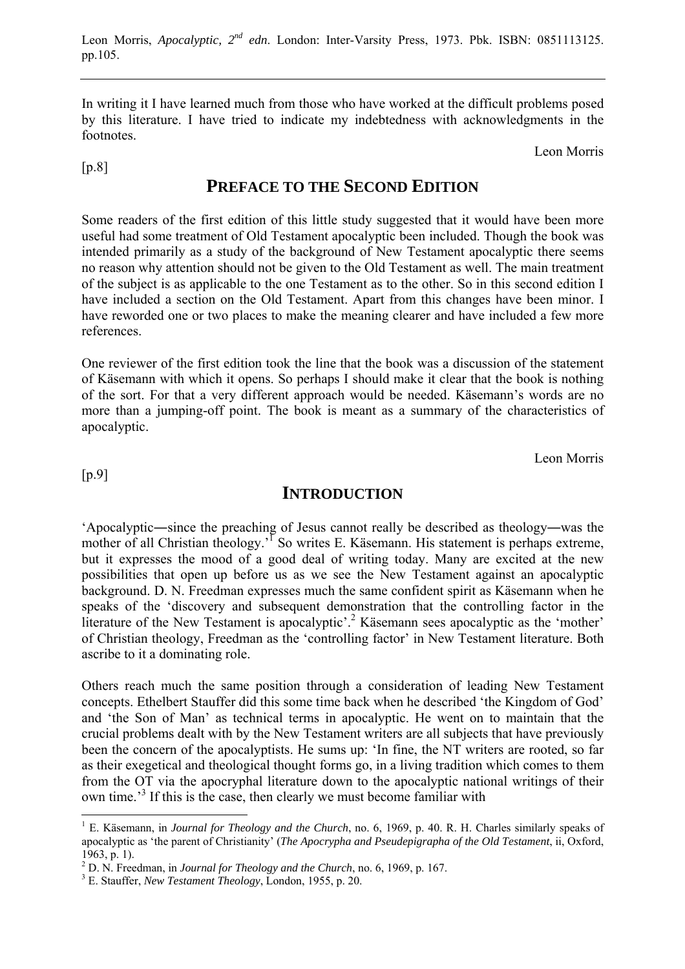In writing it I have learned much from those who have worked at the difficult problems posed by this literature. I have tried to indicate my indebtedness with acknowledgments in the footnotes.

Leon Morris

[p.8]

#### **PREFACE TO THE SECOND EDITION**

Some readers of the first edition of this little study suggested that it would have been more useful had some treatment of Old Testament apocalyptic been included. Though the book was intended primarily as a study of the background of New Testament apocalyptic there seems no reason why attention should not be given to the Old Testament as well. The main treatment of the subject is as applicable to the one Testament as to the other. So in this second edition I have included a section on the Old Testament. Apart from this changes have been minor. I have reworded one or two places to make the meaning clearer and have included a few more references.

One reviewer of the first edition took the line that the book was a discussion of the statement of Käsemann with which it opens. So perhaps I should make it clear that the book is nothing of the sort. For that a very different approach would be needed. Käsemann's words are no more than a jumping-off point. The book is meant as a summary of the characteristics of apocalyptic.

Leon Morris

[p.9]

 $\overline{a}$ 

#### **INTRODUCTION**

'Apocalyptic―since the preaching of Jesus cannot really be described as theology―was the mother of all Christian theology.<sup>1</sup> So writes E. Käsemann. His statement is perhaps extreme, but it expresses the mood of a good deal of writing today. Many are excited at the new possibilities that open up before us as we see the New Testament against an apocalyptic background. D. N. Freedman expresses much the same confident spirit as Käsemann when he speaks of the 'discovery and subsequent demonstration that the controlling factor in the literature of the New Testament is apocalyptic'.<sup>2</sup> Käsemann sees apocalyptic as the 'mother' of Christian theology, Freedman as the 'controlling factor' in New Testament literature. Both ascribe to it a dominating role.

Others reach much the same position through a consideration of leading New Testament concepts. Ethelbert Stauffer did this some time back when he described 'the Kingdom of God' and 'the Son of Man' as technical terms in apocalyptic. He went on to maintain that the crucial problems dealt with by the New Testament writers are all subjects that have previously been the concern of the apocalyptists. He sums up: 'In fine, the NT writers are rooted, so far as their exegetical and theological thought forms go, in a living tradition which comes to them from the OT via the apocryphal literature down to the apocalyptic national writings of their own time.<sup>3</sup> If this is the case, then clearly we must become familiar with

<sup>&</sup>lt;sup>1</sup> E. Käsemann, in *Journal for Theology and the Church*, no. 6, 1969, p. 40. R. H. Charles similarly speaks of apocalyptic as 'the parent of Christianity' (*The Apocrypha and Pseudepigrapha of the Old Testament*, ii, Oxford, 1963, p. 1).

<sup>&</sup>lt;sup>2</sup> D. N. Freedman, in *Journal for Theology and the Church*, no. 6, 1969, p. 167.

E. Stauffer, *New Testament Theology*, London, 1955, p. 20.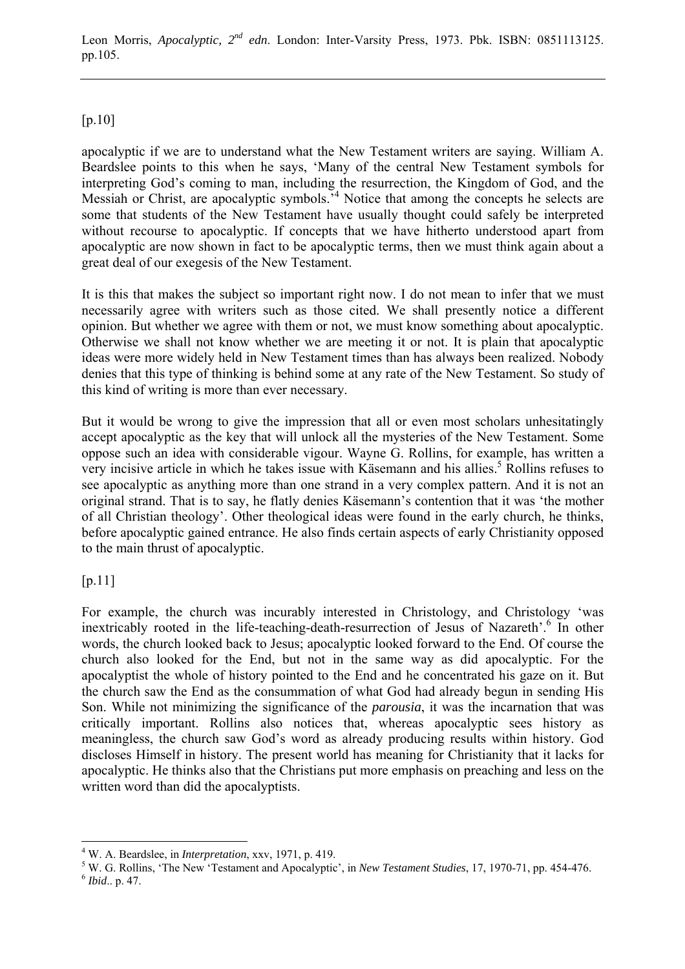#### [p.10]

apocalyptic if we are to understand what the New Testament writers are saying. William A. Beardslee points to this when he says, 'Many of the central New Testament symbols for interpreting God's coming to man, including the resurrection, the Kingdom of God, and the Messiah or Christ, are apocalyptic symbols.<sup>34</sup> Notice that among the concepts he selects are some that students of the New Testament have usually thought could safely be interpreted without recourse to apocalyptic. If concepts that we have hitherto understood apart from apocalyptic are now shown in fact to be apocalyptic terms, then we must think again about a great deal of our exegesis of the New Testament.

It is this that makes the subject so important right now. I do not mean to infer that we must necessarily agree with writers such as those cited. We shall presently notice a different opinion. But whether we agree with them or not, we must know something about apocalyptic. Otherwise we shall not know whether we are meeting it or not. It is plain that apocalyptic ideas were more widely held in New Testament times than has always been realized. Nobody denies that this type of thinking is behind some at any rate of the New Testament. So study of this kind of writing is more than ever necessary.

But it would be wrong to give the impression that all or even most scholars unhesitatingly accept apocalyptic as the key that will unlock all the mysteries of the New Testament. Some oppose such an idea with considerable vigour. Wayne G. Rollins, for example, has written a very incisive article in which he takes issue with Käsemann and his allies.<sup>5</sup> Rollins refuses to see apocalyptic as anything more than one strand in a very complex pattern. And it is not an original strand. That is to say, he flatly denies Käsemann's contention that it was 'the mother of all Christian theology'. Other theological ideas were found in the early church, he thinks, before apocalyptic gained entrance. He also finds certain aspects of early Christianity opposed to the main thrust of apocalyptic.

[p.11]

 $\overline{a}$ 

For example, the church was incurably interested in Christology, and Christology 'was inextricably rooted in the life-teaching-death-resurrection of Jesus of Nazareth'.<sup>6</sup> In other words, the church looked back to Jesus; apocalyptic looked forward to the End. Of course the church also looked for the End, but not in the same way as did apocalyptic. For the apocalyptist the whole of history pointed to the End and he concentrated his gaze on it. But the church saw the End as the consummation of what God had already begun in sending His Son. While not minimizing the significance of the *parousia*, it was the incarnation that was critically important. Rollins also notices that, whereas apocalyptic sees history as meaningless, the church saw God's word as already producing results within history. God discloses Himself in history. The present world has meaning for Christianity that it lacks for apocalyptic. He thinks also that the Christians put more emphasis on preaching and less on the written word than did the apocalyptists.

<sup>&</sup>lt;sup>4</sup> W. A. Beardslee, in *Interpretation*, xxv, 1971, p. 419.

W. G. Rollins, 'The New 'Testament and Apocalyptic', in *New Testament Studies*, 17, 1970-71, pp. 454-476. 6 *Ibid*.. p. 47.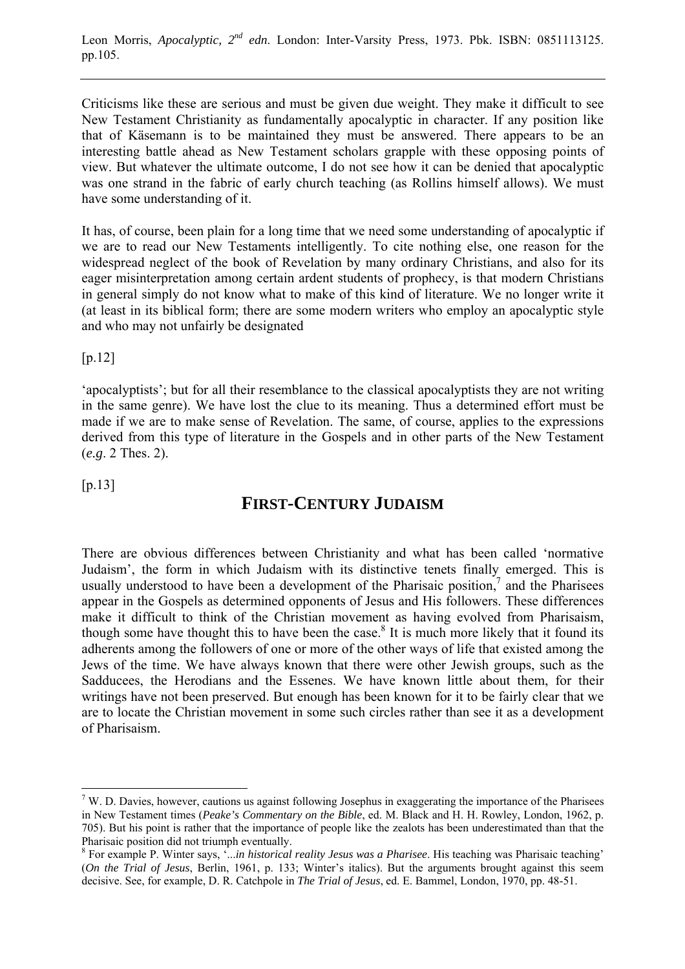Criticisms like these are serious and must be given due weight. They make it difficult to see New Testament Christianity as fundamentally apocalyptic in character. If any position like that of Käsemann is to be maintained they must be answered. There appears to be an interesting battle ahead as New Testament scholars grapple with these opposing points of view. But whatever the ultimate outcome, I do not see how it can be denied that apocalyptic was one strand in the fabric of early church teaching (as Rollins himself allows). We must have some understanding of it.

It has, of course, been plain for a long time that we need some understanding of apocalyptic if we are to read our New Testaments intelligently. To cite nothing else, one reason for the widespread neglect of the book of Revelation by many ordinary Christians, and also for its eager misinterpretation among certain ardent students of prophecy, is that modern Christians in general simply do not know what to make of this kind of literature. We no longer write it (at least in its biblical form; there are some modern writers who employ an apocalyptic style and who may not unfairly be designated

[p.12]

'apocalyptists'; but for all their resemblance to the classical apocalyptists they are not writing in the same genre). We have lost the clue to its meaning. Thus a determined effort must be made if we are to make sense of Revelation. The same, of course, applies to the expressions derived from this type of literature in the Gospels and in other parts of the New Testament (*e.g*. 2 Thes. 2).

[p.13]

 $\overline{a}$ 

### **FIRST-CENTURY JUDAISM**

There are obvious differences between Christianity and what has been called 'normative Judaism', the form in which Judaism with its distinctive tenets finally emerged. This is usually understood to have been a development of the Pharisaic position, $\frac{7}{1}$  and the Pharisees appear in the Gospels as determined opponents of Jesus and His followers. These differences make it difficult to think of the Christian movement as having evolved from Pharisaism, though some have thought this to have been the case.<sup>8</sup> It is much more likely that it found its adherents among the followers of one or more of the other ways of life that existed among the Jews of the time. We have always known that there were other Jewish groups, such as the Sadducees, the Herodians and the Essenes. We have known little about them, for their writings have not been preserved. But enough has been known for it to be fairly clear that we are to locate the Christian movement in some such circles rather than see it as a development of Pharisaism.

<sup>&</sup>lt;sup>7</sup> W. D. Davies, however, cautions us against following Josephus in exaggerating the importance of the Pharisees in New Testament times (*Peake's Commentary on the Bible*, ed. M. Black and H. H. Rowley, London, 1962, p. 705). But his point is rather that the importance of people like the zealots has been underestimated than that the Pharisaic position did not triumph eventually.

<sup>&</sup>lt;sup>8</sup> For example P. Winter says, '...in historical reality Jesus was a Pharisee. His teaching was Pharisaic teaching' (*On the Trial of Jesus*, Berlin, 1961, p. 133; Winter's italics). But the arguments brought against this seem decisive. See, for example, D. R. Catchpole in *The Trial of Jesus*, ed. E. Bammel, London, 1970, pp. 48-51.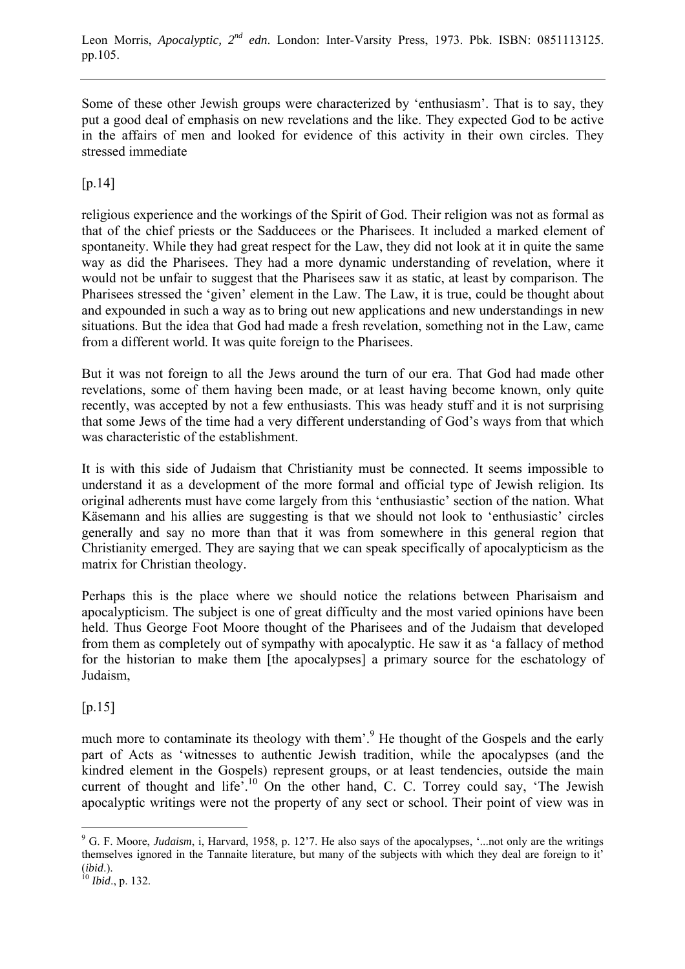Some of these other Jewish groups were characterized by 'enthusiasm'. That is to say, they put a good deal of emphasis on new revelations and the like. They expected God to be active in the affairs of men and looked for evidence of this activity in their own circles. They stressed immediate

[p.14]

religious experience and the workings of the Spirit of God. Their religion was not as formal as that of the chief priests or the Sadducees or the Pharisees. It included a marked element of spontaneity. While they had great respect for the Law, they did not look at it in quite the same way as did the Pharisees. They had a more dynamic understanding of revelation, where it would not be unfair to suggest that the Pharisees saw it as static, at least by comparison. The Pharisees stressed the 'given' element in the Law. The Law, it is true, could be thought about and expounded in such a way as to bring out new applications and new understandings in new situations. But the idea that God had made a fresh revelation, something not in the Law, came from a different world. It was quite foreign to the Pharisees.

But it was not foreign to all the Jews around the turn of our era. That God had made other revelations, some of them having been made, or at least having become known, only quite recently, was accepted by not a few enthusiasts. This was heady stuff and it is not surprising that some Jews of the time had a very different understanding of God's ways from that which was characteristic of the establishment.

It is with this side of Judaism that Christianity must be connected. It seems impossible to understand it as a development of the more formal and official type of Jewish religion. Its original adherents must have come largely from this 'enthusiastic' section of the nation. What Käsemann and his allies are suggesting is that we should not look to 'enthusiastic' circles generally and say no more than that it was from somewhere in this general region that Christianity emerged. They are saying that we can speak specifically of apocalypticism as the matrix for Christian theology.

Perhaps this is the place where we should notice the relations between Pharisaism and apocalypticism. The subject is one of great difficulty and the most varied opinions have been held. Thus George Foot Moore thought of the Pharisees and of the Judaism that developed from them as completely out of sympathy with apocalyptic. He saw it as 'a fallacy of method for the historian to make them [the apocalypses] a primary source for the eschatology of Judaism,

 $[p.15]$ 

much more to contaminate its theology with them'.<sup>9</sup> He thought of the Gospels and the early part of Acts as 'witnesses to authentic Jewish tradition, while the apocalypses (and the kindred element in the Gospels) represent groups, or at least tendencies, outside the main current of thought and life'.<sup>10</sup> On the other hand, C. C. Torrey could say, 'The Jewish apocalyptic writings were not the property of any sect or school. Their point of view was in

 $\overline{a}$ <sup>9</sup> G. F. Moore, *Judaism*, i, Harvard, 1958, p. 12'7. He also says of the apocalypses, '...not only are the writings themselves ignored in the Tannaite literature, but many of the subjects with which they deal are foreign to it' (*ibid*.). 10 *Ibid*., p. 132.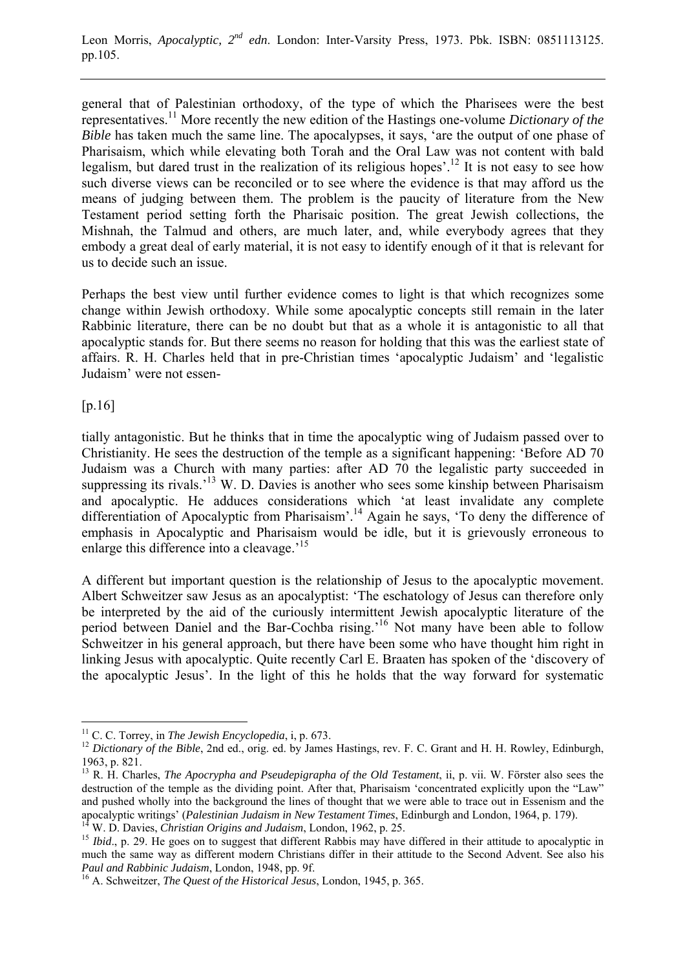general that of Palestinian orthodoxy, of the type of which the Pharisees were the best representatives.11 More recently the new edition of the Hastings one-volume *Dictionary of the Bible* has taken much the same line. The apocalypses, it says, 'are the output of one phase of Pharisaism, which while elevating both Torah and the Oral Law was not content with bald legalism, but dared trust in the realization of its religious hopes'.12 It is not easy to see how such diverse views can be reconciled or to see where the evidence is that may afford us the means of judging between them. The problem is the paucity of literature from the New Testament period setting forth the Pharisaic position. The great Jewish collections, the Mishnah, the Talmud and others, are much later, and, while everybody agrees that they embody a great deal of early material, it is not easy to identify enough of it that is relevant for us to decide such an issue.

Perhaps the best view until further evidence comes to light is that which recognizes some change within Jewish orthodoxy. While some apocalyptic concepts still remain in the later Rabbinic literature, there can be no doubt but that as a whole it is antagonistic to all that apocalyptic stands for. But there seems no reason for holding that this was the earliest state of affairs. R. H. Charles held that in pre-Christian times 'apocalyptic Judaism' and 'legalistic Judaism' were not essen-

[p.16]

 $\overline{a}$ 

tially antagonistic. But he thinks that in time the apocalyptic wing of Judaism passed over to Christianity. He sees the destruction of the temple as a significant happening: 'Before AD 70 Judaism was a Church with many parties: after AD 70 the legalistic party succeeded in suppressing its rivals.<sup>13</sup> W. D. Davies is another who sees some kinship between Pharisaism and apocalyptic. He adduces considerations which 'at least invalidate any complete differentiation of Apocalyptic from Pharisaism'.<sup>14</sup> Again he says, 'To deny the difference of emphasis in Apocalyptic and Pharisaism would be idle, but it is grievously erroneous to enlarge this difference into a cleavage.<sup>'15</sup>

A different but important question is the relationship of Jesus to the apocalyptic movement. Albert Schweitzer saw Jesus as an apocalyptist: 'The eschatology of Jesus can therefore only be interpreted by the aid of the curiously intermittent Jewish apocalyptic literature of the period between Daniel and the Bar-Cochba rising.'16 Not many have been able to follow Schweitzer in his general approach, but there have been some who have thought him right in linking Jesus with apocalyptic. Quite recently Carl E. Braaten has spoken of the 'discovery of the apocalyptic Jesus'. In the light of this he holds that the way forward for systematic

<sup>&</sup>lt;sup>11</sup> C. C. Torrey, in *The Jewish Encyclopedia*, i, p. 673.<br><sup>12</sup> *Dictionary of the Bible*, 2nd ed., orig. ed. by James Hastings, rev. F. C. Grant and H. H. Rowley, Edinburgh, 1963, p. 821.

<sup>&</sup>lt;sup>13</sup> R. H. Charles, *The Apocrypha and Pseudepigrapha of the Old Testament*, ii, p. vii. W. Förster also sees the destruction of the temple as the dividing point. After that, Pharisaism 'concentrated explicitly upon the "Law" and pushed wholly into the background the lines of thought that we were able to trace out in Essenism and the apocalyptic writings' (Palestinian Judaism in New Testament Times, Edinburgh and London, 1964, p. 179).<br><sup>14</sup> W. D. Davies, *Christian Origins and Judaism*, London, 1962, p. 25.<br><sup>15</sup> Ibid., p. 29. He goes on to suggest that

much the same way as different modern Christians differ in their attitude to the Second Advent. See also his *Paul and Rabbinic Judaism*, London, 1948, pp. 9f.

<sup>&</sup>lt;sup>16</sup> A. Schweitzer, *The Quest of the Historical Jesus*, London, 1945, p. 365.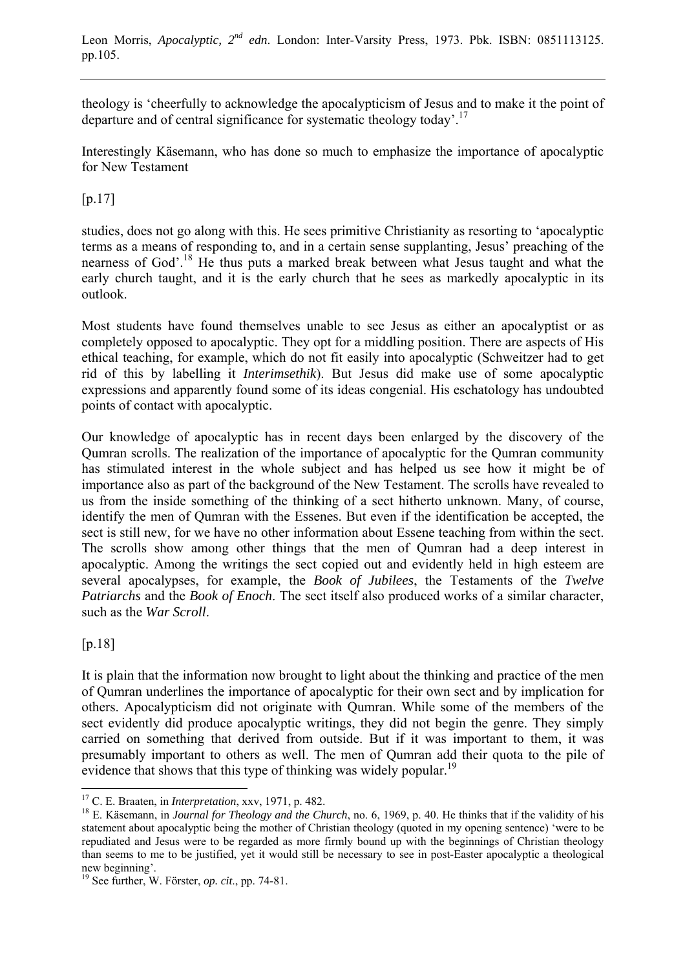theology is 'cheerfully to acknowledge the apocalypticism of Jesus and to make it the point of departure and of central significance for systematic theology today'.17

Interestingly Käsemann, who has done so much to emphasize the importance of apocalyptic for New Testament

 $[p.17]$ 

studies, does not go along with this. He sees primitive Christianity as resorting to 'apocalyptic terms as a means of responding to, and in a certain sense supplanting, Jesus' preaching of the nearness of God'.<sup>18</sup> He thus puts a marked break between what Jesus taught and what the early church taught, and it is the early church that he sees as markedly apocalyptic in its outlook.

Most students have found themselves unable to see Jesus as either an apocalyptist or as completely opposed to apocalyptic. They opt for a middling position. There are aspects of His ethical teaching, for example, which do not fit easily into apocalyptic (Schweitzer had to get rid of this by labelling it *Interimsethik*). But Jesus did make use of some apocalyptic expressions and apparently found some of its ideas congenial. His eschatology has undoubted points of contact with apocalyptic.

Our knowledge of apocalyptic has in recent days been enlarged by the discovery of the Qumran scrolls. The realization of the importance of apocalyptic for the Qumran community has stimulated interest in the whole subject and has helped us see how it might be of importance also as part of the background of the New Testament. The scrolls have revealed to us from the inside something of the thinking of a sect hitherto unknown. Many, of course, identify the men of Qumran with the Essenes. But even if the identification be accepted, the sect is still new, for we have no other information about Essene teaching from within the sect. The scrolls show among other things that the men of Qumran had a deep interest in apocalyptic. Among the writings the sect copied out and evidently held in high esteem are several apocalypses, for example, the *Book of Jubilees*, the Testaments of the *Twelve Patriarchs* and the *Book of Enoch*. The sect itself also produced works of a similar character, such as the *War Scroll*.

[p.18]

It is plain that the information now brought to light about the thinking and practice of the men of Qumran underlines the importance of apocalyptic for their own sect and by implication for others. Apocalypticism did not originate with Qumran. While some of the members of the sect evidently did produce apocalyptic writings, they did not begin the genre. They simply carried on something that derived from outside. But if it was important to them, it was presumably important to others as well. The men of Qumran add their quota to the pile of evidence that shows that this type of thinking was widely popular.<sup>19</sup>

<sup>&</sup>lt;sup>17</sup> C. E. Braaten, in *Interpretation*, xxv, 1971, p. 482.

<sup>&</sup>lt;sup>18</sup> E. Käsemann, in *Journal for Theology and the Church*, no. 6, 1969, p. 40. He thinks that if the validity of his statement about apocalyptic being the mother of Christian theology (quoted in my opening sentence) 'were to be repudiated and Jesus were to be regarded as more firmly bound up with the beginnings of Christian theology than seems to me to be justified, yet it would still be necessary to see in post-Easter apocalyptic a theological new beginning'.

<sup>19</sup> See further, W. Förster, *op. cit*., pp. 74-81.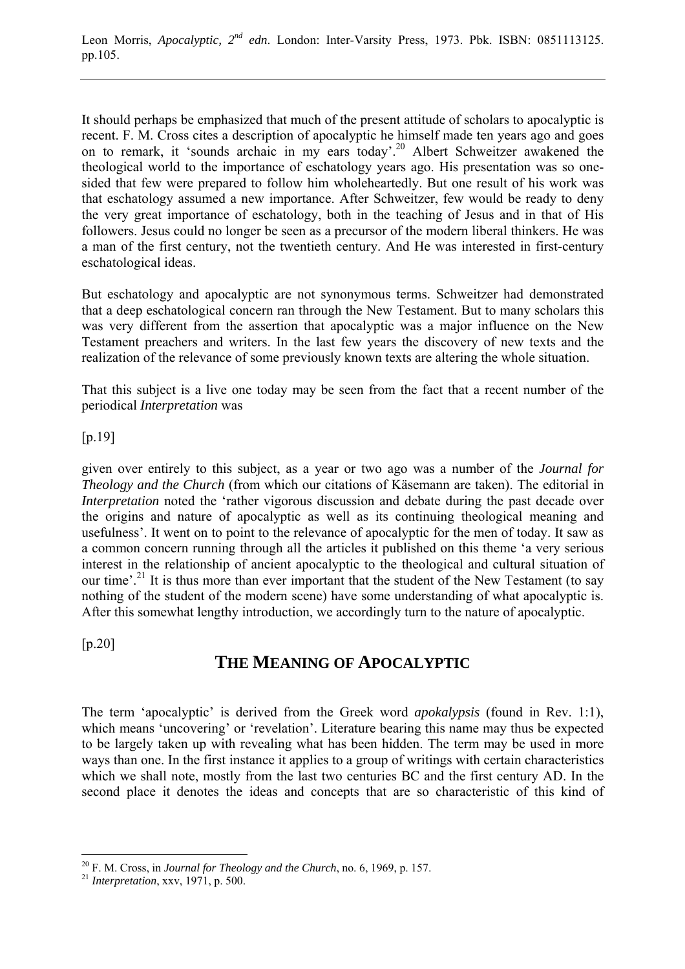It should perhaps be emphasized that much of the present attitude of scholars to apocalyptic is recent. F. M. Cross cites a description of apocalyptic he himself made ten years ago and goes on to remark, it 'sounds archaic in my ears today'.20 Albert Schweitzer awakened the theological world to the importance of eschatology years ago. His presentation was so onesided that few were prepared to follow him wholeheartedly. But one result of his work was that eschatology assumed a new importance. After Schweitzer, few would be ready to deny the very great importance of eschatology, both in the teaching of Jesus and in that of His followers. Jesus could no longer be seen as a precursor of the modern liberal thinkers. He was a man of the first century, not the twentieth century. And He was interested in first-century eschatological ideas.

But eschatology and apocalyptic are not synonymous terms. Schweitzer had demonstrated that a deep eschatological concern ran through the New Testament. But to many scholars this was very different from the assertion that apocalyptic was a major influence on the New Testament preachers and writers. In the last few years the discovery of new texts and the realization of the relevance of some previously known texts are altering the whole situation.

That this subject is a live one today may be seen from the fact that a recent number of the periodical *Interpretation* was

[p.19]

given over entirely to this subject, as a year or two ago was a number of the *Journal for Theology and the Church* (from which our citations of Käsemann are taken). The editorial in *Interpretation* noted the 'rather vigorous discussion and debate during the past decade over the origins and nature of apocalyptic as well as its continuing theological meaning and usefulness'. It went on to point to the relevance of apocalyptic for the men of today. It saw as a common concern running through all the articles it published on this theme 'a very serious interest in the relationship of ancient apocalyptic to the theological and cultural situation of our time'.<sup>21</sup> It is thus more than ever important that the student of the New Testament (to say nothing of the student of the modern scene) have some understanding of what apocalyptic is. After this somewhat lengthy introduction, we accordingly turn to the nature of apocalyptic.

[p.20]

 $\overline{a}$ 

### **THE MEANING OF APOCALYPTIC**

The term 'apocalyptic' is derived from the Greek word *apokalypsis* (found in Rev. 1:1), which means 'uncovering' or 'revelation'. Literature bearing this name may thus be expected to be largely taken up with revealing what has been hidden. The term may be used in more ways than one. In the first instance it applies to a group of writings with certain characteristics which we shall note, mostly from the last two centuries BC and the first century AD. In the second place it denotes the ideas and concepts that are so characteristic of this kind of

<sup>20</sup> F. M. Cross, in *Journal for Theology and the Church*, no. 6, 1969, p. 157. 21 *Interpretation*, xxv, 1971, p. 500.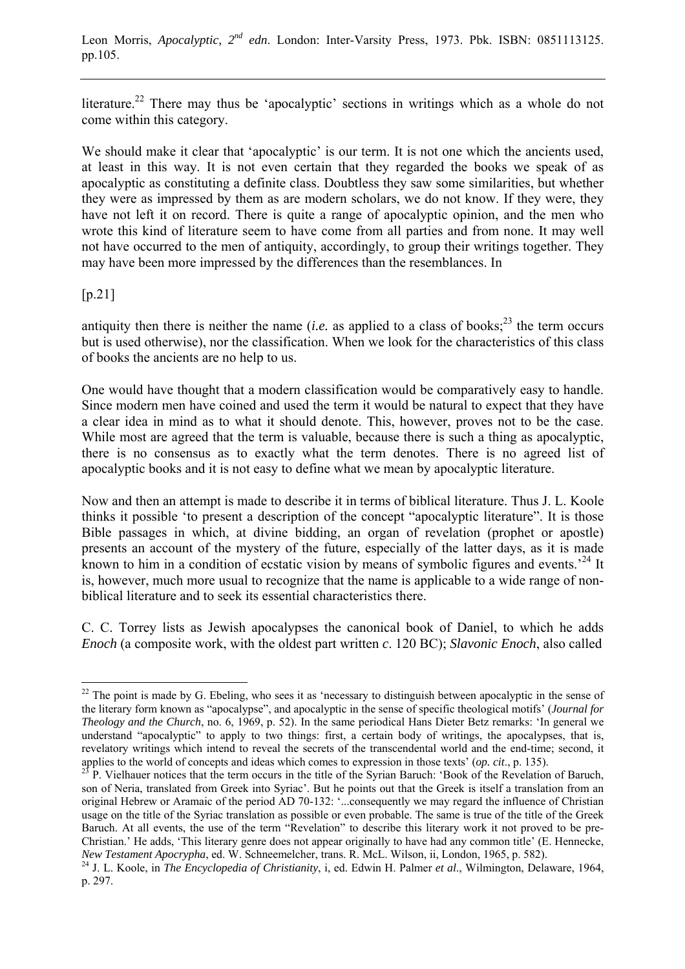literature.<sup>22</sup> There may thus be 'apocalyptic' sections in writings which as a whole do not come within this category.

We should make it clear that 'apocalyptic' is our term. It is not one which the ancients used, at least in this way. It is not even certain that they regarded the books we speak of as apocalyptic as constituting a definite class. Doubtless they saw some similarities, but whether they were as impressed by them as are modern scholars, we do not know. If they were, they have not left it on record. There is quite a range of apocalyptic opinion, and the men who wrote this kind of literature seem to have come from all parties and from none. It may well not have occurred to the men of antiquity, accordingly, to group their writings together. They may have been more impressed by the differences than the resemblances. In

[p.21]

antiquity then there is neither the name *(i.e.* as applied to a class of books;<sup>23</sup> the term occurs but is used otherwise), nor the classification. When we look for the characteristics of this class of books the ancients are no help to us.

One would have thought that a modern classification would be comparatively easy to handle. Since modern men have coined and used the term it would be natural to expect that they have a clear idea in mind as to what it should denote. This, however, proves not to be the case. While most are agreed that the term is valuable, because there is such a thing as apocalyptic, there is no consensus as to exactly what the term denotes. There is no agreed list of apocalyptic books and it is not easy to define what we mean by apocalyptic literature.

Now and then an attempt is made to describe it in terms of biblical literature. Thus J. L. Koole thinks it possible 'to present a description of the concept "apocalyptic literature". It is those Bible passages in which, at divine bidding, an organ of revelation (prophet or apostle) presents an account of the mystery of the future, especially of the latter days, as it is made known to him in a condition of ecstatic vision by means of symbolic figures and events.<sup>24</sup> It is, however, much more usual to recognize that the name is applicable to a wide range of nonbiblical literature and to seek its essential characteristics there.

C. C. Torrey lists as Jewish apocalypses the canonical book of Daniel, to which he adds *Enoch* (a composite work, with the oldest part written *c*. 120 BC); *Slavonic Enoch*, also called

 $\overline{a}$ <sup>22</sup> The point is made by G. Ebeling, who sees it as 'necessary to distinguish between apocalyptic in the sense of the literary form known as "apocalypse", and apocalyptic in the sense of specific theological motifs' (*Journal for Theology and the Church*, no. 6, 1969, p. 52). In the same periodical Hans Dieter Betz remarks: 'In general we understand "apocalyptic" to apply to two things: first, a certain body of writings, the apocalypses, that is, revelatory writings which intend to reveal the secrets of the transcendental world and the end-time; second, it applies to the world of concepts and ideas which comes to expression in those texts' (op. cit., p. 135).<br><sup>23</sup> P. Vielhauer notices that the term occurs in the title of the Syrian Baruch: 'Book of the Revelation of Baruch,

son of Neria, translated from Greek into Syriac'. But he points out that the Greek is itself a translation from an original Hebrew or Aramaic of the period AD 70-132: '...consequently we may regard the influence of Christian usage on the title of the Syriac translation as possible or even probable. The same is true of the title of the Greek Baruch. At all events, the use of the term "Revelation" to describe this literary work it not proved to be pre-Christian.' He adds, 'This literary genre does not appear originally to have had any common title' (E. Hennecke, New Testament Apocrypha, ed. W. Schneemelcher, trans. R. McL. Wilson, ii, London, 1965, p. 582).<br><sup>24</sup> J. L. Koole, in *The Encyclopedia of Christianity*, i, ed. Edwin H. Palmer et al., Wilmington, Delaware, 1964,

p. 297.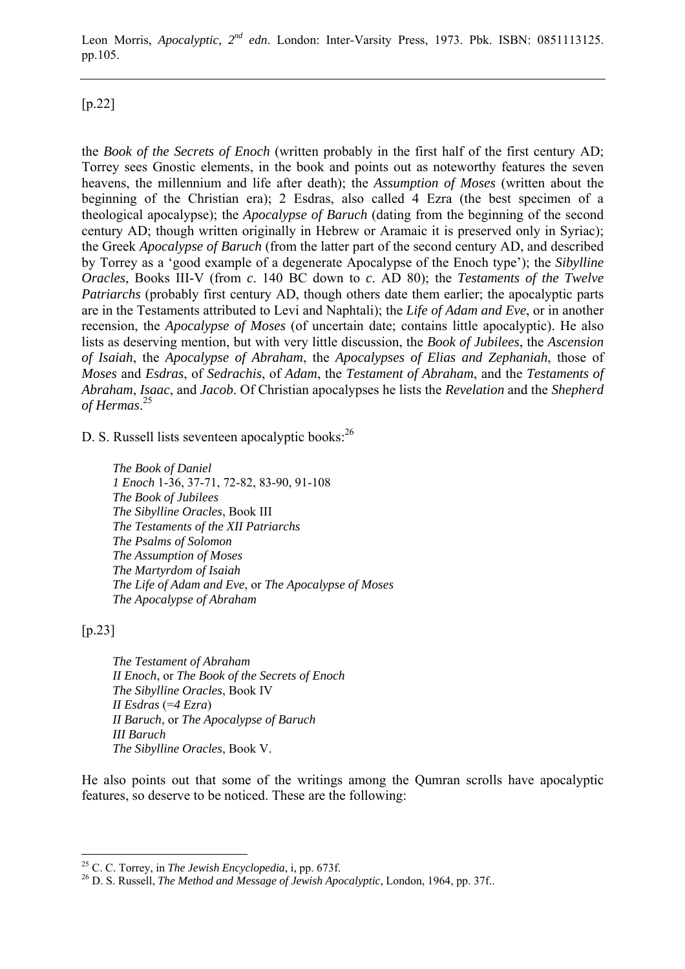#### [p.22]

the *Book of the Secrets of Enoch* (written probably in the first half of the first century AD; Torrey sees Gnostic elements, in the book and points out as noteworthy features the seven heavens, the millennium and life after death); the *Assumption of Moses* (written about the beginning of the Christian era); 2 Esdras, also called 4 Ezra (the best specimen of a theological apocalypse); the *Apocalypse of Baruch* (dating from the beginning of the second century AD; though written originally in Hebrew or Aramaic it is preserved only in Syriac); the Greek *Apocalypse of Baruch* (from the latter part of the second century AD, and described by Torrey as a 'good example of a degenerate Apocalypse of the Enoch type'); the *Sibylline Oracles*, Books III-V (from *c*. 140 BC down to *c*. AD 80); the *Testaments of the Twelve Patriarchs* (probably first century AD, though others date them earlier; the apocalyptic parts are in the Testaments attributed to Levi and Naphtali); the *Life of Adam and Eve*, or in another recension, the *Apocalypse of Moses* (of uncertain date; contains little apocalyptic). He also lists as deserving mention, but with very little discussion, the *Book of Jubilees*, the *Ascension of Isaiah*, the *Apocalypse of Abraham*, the *Apocalypses of Elias and Zephaniah*, those of *Moses* and *Esdras*, of *Sedrachis*, of *Adam*, the *Testament of Abraham*, and the *Testaments of Abraham*, *Isaac*, and *Jacob*. Of Christian apocalypses he lists the *Revelation* and the *Shepherd of Hermas*. 25

D. S. Russell lists seventeen apocalyptic books:<sup>26</sup>

*The Book of Daniel 1 Enoch* 1-36, 37-71, 72-82, 83-90, 91-108 *The Book of Jubilees The Sibylline Oracles*, Book III *The Testaments of the XII Patriarchs The Psalms of Solomon The Assumption of Moses The Martyrdom of Isaiah The Life of Adam and Eve*, or *The Apocalypse of Moses The Apocalypse of Abraham* 

[p.23]

 $\overline{a}$ 

*The Testament of Abraham II Enoch*, or *The Book of the Secrets of Enoch The Sibylline Oracles*, Book IV *II Esdras* (=*4 Ezra*) *II Baruch*, or *The Apocalypse of Baruch III Baruch The Sibylline Oracles*, Book V.

He also points out that some of the writings among the Qumran scrolls have apocalyptic features, so deserve to be noticed. These are the following:

<sup>&</sup>lt;sup>25</sup> C. C. Torrey, in *The Jewish Encyclopedia*, i, pp. 673f.<br><sup>26</sup> D. S. Russell, *The Method and Message of Jewish Apocalyptic*, London, 1964, pp. 37f..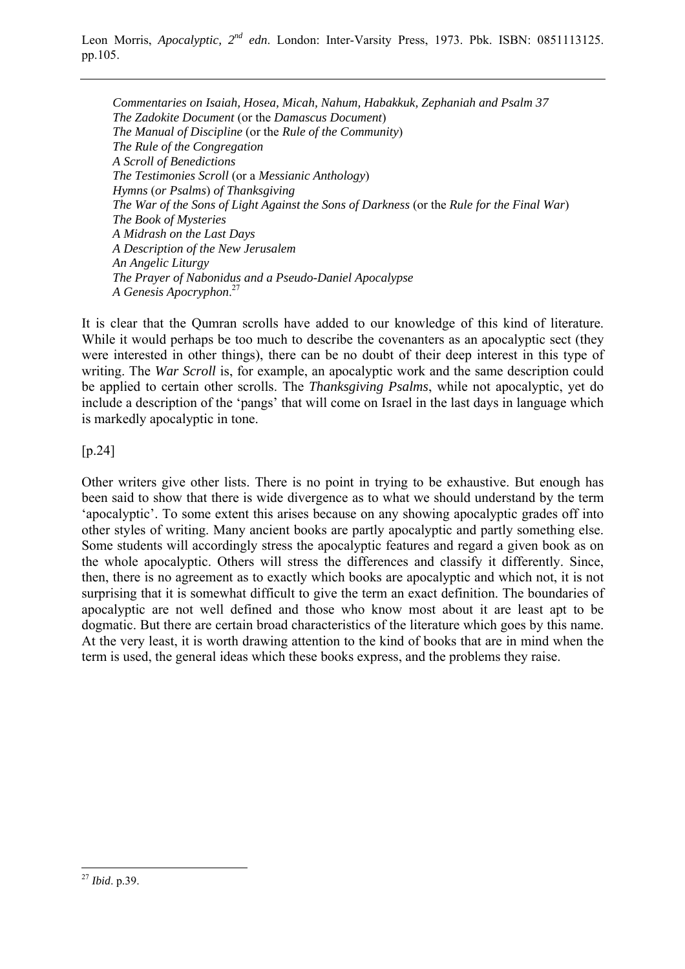*Commentaries on Isaiah, Hosea, Micah, Nahum, Habakkuk, Zephaniah and Psalm 37 The Zadokite Document* (or the *Damascus Document*) *The Manual of Discipline* (or the *Rule of the Community*) *The Rule of the Congregation A Scroll of Benedictions The Testimonies Scroll* (or a *Messianic Anthology*) *Hymns* (*or Psalms*) *of Thanksgiving The War of the Sons of Light Against the Sons of Darkness* (or the *Rule for the Final War*) *The Book of Mysteries A Midrash on the Last Days A Description of the New Jerusalem An Angelic Liturgy The Prayer of Nabonidus and a Pseudo-Daniel Apocalypse A Genesis Apocryphon*. 27

It is clear that the Qumran scrolls have added to our knowledge of this kind of literature. While it would perhaps be too much to describe the covenanters as an apocalyptic sect (they were interested in other things), there can be no doubt of their deep interest in this type of writing. The *War Scroll* is, for example, an apocalyptic work and the same description could be applied to certain other scrolls. The *Thanksgiving Psalms*, while not apocalyptic, yet do include a description of the 'pangs' that will come on Israel in the last days in language which is markedly apocalyptic in tone.

[p.24]

Other writers give other lists. There is no point in trying to be exhaustive. But enough has been said to show that there is wide divergence as to what we should understand by the term 'apocalyptic'. To some extent this arises because on any showing apocalyptic grades off into other styles of writing. Many ancient books are partly apocalyptic and partly something else. Some students will accordingly stress the apocalyptic features and regard a given book as on the whole apocalyptic. Others will stress the differences and classify it differently. Since, then, there is no agreement as to exactly which books are apocalyptic and which not, it is not surprising that it is somewhat difficult to give the term an exact definition. The boundaries of apocalyptic are not well defined and those who know most about it are least apt to be dogmatic. But there are certain broad characteristics of the literature which goes by this name. At the very least, it is worth drawing attention to the kind of books that are in mind when the term is used, the general ideas which these books express, and the problems they raise.

 $\overline{a}$ <sup>27</sup> *Ibid*. p.39.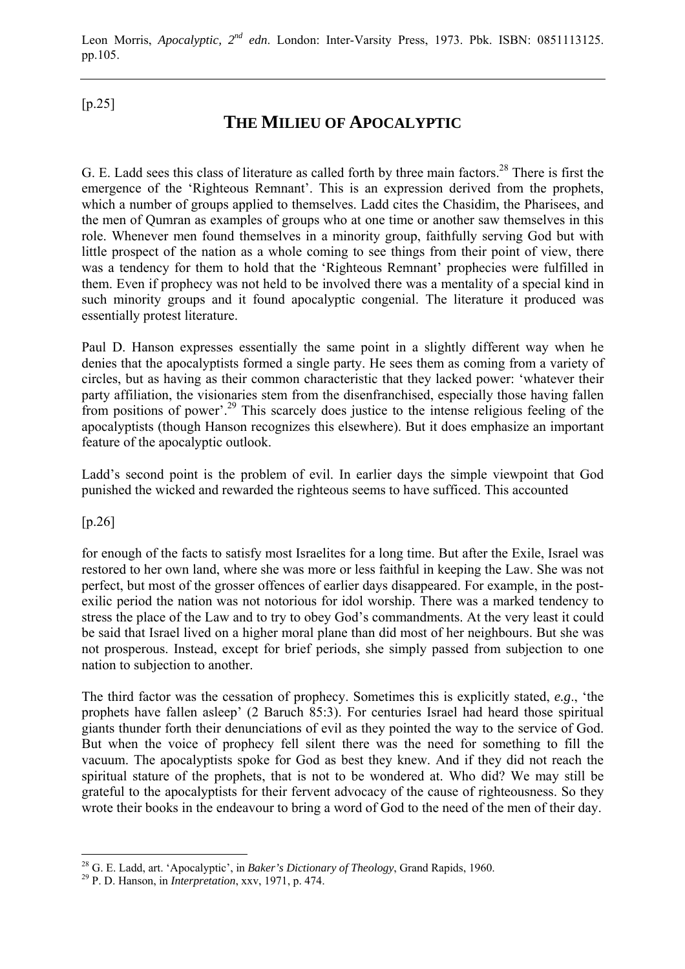$[p.25]$ 

## **THE MILIEU OF APOCALYPTIC**

G. E. Ladd sees this class of literature as called forth by three main factors.<sup>28</sup> There is first the emergence of the 'Righteous Remnant'. This is an expression derived from the prophets, which a number of groups applied to themselves. Ladd cites the Chasidim, the Pharisees, and the men of Qumran as examples of groups who at one time or another saw themselves in this role. Whenever men found themselves in a minority group, faithfully serving God but with little prospect of the nation as a whole coming to see things from their point of view, there was a tendency for them to hold that the 'Righteous Remnant' prophecies were fulfilled in them. Even if prophecy was not held to be involved there was a mentality of a special kind in such minority groups and it found apocalyptic congenial. The literature it produced was essentially protest literature.

Paul D. Hanson expresses essentially the same point in a slightly different way when he denies that the apocalyptists formed a single party. He sees them as coming from a variety of circles, but as having as their common characteristic that they lacked power: 'whatever their party affiliation, the visionaries stem from the disenfranchised, especially those having fallen from positions of power'.<sup>29</sup> This scarcely does justice to the intense religious feeling of the apocalyptists (though Hanson recognizes this elsewhere). But it does emphasize an important feature of the apocalyptic outlook.

Ladd's second point is the problem of evil. In earlier days the simple viewpoint that God punished the wicked and rewarded the righteous seems to have sufficed. This accounted

[p.26]

for enough of the facts to satisfy most Israelites for a long time. But after the Exile, Israel was restored to her own land, where she was more or less faithful in keeping the Law. She was not perfect, but most of the grosser offences of earlier days disappeared. For example, in the postexilic period the nation was not notorious for idol worship. There was a marked tendency to stress the place of the Law and to try to obey God's commandments. At the very least it could be said that Israel lived on a higher moral plane than did most of her neighbours. But she was not prosperous. Instead, except for brief periods, she simply passed from subjection to one nation to subjection to another.

The third factor was the cessation of prophecy. Sometimes this is explicitly stated, *e.g*., 'the prophets have fallen asleep' (2 Baruch 85:3). For centuries Israel had heard those spiritual giants thunder forth their denunciations of evil as they pointed the way to the service of God. But when the voice of prophecy fell silent there was the need for something to fill the vacuum. The apocalyptists spoke for God as best they knew. And if they did not reach the spiritual stature of the prophets, that is not to be wondered at. Who did? We may still be grateful to the apocalyptists for their fervent advocacy of the cause of righteousness. So they wrote their books in the endeavour to bring a word of God to the need of the men of their day.

 $\overline{a}$ 28 G. E. Ladd, art. 'Apocalyptic', in *Baker's Dictionary of Theology*, Grand Rapids, 1960. 29 P. D. Hanson, in *Interpretation*, xxv, 1971, p. 474.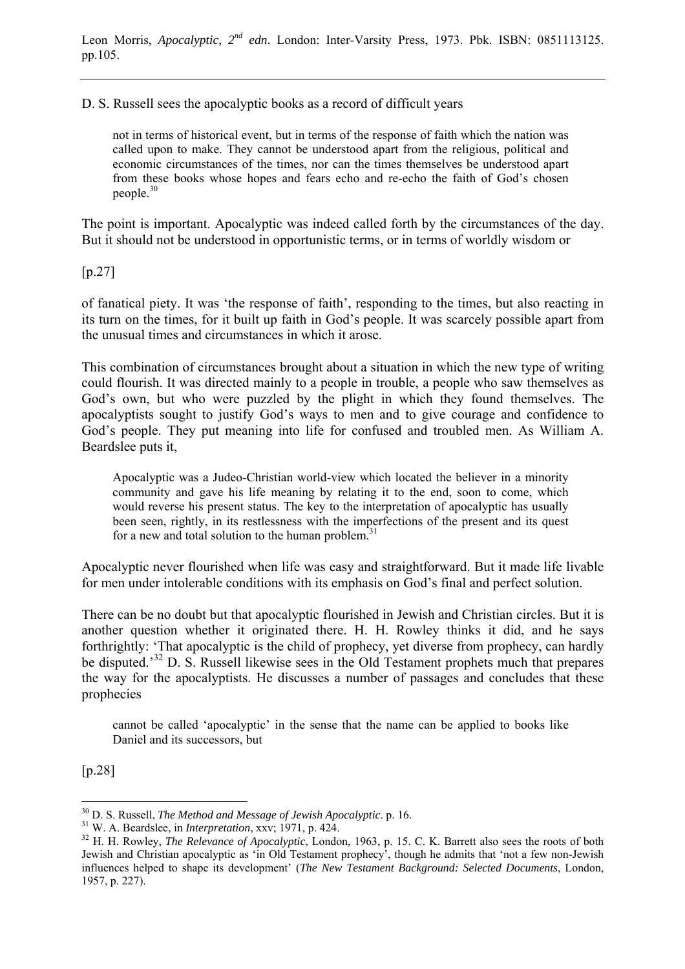D. S. Russell sees the apocalyptic books as a record of difficult years

not in terms of historical event, but in terms of the response of faith which the nation was called upon to make. They cannot be understood apart from the religious, political and economic circumstances of the times, nor can the times themselves be understood apart from these books whose hopes and fears echo and re-echo the faith of God's chosen people.30

The point is important. Apocalyptic was indeed called forth by the circumstances of the day. But it should not be understood in opportunistic terms, or in terms of worldly wisdom or

[p.27]

of fanatical piety. It was 'the response of faith', responding to the times, but also reacting in its turn on the times, for it built up faith in God's people. It was scarcely possible apart from the unusual times and circumstances in which it arose.

This combination of circumstances brought about a situation in which the new type of writing could flourish. It was directed mainly to a people in trouble, a people who saw themselves as God's own, but who were puzzled by the plight in which they found themselves. The apocalyptists sought to justify God's ways to men and to give courage and confidence to God's people. They put meaning into life for confused and troubled men. As William A. Beardslee puts it,

Apocalyptic was a Judeo-Christian world-view which located the believer in a minority community and gave his life meaning by relating it to the end, soon to come, which would reverse his present status. The key to the interpretation of apocalyptic has usually been seen, rightly, in its restlessness with the imperfections of the present and its quest for a new and total solution to the human problem. $31$ 

Apocalyptic never flourished when life was easy and straightforward. But it made life livable for men under intolerable conditions with its emphasis on God's final and perfect solution.

There can be no doubt but that apocalyptic flourished in Jewish and Christian circles. But it is another question whether it originated there. H. H. Rowley thinks it did, and he says forthrightly: 'That apocalyptic is the child of prophecy, yet diverse from prophecy, can hardly be disputed.<sup>32</sup> D. S. Russell likewise sees in the Old Testament prophets much that prepares the way for the apocalyptists. He discusses a number of passages and concludes that these prophecies

cannot be called 'apocalyptic' in the sense that the name can be applied to books like Daniel and its successors, but

[p.28]

<sup>&</sup>lt;sup>30</sup> D. S. Russell, *The Method and Message of Jewish Apocalyptic*. p. 16.<br><sup>31</sup> W. A. Beardslee, in *Interpretation*, xxv; 1971, p. 424.<br><sup>32</sup> H. H. Rowley, *The Relevance of Apocalyptic*, London, 1963, p. 15. C. K. Barret Jewish and Christian apocalyptic as 'in Old Testament prophecy', though he admits that 'not a few non-Jewish influences helped to shape its development' (*The New Testament Background: Selected Documents*, London, 1957, p. 227).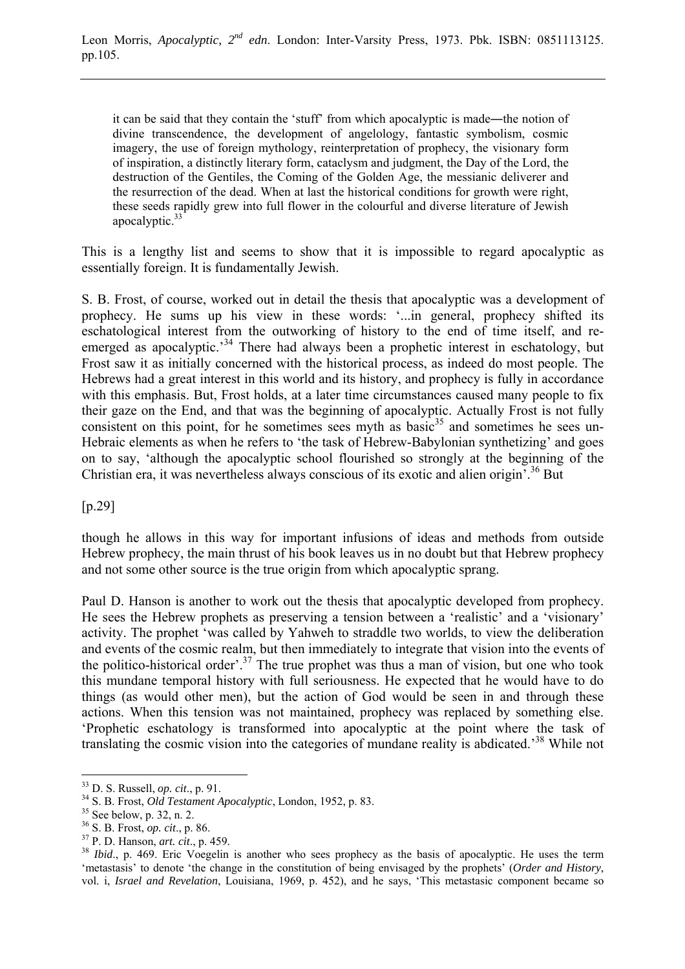it can be said that they contain the 'stuff' from which apocalyptic is made―the notion of divine transcendence, the development of angelology, fantastic symbolism, cosmic imagery, the use of foreign mythology, reinterpretation of prophecy, the visionary form of inspiration, a distinctly literary form, cataclysm and judgment, the Day of the Lord, the destruction of the Gentiles, the Coming of the Golden Age, the messianic deliverer and the resurrection of the dead. When at last the historical conditions for growth were right, these seeds rapidly grew into full flower in the colourful and diverse literature of Jewish apocalyptic.<sup>33</sup>

This is a lengthy list and seems to show that it is impossible to regard apocalyptic as essentially foreign. It is fundamentally Jewish.

S. B. Frost, of course, worked out in detail the thesis that apocalyptic was a development of prophecy. He sums up his view in these words: '...in general, prophecy shifted its eschatological interest from the outworking of history to the end of time itself, and reemerged as apocalyptic.<sup>34</sup> There had always been a prophetic interest in eschatology, but Frost saw it as initially concerned with the historical process, as indeed do most people. The Hebrews had a great interest in this world and its history, and prophecy is fully in accordance with this emphasis. But, Frost holds, at a later time circumstances caused many people to fix their gaze on the End, and that was the beginning of apocalyptic. Actually Frost is not fully consistent on this point, for he sometimes sees myth as basic<sup>35</sup> and sometimes he sees un-Hebraic elements as when he refers to 'the task of Hebrew-Babylonian synthetizing' and goes on to say, 'although the apocalyptic school flourished so strongly at the beginning of the Christian era, it was nevertheless always conscious of its exotic and alien origin'.36 But

[p.29]

though he allows in this way for important infusions of ideas and methods from outside Hebrew prophecy, the main thrust of his book leaves us in no doubt but that Hebrew prophecy and not some other source is the true origin from which apocalyptic sprang.

Paul D. Hanson is another to work out the thesis that apocalyptic developed from prophecy. He sees the Hebrew prophets as preserving a tension between a 'realistic' and a 'visionary' activity. The prophet 'was called by Yahweh to straddle two worlds, to view the deliberation and events of the cosmic realm, but then immediately to integrate that vision into the events of the politico-historical order'.<sup>37</sup> The true prophet was thus a man of vision, but one who took this mundane temporal history with full seriousness. He expected that he would have to do things (as would other men), but the action of God would be seen in and through these actions. When this tension was not maintained, prophecy was replaced by something else. 'Prophetic eschatology is transformed into apocalyptic at the point where the task of translating the cosmic vision into the categories of mundane reality is abdicated.'38 While not

<sup>&</sup>lt;sup>33</sup> D. S. Russell, *op. cit.*, p. 91.<br><sup>34</sup> S. B. Frost, *Old Testament Apocalyptic*, London, 1952, p. 83.<br><sup>35</sup> See below, p. 32, n. 2.<br><sup>36</sup> S. B. Frost, *op. cit.*, p. 86.

<sup>&</sup>lt;sup>37</sup> P. D. Hanson, *art. cit.*, p. 459.<br><sup>38</sup> *Ibid.*, p. 469. Eric Voegelin is another who sees prophecy as the basis of apocalyptic. He uses the term 'metastasis' to denote 'the change in the constitution of being envisaged by the prophets' (*Order and History*, vol. i, *Israel and Revelation*, Louisiana, 1969, p. 452), and he says, 'This metastasic component became so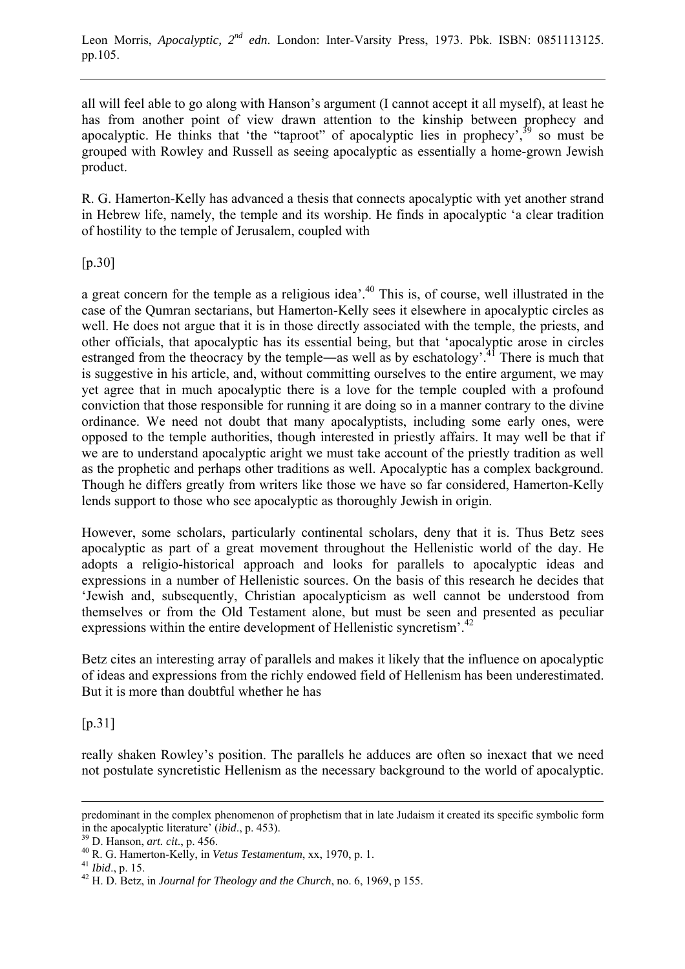all will feel able to go along with Hanson's argument (I cannot accept it all myself), at least he has from another point of view drawn attention to the kinship between prophecy and apocalyptic. He thinks that 'the "taproot" of apocalyptic lies in prophecy',  $39\overline{3}$  so must be grouped with Rowley and Russell as seeing apocalyptic as essentially a home-grown Jewish product.

R. G. Hamerton-Kelly has advanced a thesis that connects apocalyptic with yet another strand in Hebrew life, namely, the temple and its worship. He finds in apocalyptic 'a clear tradition of hostility to the temple of Jerusalem, coupled with

[p.30]

a great concern for the temple as a religious idea'.<sup>40</sup> This is, of course, well illustrated in the case of the Qumran sectarians, but Hamerton-Kelly sees it elsewhere in apocalyptic circles as well. He does not argue that it is in those directly associated with the temple, the priests, and other officials, that apocalyptic has its essential being, but that 'apocalyptic arose in circles estranged from the theocracy by the temple—as well as by eschatology<sup> $^{41}$ </sup>. There is much that is suggestive in his article, and, without committing ourselves to the entire argument, we may yet agree that in much apocalyptic there is a love for the temple coupled with a profound conviction that those responsible for running it are doing so in a manner contrary to the divine ordinance. We need not doubt that many apocalyptists, including some early ones, were opposed to the temple authorities, though interested in priestly affairs. It may well be that if we are to understand apocalyptic aright we must take account of the priestly tradition as well as the prophetic and perhaps other traditions as well. Apocalyptic has a complex background. Though he differs greatly from writers like those we have so far considered, Hamerton-Kelly lends support to those who see apocalyptic as thoroughly Jewish in origin.

However, some scholars, particularly continental scholars, deny that it is. Thus Betz sees apocalyptic as part of a great movement throughout the Hellenistic world of the day. He adopts a religio-historical approach and looks for parallels to apocalyptic ideas and expressions in a number of Hellenistic sources. On the basis of this research he decides that 'Jewish and, subsequently, Christian apocalypticism as well cannot be understood from themselves or from the Old Testament alone, but must be seen and presented as peculiar expressions within the entire development of Hellenistic syncretism'.<sup>42</sup>

Betz cites an interesting array of parallels and makes it likely that the influence on apocalyptic of ideas and expressions from the richly endowed field of Hellenism has been underestimated. But it is more than doubtful whether he has

[p.31]

really shaken Rowley's position. The parallels he adduces are often so inexact that we need not postulate syncretistic Hellenism as the necessary background to the world of apocalyptic.

predominant in the complex phenomenon of prophetism that in late Judaism it created its specific symbolic form in the apocalyptic literature' (*ibid.*, p. 453).<br><sup>39</sup> D. Hanson, *art. cit.*, p. 456.<br><sup>40</sup> R. G. Hamerton-Kelly, in *Vetus Testamentum*, xx, 1970, p. 1.<br><sup>41</sup> Ibid., p. 15.<br><sup>42</sup> H. D. Betz, in *Journal for Theology and th*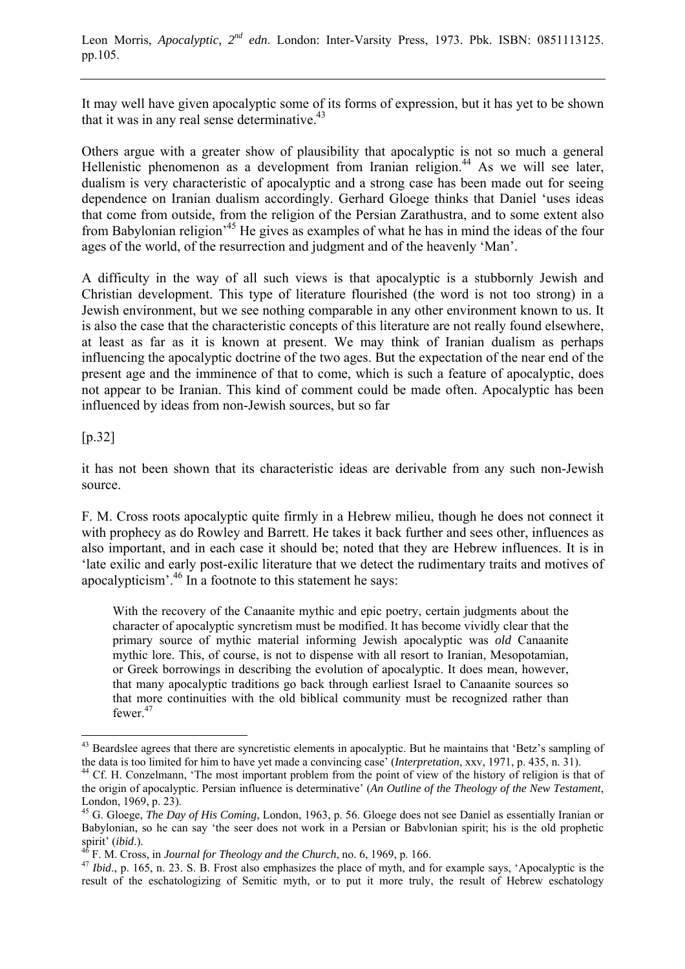It may well have given apocalyptic some of its forms of expression, but it has yet to be shown that it was in any real sense determinative. $43$ 

Others argue with a greater show of plausibility that apocalyptic is not so much a general Hellenistic phenomenon as a development from Iranian religion.<sup>44</sup> As we will see later, dualism is very characteristic of apocalyptic and a strong case has been made out for seeing dependence on Iranian dualism accordingly. Gerhard Gloege thinks that Daniel 'uses ideas that come from outside, from the religion of the Persian Zarathustra, and to some extent also from Babylonian religion'45 He gives as examples of what he has in mind the ideas of the four ages of the world, of the resurrection and judgment and of the heavenly 'Man'.

A difficulty in the way of all such views is that apocalyptic is a stubbornly Jewish and Christian development. This type of literature flourished (the word is not too strong) in a Jewish environment, but we see nothing comparable in any other environment known to us. It is also the case that the characteristic concepts of this literature are not really found elsewhere, at least as far as it is known at present. We may think of Iranian dualism as perhaps influencing the apocalyptic doctrine of the two ages. But the expectation of the near end of the present age and the imminence of that to come, which is such a feature of apocalyptic, does not appear to be Iranian. This kind of comment could be made often. Apocalyptic has been influenced by ideas from non-Jewish sources, but so far

[p.32]

 $\overline{a}$ 

it has not been shown that its characteristic ideas are derivable from any such non-Jewish source.

F. M. Cross roots apocalyptic quite firmly in a Hebrew milieu, though he does not connect it with prophecy as do Rowley and Barrett. He takes it back further and sees other, influences as also important, and in each case it should be; noted that they are Hebrew influences. It is in 'late exilic and early post-exilic literature that we detect the rudimentary traits and motives of apocalypticism'.46 In a footnote to this statement he says:

With the recovery of the Canaanite mythic and epic poetry, certain judgments about the character of apocalyptic syncretism must be modified. It has become vividly clear that the primary source of mythic material informing Jewish apocalyptic was *old* Canaanite mythic lore. This, of course, is not to dispense with all resort to Iranian, Mesopotamian, or Greek borrowings in describing the evolution of apocalyptic. It does mean, however, that many apocalyptic traditions go back through earliest Israel to Canaanite sources so that more continuities with the old biblical community must be recognized rather than fewer.<sup>47</sup>

<sup>&</sup>lt;sup>43</sup> Beardslee agrees that there are syncretistic elements in apocalyptic. But he maintains that 'Betz's sampling of the data is too limited for him to have yet made a convincing case' (*Interpretation*, xxv, 1971, p. 435

<sup>&</sup>lt;sup>44</sup> Cf. H. Conzelmann, 'The most important problem from the point of view of the history of religion is that of the origin of apocalyptic. Persian influence is determinative' (*An Outline of the Theology of the New Testament*, London, 1969, p. 23).

<sup>&</sup>lt;sup>45</sup> G. Gloege, *The Day of His Coming*, London, 1963, p. 56. Gloege does not see Daniel as essentially Iranian or Babylonian, so he can say 'the seer does not work in a Persian or Babvlonian spirit; his is the old prophetic spirit' (ibid.).<br><sup>46</sup> F. M. Cross, in *Journal for Theology and the Church*, no. 6, 1969, p. 166.<br><sup>47</sup> *Ibid.*, p. 165, n. 23. S. B. Frost also emphasizes the place of myth, and for example says, 'Apocalyptic is the

result of the eschatologizing of Semitic myth, or to put it more truly, the result of Hebrew eschatology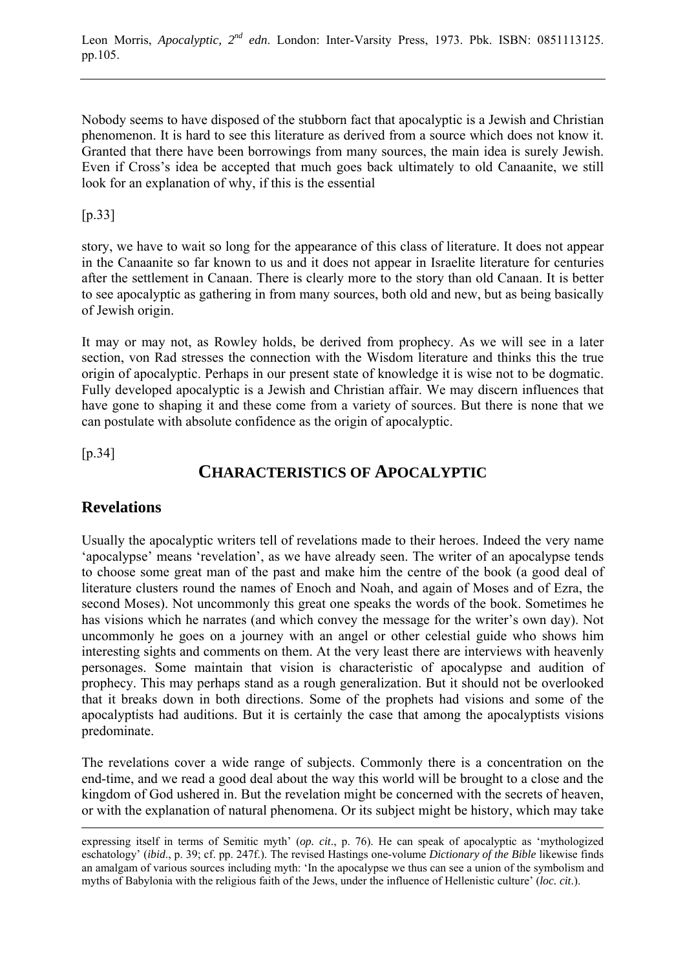Nobody seems to have disposed of the stubborn fact that apocalyptic is a Jewish and Christian phenomenon. It is hard to see this literature as derived from a source which does not know it. Granted that there have been borrowings from many sources, the main idea is surely Jewish. Even if Cross's idea be accepted that much goes back ultimately to old Canaanite, we still look for an explanation of why, if this is the essential

[p.33]

story, we have to wait so long for the appearance of this class of literature. It does not appear in the Canaanite so far known to us and it does not appear in Israelite literature for centuries after the settlement in Canaan. There is clearly more to the story than old Canaan. It is better to see apocalyptic as gathering in from many sources, both old and new, but as being basically of Jewish origin.

It may or may not, as Rowley holds, be derived from prophecy. As we will see in a later section, von Rad stresses the connection with the Wisdom literature and thinks this the true origin of apocalyptic. Perhaps in our present state of knowledge it is wise not to be dogmatic. Fully developed apocalyptic is a Jewish and Christian affair. We may discern influences that have gone to shaping it and these come from a variety of sources. But there is none that we can postulate with absolute confidence as the origin of apocalyptic.

[p.34]

### **CHARACTERISTICS OF APOCALYPTIC**

### **Revelations**

Usually the apocalyptic writers tell of revelations made to their heroes. Indeed the very name 'apocalypse' means 'revelation', as we have already seen. The writer of an apocalypse tends to choose some great man of the past and make him the centre of the book (a good deal of literature clusters round the names of Enoch and Noah, and again of Moses and of Ezra, the second Moses). Not uncommonly this great one speaks the words of the book. Sometimes he has visions which he narrates (and which convey the message for the writer's own day). Not uncommonly he goes on a journey with an angel or other celestial guide who shows him interesting sights and comments on them. At the very least there are interviews with heavenly personages. Some maintain that vision is characteristic of apocalypse and audition of prophecy. This may perhaps stand as a rough generalization. But it should not be overlooked that it breaks down in both directions. Some of the prophets had visions and some of the apocalyptists had auditions. But it is certainly the case that among the apocalyptists visions predominate.

The revelations cover a wide range of subjects. Commonly there is a concentration on the end-time, and we read a good deal about the way this world will be brought to a close and the kingdom of God ushered in. But the revelation might be concerned with the secrets of heaven, or with the explanation of natural phenomena. Or its subject might be history, which may take

expressing itself in terms of Semitic myth' (*op. cit*., p. 76). He can speak of apocalyptic as 'mythologized eschatology' (*ibid*., p. 39; cf. pp. 247f.). The revised Hastings one-volume *Dictionary of the Bible* likewise finds an amalgam of various sources including myth: 'In the apocalypse we thus can see a union of the symbolism and myths of Babylonia with the religious faith of the Jews, under the influence of Hellenistic culture' (*loc. cit*.).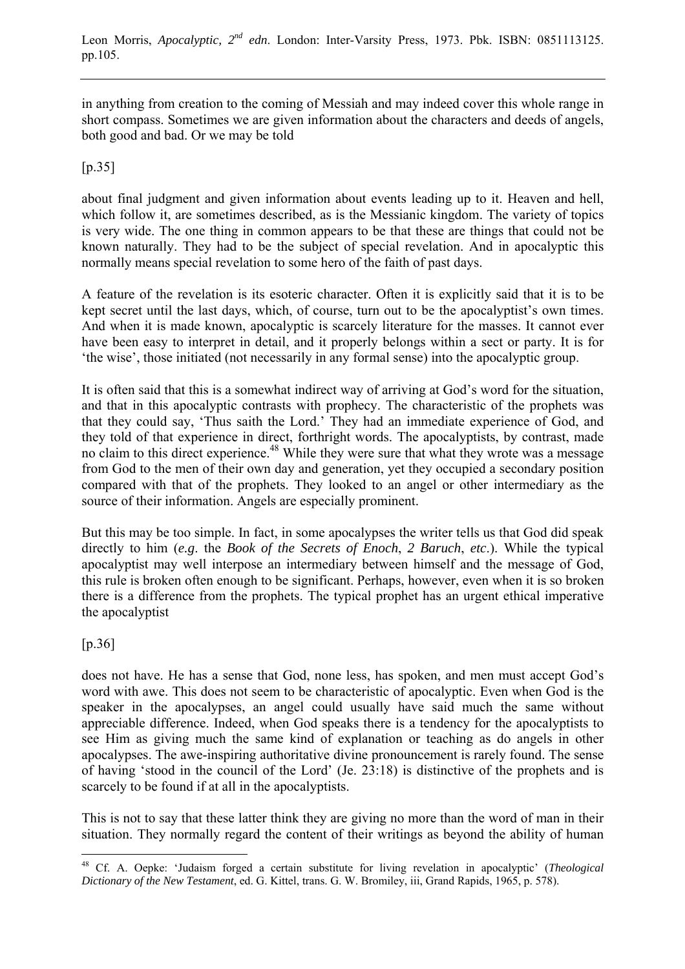in anything from creation to the coming of Messiah and may indeed cover this whole range in short compass. Sometimes we are given information about the characters and deeds of angels, both good and bad. Or we may be told

#### [p.35]

about final judgment and given information about events leading up to it. Heaven and hell, which follow it, are sometimes described, as is the Messianic kingdom. The variety of topics is very wide. The one thing in common appears to be that these are things that could not be known naturally. They had to be the subject of special revelation. And in apocalyptic this normally means special revelation to some hero of the faith of past days.

A feature of the revelation is its esoteric character. Often it is explicitly said that it is to be kept secret until the last days, which, of course, turn out to be the apocalyptist's own times. And when it is made known, apocalyptic is scarcely literature for the masses. It cannot ever have been easy to interpret in detail, and it properly belongs within a sect or party. It is for 'the wise', those initiated (not necessarily in any formal sense) into the apocalyptic group.

It is often said that this is a somewhat indirect way of arriving at God's word for the situation, and that in this apocalyptic contrasts with prophecy. The characteristic of the prophets was that they could say, 'Thus saith the Lord.' They had an immediate experience of God, and they told of that experience in direct, forthright words. The apocalyptists, by contrast, made no claim to this direct experience.<sup>48</sup> While they were sure that what they wrote was a message from God to the men of their own day and generation, yet they occupied a secondary position compared with that of the prophets. They looked to an angel or other intermediary as the source of their information. Angels are especially prominent.

But this may be too simple. In fact, in some apocalypses the writer tells us that God did speak directly to him (*e.g*. the *Book of the Secrets of Enoch*, *2 Baruch*, *etc*.). While the typical apocalyptist may well interpose an intermediary between himself and the message of God, this rule is broken often enough to be significant. Perhaps, however, even when it is so broken there is a difference from the prophets. The typical prophet has an urgent ethical imperative the apocalyptist

[p.36]

 $\overline{a}$ 

does not have. He has a sense that God, none less, has spoken, and men must accept God's word with awe. This does not seem to be characteristic of apocalyptic. Even when God is the speaker in the apocalypses, an angel could usually have said much the same without appreciable difference. Indeed, when God speaks there is a tendency for the apocalyptists to see Him as giving much the same kind of explanation or teaching as do angels in other apocalypses. The awe-inspiring authoritative divine pronouncement is rarely found. The sense of having 'stood in the council of the Lord' (Je. 23:18) is distinctive of the prophets and is scarcely to be found if at all in the apocalyptists.

This is not to say that these latter think they are giving no more than the word of man in their situation. They normally regard the content of their writings as beyond the ability of human

<sup>48</sup> Cf. A. Oepke: 'Judaism forged a certain substitute for living revelation in apocalyptic' (*Theological Dictionary of the New Testament*, ed. G. Kittel, trans. G. W. Bromiley, iii, Grand Rapids, 1965, p. 578).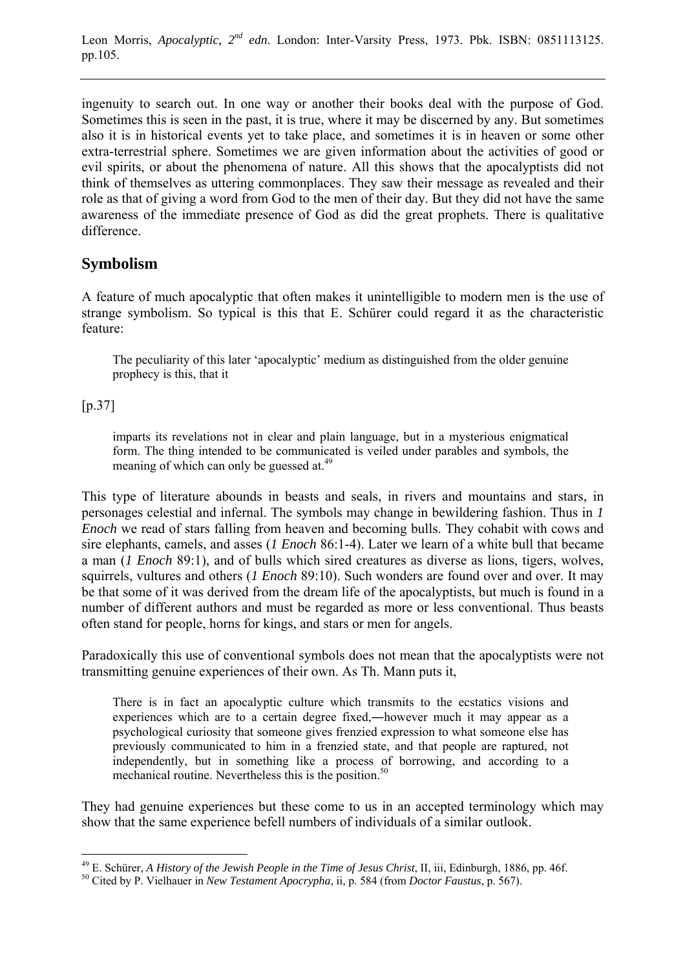ingenuity to search out. In one way or another their books deal with the purpose of God. Sometimes this is seen in the past, it is true, where it may be discerned by any. But sometimes also it is in historical events yet to take place, and sometimes it is in heaven or some other extra-terrestrial sphere. Sometimes we are given information about the activities of good or evil spirits, or about the phenomena of nature. All this shows that the apocalyptists did not think of themselves as uttering commonplaces. They saw their message as revealed and their role as that of giving a word from God to the men of their day. But they did not have the same awareness of the immediate presence of God as did the great prophets. There is qualitative difference.

#### **Symbolism**

A feature of much apocalyptic that often makes it unintelligible to modern men is the use of strange symbolism. So typical is this that E. Schürer could regard it as the characteristic feature:

The peculiarity of this later 'apocalyptic' medium as distinguished from the older genuine prophecy is this, that it

#### [p.37]

 $\overline{a}$ 

imparts its revelations not in clear and plain language, but in a mysterious enigmatical form. The thing intended to be communicated is veiled under parables and symbols, the meaning of which can only be guessed at.<sup>49</sup>

This type of literature abounds in beasts and seals, in rivers and mountains and stars, in personages celestial and infernal. The symbols may change in bewildering fashion. Thus in *1 Enoch* we read of stars falling from heaven and becoming bulls. They cohabit with cows and sire elephants, camels, and asses (*1 Enoch* 86:1-4). Later we learn of a white bull that became a man (*1 Enoch* 89:1), and of bulls which sired creatures as diverse as lions, tigers, wolves, squirrels, vultures and others (*1 Enoch* 89:10). Such wonders are found over and over. It may be that some of it was derived from the dream life of the apocalyptists, but much is found in a number of different authors and must be regarded as more or less conventional. Thus beasts often stand for people, horns for kings, and stars or men for angels.

Paradoxically this use of conventional symbols does not mean that the apocalyptists were not transmitting genuine experiences of their own. As Th. Mann puts it,

There is in fact an apocalyptic culture which transmits to the ecstatics visions and experiences which are to a certain degree fixed,―however much it may appear as a psychological curiosity that someone gives frenzied expression to what someone else has previously communicated to him in a frenzied state, and that people are raptured, not independently, but in something like a process of borrowing, and according to a mechanical routine. Nevertheless this is the position.<sup>50</sup>

They had genuine experiences but these come to us in an accepted terminology which may show that the same experience befell numbers of individuals of a similar outlook.

<sup>&</sup>lt;sup>49</sup> E. Schürer, *A History of the Jewish People in the Time of Jesus Christ*, II, iii, Edinburgh, 1886, pp. 46f. <sup>50</sup> Cited by P. Vielhauer in *New Testament Apocrypha*, ii, p. 584 (from *Doctor Faustus*, p. 567).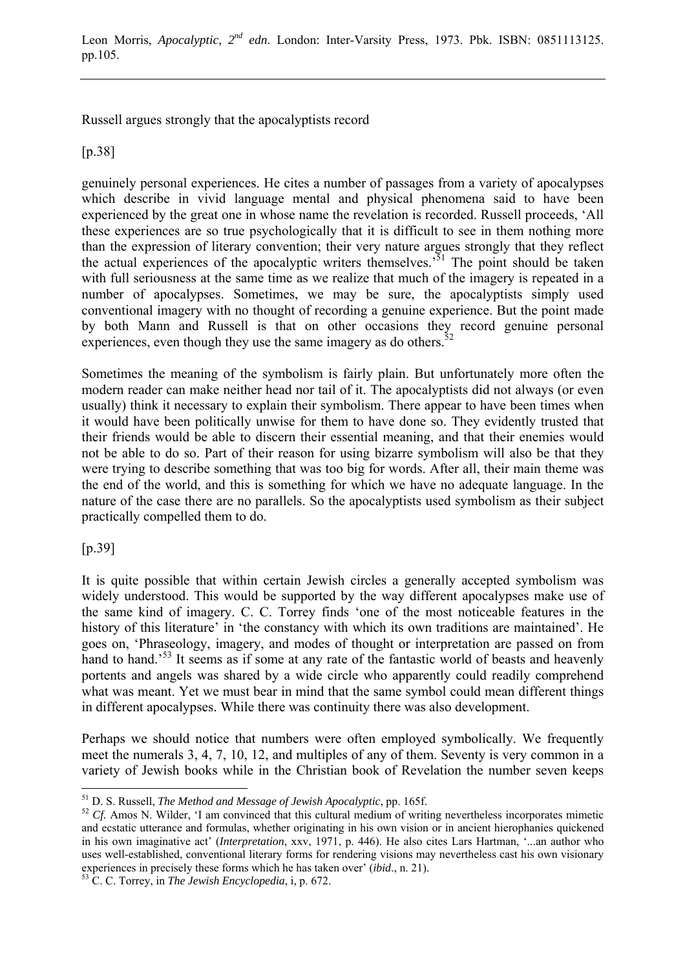Russell argues strongly that the apocalyptists record

[p.38]

genuinely personal experiences. He cites a number of passages from a variety of apocalypses which describe in vivid language mental and physical phenomena said to have been experienced by the great one in whose name the revelation is recorded. Russell proceeds, 'All these experiences are so true psychologically that it is difficult to see in them nothing more than the expression of literary convention; their very nature argues strongly that they reflect the actual experiences of the apocalyptic writers themselves.<sup>51</sup> The point should be taken with full seriousness at the same time as we realize that much of the imagery is repeated in a number of apocalypses. Sometimes, we may be sure, the apocalyptists simply used conventional imagery with no thought of recording a genuine experience. But the point made by both Mann and Russell is that on other occasions they record genuine personal experiences, even though they use the same imagery as do others.<sup>52</sup>

Sometimes the meaning of the symbolism is fairly plain. But unfortunately more often the modern reader can make neither head nor tail of it. The apocalyptists did not always (or even usually) think it necessary to explain their symbolism. There appear to have been times when it would have been politically unwise for them to have done so. They evidently trusted that their friends would be able to discern their essential meaning, and that their enemies would not be able to do so. Part of their reason for using bizarre symbolism will also be that they were trying to describe something that was too big for words. After all, their main theme was the end of the world, and this is something for which we have no adequate language. In the nature of the case there are no parallels. So the apocalyptists used symbolism as their subject practically compelled them to do.

[p.39]

It is quite possible that within certain Jewish circles a generally accepted symbolism was widely understood. This would be supported by the way different apocalypses make use of the same kind of imagery. C. C. Torrey finds 'one of the most noticeable features in the history of this literature' in 'the constancy with which its own traditions are maintained'. He goes on, 'Phraseology, imagery, and modes of thought or interpretation are passed on from hand to hand.<sup>53</sup> It seems as if some at any rate of the fantastic world of beasts and heavenly portents and angels was shared by a wide circle who apparently could readily comprehend what was meant. Yet we must bear in mind that the same symbol could mean different things in different apocalypses. While there was continuity there was also development.

Perhaps we should notice that numbers were often employed symbolically. We frequently meet the numerals 3, 4, 7, 10, 12, and multiples of any of them. Seventy is very common in a variety of Jewish books while in the Christian book of Revelation the number seven keeps

<sup>&</sup>lt;sup>51</sup> D. S. Russell. *The Method and Message of Jewish Apocalyptic*, pp. 165f.

<sup>&</sup>lt;sup>52</sup> Cf. Amos N. Wilder, 'I am convinced that this cultural medium of writing nevertheless incorporates mimetic and ecstatic utterance and formulas, whether originating in his own vision or in ancient hierophanies quickened in his own imaginative act' (*Interpretation*, xxv, 1971, p. 446). He also cites Lars Hartman, '...an author who uses well-established, conventional literary forms for rendering visions may nevertheless cast his own visionary experiences in precisely these forms which he has taken over' (*ibid*., n. 21). 53 C. C. Torrey, in *The Jewish Encyclopedia*, i, p. 672.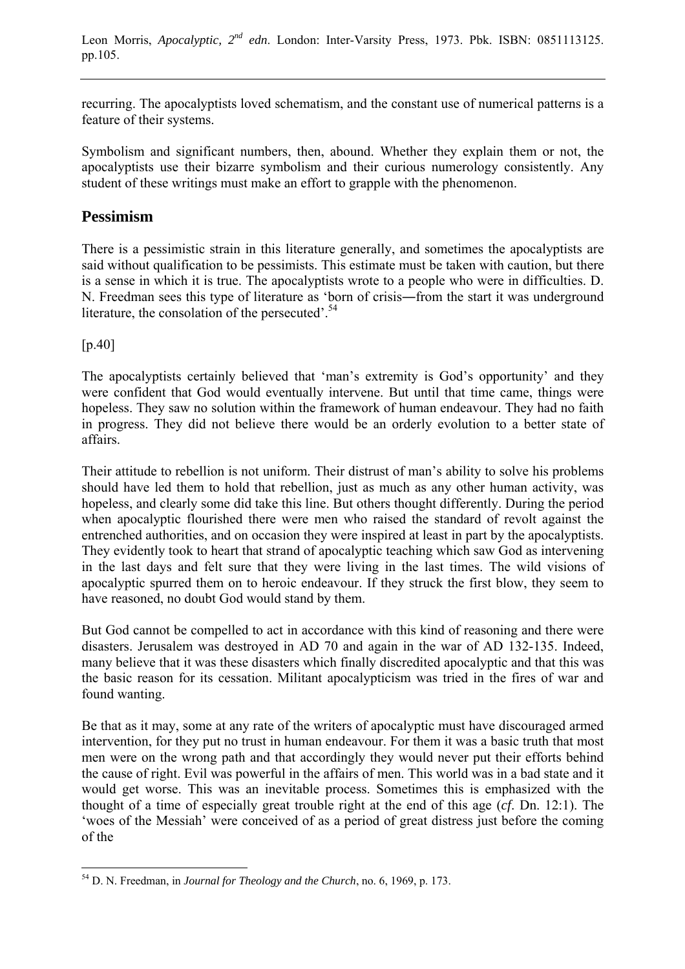recurring. The apocalyptists loved schematism, and the constant use of numerical patterns is a feature of their systems.

Symbolism and significant numbers, then, abound. Whether they explain them or not, the apocalyptists use their bizarre symbolism and their curious numerology consistently. Any student of these writings must make an effort to grapple with the phenomenon.

#### **Pessimism**

There is a pessimistic strain in this literature generally, and sometimes the apocalyptists are said without qualification to be pessimists. This estimate must be taken with caution, but there is a sense in which it is true. The apocalyptists wrote to a people who were in difficulties. D. N. Freedman sees this type of literature as 'born of crisis―from the start it was underground literature, the consolation of the persecuted'.  $54$ 

[p.40]

The apocalyptists certainly believed that 'man's extremity is God's opportunity' and they were confident that God would eventually intervene. But until that time came, things were hopeless. They saw no solution within the framework of human endeavour. They had no faith in progress. They did not believe there would be an orderly evolution to a better state of affairs.

Their attitude to rebellion is not uniform. Their distrust of man's ability to solve his problems should have led them to hold that rebellion, just as much as any other human activity, was hopeless, and clearly some did take this line. But others thought differently. During the period when apocalyptic flourished there were men who raised the standard of revolt against the entrenched authorities, and on occasion they were inspired at least in part by the apocalyptists. They evidently took to heart that strand of apocalyptic teaching which saw God as intervening in the last days and felt sure that they were living in the last times. The wild visions of apocalyptic spurred them on to heroic endeavour. If they struck the first blow, they seem to have reasoned, no doubt God would stand by them.

But God cannot be compelled to act in accordance with this kind of reasoning and there were disasters. Jerusalem was destroyed in AD 70 and again in the war of AD 132-135. Indeed, many believe that it was these disasters which finally discredited apocalyptic and that this was the basic reason for its cessation. Militant apocalypticism was tried in the fires of war and found wanting.

Be that as it may, some at any rate of the writers of apocalyptic must have discouraged armed intervention, for they put no trust in human endeavour. For them it was a basic truth that most men were on the wrong path and that accordingly they would never put their efforts behind the cause of right. Evil was powerful in the affairs of men. This world was in a bad state and it would get worse. This was an inevitable process. Sometimes this is emphasized with the thought of a time of especially great trouble right at the end of this age (*cf*. Dn. 12:1). The 'woes of the Messiah' were conceived of as a period of great distress just before the coming of the

 $\overline{a}$ 54 D. N. Freedman, in *Journal for Theology and the Church*, no. 6, 1969, p. 173.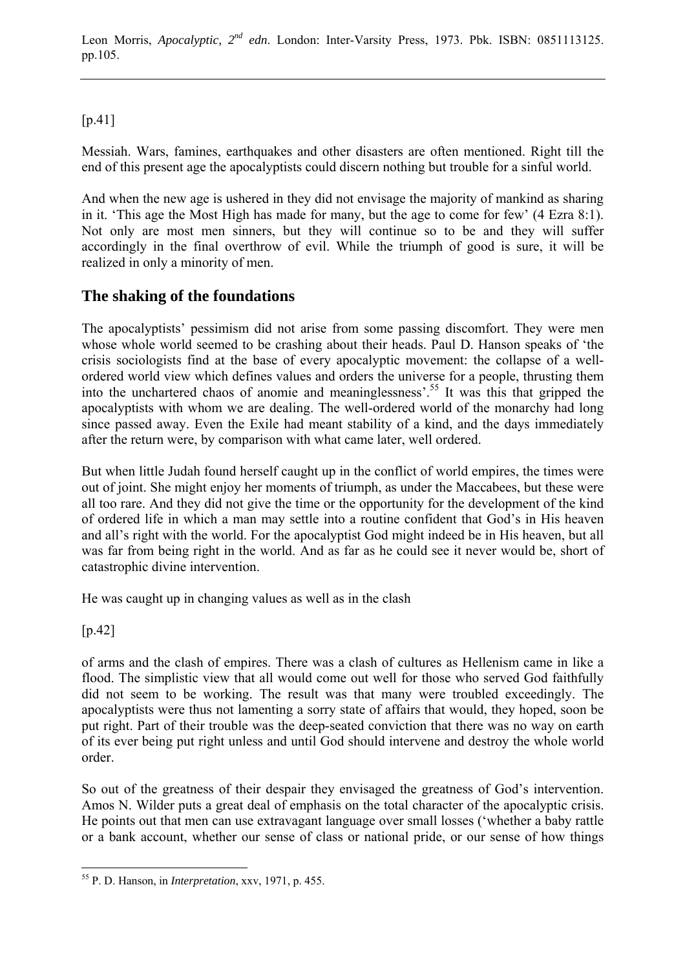[p.41]

Messiah. Wars, famines, earthquakes and other disasters are often mentioned. Right till the end of this present age the apocalyptists could discern nothing but trouble for a sinful world.

And when the new age is ushered in they did not envisage the majority of mankind as sharing in it. 'This age the Most High has made for many, but the age to come for few' (4 Ezra 8:1). Not only are most men sinners, but they will continue so to be and they will suffer accordingly in the final overthrow of evil. While the triumph of good is sure, it will be realized in only a minority of men.

### **The shaking of the foundations**

The apocalyptists' pessimism did not arise from some passing discomfort. They were men whose whole world seemed to be crashing about their heads. Paul D. Hanson speaks of 'the crisis sociologists find at the base of every apocalyptic movement: the collapse of a wellordered world view which defines values and orders the universe for a people, thrusting them into the unchartered chaos of anomie and meaninglessness'.55 It was this that gripped the apocalyptists with whom we are dealing. The well-ordered world of the monarchy had long since passed away. Even the Exile had meant stability of a kind, and the days immediately after the return were, by comparison with what came later, well ordered.

But when little Judah found herself caught up in the conflict of world empires, the times were out of joint. She might enjoy her moments of triumph, as under the Maccabees, but these were all too rare. And they did not give the time or the opportunity for the development of the kind of ordered life in which a man may settle into a routine confident that God's in His heaven and all's right with the world. For the apocalyptist God might indeed be in His heaven, but all was far from being right in the world. And as far as he could see it never would be, short of catastrophic divine intervention.

He was caught up in changing values as well as in the clash

[p.42]

of arms and the clash of empires. There was a clash of cultures as Hellenism came in like a flood. The simplistic view that all would come out well for those who served God faithfully did not seem to be working. The result was that many were troubled exceedingly. The apocalyptists were thus not lamenting a sorry state of affairs that would, they hoped, soon be put right. Part of their trouble was the deep-seated conviction that there was no way on earth of its ever being put right unless and until God should intervene and destroy the whole world order.

So out of the greatness of their despair they envisaged the greatness of God's intervention. Amos N. Wilder puts a great deal of emphasis on the total character of the apocalyptic crisis. He points out that men can use extravagant language over small losses ('whether a baby rattle or a bank account, whether our sense of class or national pride, or our sense of how things

 $\overline{a}$ 55 P. D. Hanson, in *Interpretation*, xxv, 1971, p. 455.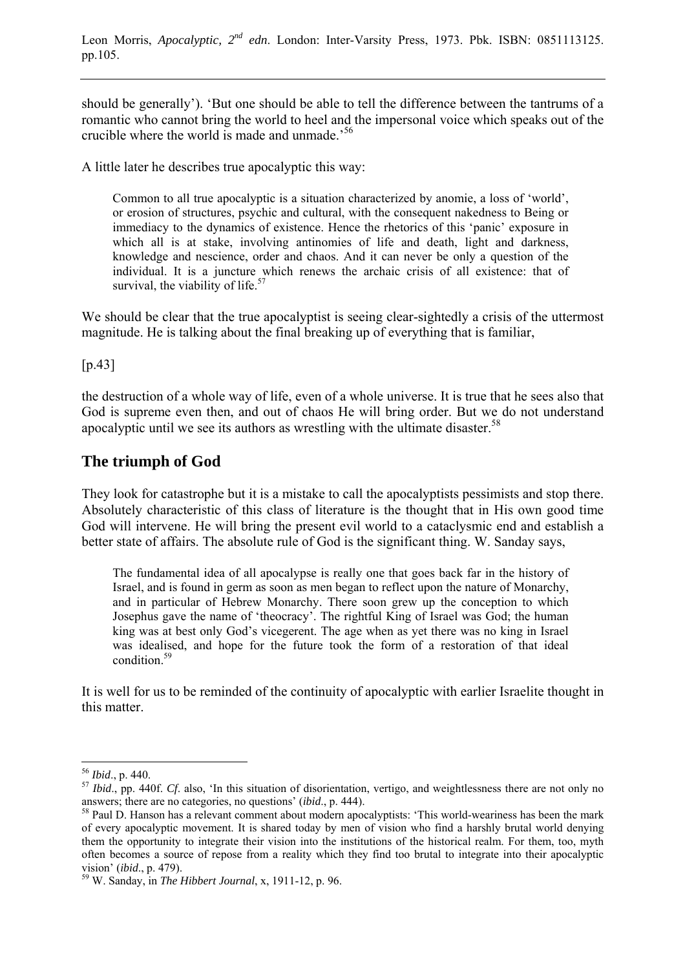should be generally'). 'But one should be able to tell the difference between the tantrums of a romantic who cannot bring the world to heel and the impersonal voice which speaks out of the crucible where the world is made and unmade.'56

A little later he describes true apocalyptic this way:

Common to all true apocalyptic is a situation characterized by anomie, a loss of 'world', or erosion of structures, psychic and cultural, with the consequent nakedness to Being or immediacy to the dynamics of existence. Hence the rhetorics of this 'panic' exposure in which all is at stake, involving antinomies of life and death, light and darkness, knowledge and nescience, order and chaos. And it can never be only a question of the individual. It is a juncture which renews the archaic crisis of all existence: that of survival, the viability of life. $57$ 

We should be clear that the true apocalyptist is seeing clear-sightedly a crisis of the uttermost magnitude. He is talking about the final breaking up of everything that is familiar,

[p.43]

the destruction of a whole way of life, even of a whole universe. It is true that he sees also that God is supreme even then, and out of chaos He will bring order. But we do not understand apocalyptic until we see its authors as wrestling with the ultimate disaster.<sup>58</sup>

#### **The triumph of God**

They look for catastrophe but it is a mistake to call the apocalyptists pessimists and stop there. Absolutely characteristic of this class of literature is the thought that in His own good time God will intervene. He will bring the present evil world to a cataclysmic end and establish a better state of affairs. The absolute rule of God is the significant thing. W. Sanday says,

The fundamental idea of all apocalypse is really one that goes back far in the history of Israel, and is found in germ as soon as men began to reflect upon the nature of Monarchy, and in particular of Hebrew Monarchy. There soon grew up the conception to which Josephus gave the name of 'theocracy'. The rightful King of Israel was God; the human king was at best only God's vicegerent. The age when as yet there was no king in Israel was idealised, and hope for the future took the form of a restoration of that ideal condition<sup>59</sup>

It is well for us to be reminded of the continuity of apocalyptic with earlier Israelite thought in this matter.

<sup>&</sup>lt;sup>56</sup> Ibid., p. 440.

<sup>&</sup>lt;sup>57</sup> *Ibid.*, pp. 440f. *Cf.* also, 'In this situation of disorientation, vertigo, and weightlessness there are not only no answers; there are no categories, no questions' (*ibid.*, p. 444).<br><sup>58</sup> Paul D. Hanson has a relevant comment about modern apocalyptists: 'This world-weariness has been the mark

of every apocalyptic movement. It is shared today by men of vision who find a harshly brutal world denying them the opportunity to integrate their vision into the institutions of the historical realm. For them, too, myth often becomes a source of repose from a reality which they find too brutal to integrate into their apocalyptic vision' (ibid., p. 479).

<sup>&</sup>lt;sup>59</sup> W. Sanday, in *The Hibbert Journal*, x, 1911-12, p. 96.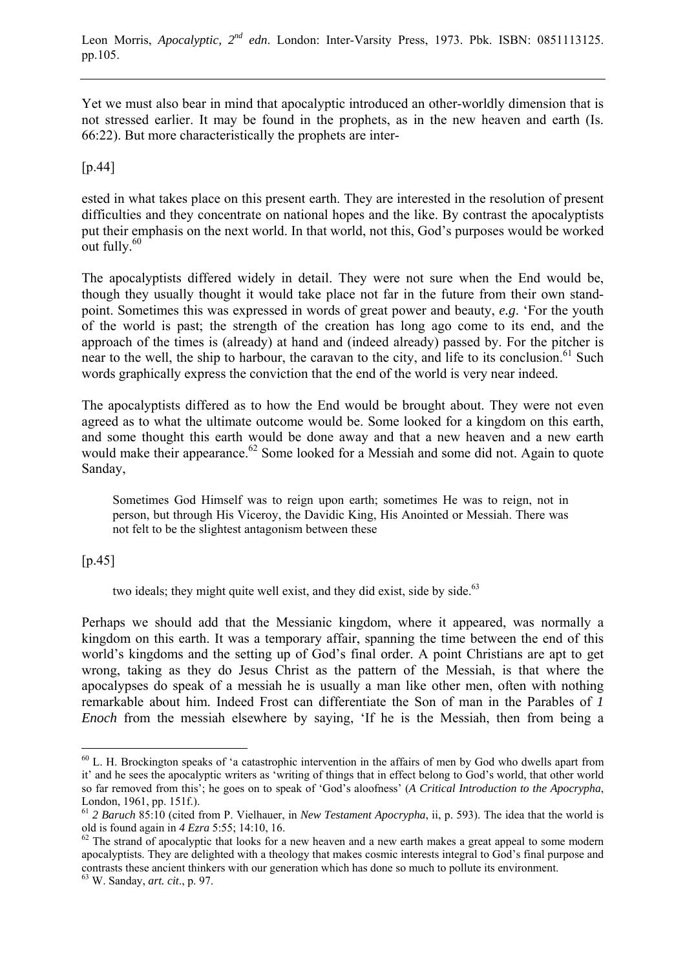Yet we must also bear in mind that apocalyptic introduced an other-worldly dimension that is not stressed earlier. It may be found in the prophets, as in the new heaven and earth (Is. 66:22). But more characteristically the prophets are inter-

#### [p.44]

ested in what takes place on this present earth. They are interested in the resolution of present difficulties and they concentrate on national hopes and the like. By contrast the apocalyptists put their emphasis on the next world. In that world, not this, God's purposes would be worked out fully.<sup>60</sup>

The apocalyptists differed widely in detail. They were not sure when the End would be, though they usually thought it would take place not far in the future from their own standpoint. Sometimes this was expressed in words of great power and beauty, *e.g*. 'For the youth of the world is past; the strength of the creation has long ago come to its end, and the approach of the times is (already) at hand and (indeed already) passed by. For the pitcher is near to the well, the ship to harbour, the caravan to the city, and life to its conclusion.<sup>61</sup> Such words graphically express the conviction that the end of the world is very near indeed.

The apocalyptists differed as to how the End would be brought about. They were not even agreed as to what the ultimate outcome would be. Some looked for a kingdom on this earth, and some thought this earth would be done away and that a new heaven and a new earth would make their appearance.<sup>62</sup> Some looked for a Messiah and some did not. Again to quote Sanday,

Sometimes God Himself was to reign upon earth; sometimes He was to reign, not in person, but through His Viceroy, the Davidic King, His Anointed or Messiah. There was not felt to be the slightest antagonism between these

#### [p.45]

two ideals; they might quite well exist, and they did exist, side by side.<sup>63</sup>

Perhaps we should add that the Messianic kingdom, where it appeared, was normally a kingdom on this earth. It was a temporary affair, spanning the time between the end of this world's kingdoms and the setting up of God's final order. A point Christians are apt to get wrong, taking as they do Jesus Christ as the pattern of the Messiah, is that where the apocalypses do speak of a messiah he is usually a man like other men, often with nothing remarkable about him. Indeed Frost can differentiate the Son of man in the Parables of *1 Enoch* from the messiah elsewhere by saying, 'If he is the Messiah, then from being a

<sup>&</sup>lt;sup>60</sup> L. H. Brockington speaks of 'a catastrophic intervention in the affairs of men by God who dwells apart from it' and he sees the apocalyptic writers as 'writing of things that in effect belong to God's world, that other world so far removed from this'; he goes on to speak of 'God's aloofness' (*A Critical Introduction to the Apocrypha*, London, 1961, pp. 151f.).

<sup>61</sup> *2 Baruch* 85:10 (cited from P. Vielhauer, in *New Testament Apocrypha*, ii, p. 593). The idea that the world is old is found again in 4 Ezra 5:55; 14:10, 16.<br><sup>62</sup> The strand of apocalyptic that looks for a new heaven and a new earth makes a great appeal to some modern

apocalyptists. They are delighted with a theology that makes cosmic interests integral to God's final purpose and contrasts these ancient thinkers with our generation which has done so much to pollute its environment.

<sup>63</sup> W. Sanday, *art. cit*., p. 97.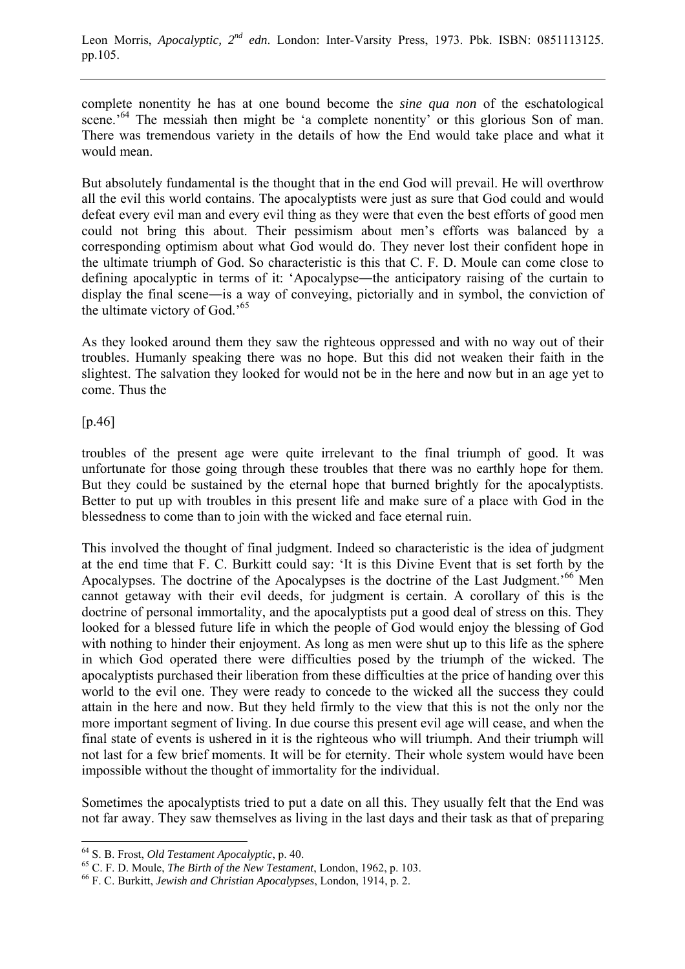complete nonentity he has at one bound become the *sine qua non* of the eschatological scene.<sup>'64</sup> The messiah then might be 'a complete nonentity' or this glorious Son of man. There was tremendous variety in the details of how the End would take place and what it would mean.

But absolutely fundamental is the thought that in the end God will prevail. He will overthrow all the evil this world contains. The apocalyptists were just as sure that God could and would defeat every evil man and every evil thing as they were that even the best efforts of good men could not bring this about. Their pessimism about men's efforts was balanced by a corresponding optimism about what God would do. They never lost their confident hope in the ultimate triumph of God. So characteristic is this that C. F. D. Moule can come close to defining apocalyptic in terms of it: 'Apocalypse―the anticipatory raising of the curtain to display the final scene―is a way of conveying, pictorially and in symbol, the conviction of the ultimate victory of God.'65

As they looked around them they saw the righteous oppressed and with no way out of their troubles. Humanly speaking there was no hope. But this did not weaken their faith in the slightest. The salvation they looked for would not be in the here and now but in an age yet to come. Thus the

[p.46]

 $\overline{a}$ 

troubles of the present age were quite irrelevant to the final triumph of good. It was unfortunate for those going through these troubles that there was no earthly hope for them. But they could be sustained by the eternal hope that burned brightly for the apocalyptists. Better to put up with troubles in this present life and make sure of a place with God in the blessedness to come than to join with the wicked and face eternal ruin.

This involved the thought of final judgment. Indeed so characteristic is the idea of judgment at the end time that F. C. Burkitt could say: 'It is this Divine Event that is set forth by the Apocalypses. The doctrine of the Apocalypses is the doctrine of the Last Judgment.<sup>'66</sup> Men cannot getaway with their evil deeds, for judgment is certain. A corollary of this is the doctrine of personal immortality, and the apocalyptists put a good deal of stress on this. They looked for a blessed future life in which the people of God would enjoy the blessing of God with nothing to hinder their enjoyment. As long as men were shut up to this life as the sphere in which God operated there were difficulties posed by the triumph of the wicked. The apocalyptists purchased their liberation from these difficulties at the price of handing over this world to the evil one. They were ready to concede to the wicked all the success they could attain in the here and now. But they held firmly to the view that this is not the only nor the more important segment of living. In due course this present evil age will cease, and when the final state of events is ushered in it is the righteous who will triumph. And their triumph will not last for a few brief moments. It will be for eternity. Their whole system would have been impossible without the thought of immortality for the individual.

Sometimes the apocalyptists tried to put a date on all this. They usually felt that the End was not far away. They saw themselves as living in the last days and their task as that of preparing

<sup>64</sup> S. B. Frost, *Old Testament Apocalyptic*, p. 40. 65 C. F. D. Moule, *The Birth of the New Testament*, London, 1962, p. 103. 66 F. C. Burkitt, *Jewish and Christian Apocalypses*, London, 1914, p. 2.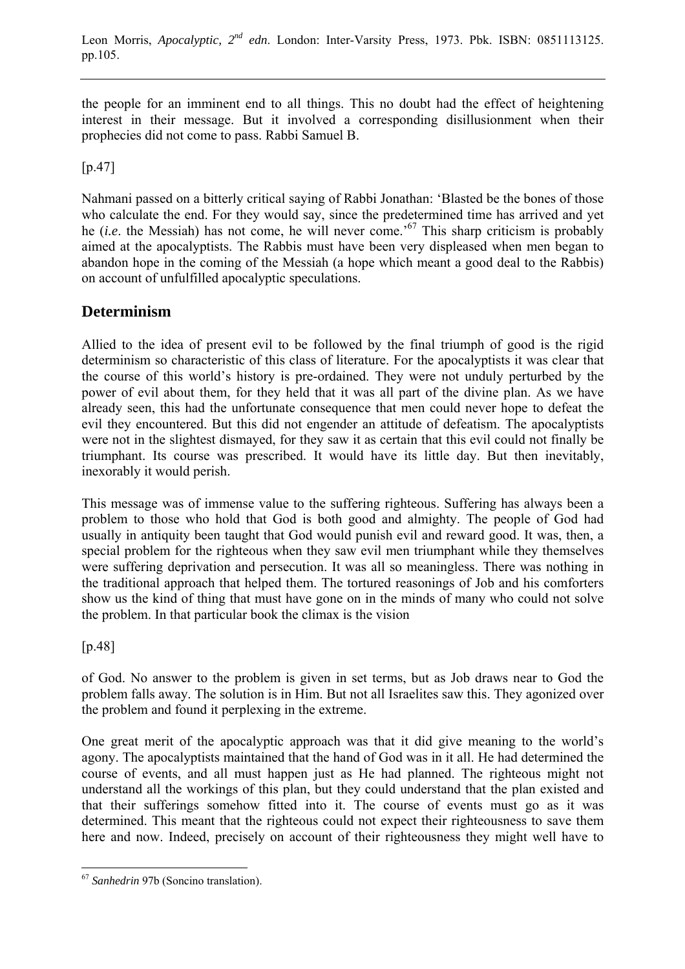the people for an imminent end to all things. This no doubt had the effect of heightening interest in their message. But it involved a corresponding disillusionment when their prophecies did not come to pass. Rabbi Samuel B.

[p.47]

Nahmani passed on a bitterly critical saying of Rabbi Jonathan: 'Blasted be the bones of those who calculate the end. For they would say, since the predetermined time has arrived and yet he (*i.e*. the Messiah) has not come, he will never come.'67 This sharp criticism is probably aimed at the apocalyptists. The Rabbis must have been very displeased when men began to abandon hope in the coming of the Messiah (a hope which meant a good deal to the Rabbis) on account of unfulfilled apocalyptic speculations.

#### **Determinism**

Allied to the idea of present evil to be followed by the final triumph of good is the rigid determinism so characteristic of this class of literature. For the apocalyptists it was clear that the course of this world's history is pre-ordained. They were not unduly perturbed by the power of evil about them, for they held that it was all part of the divine plan. As we have already seen, this had the unfortunate consequence that men could never hope to defeat the evil they encountered. But this did not engender an attitude of defeatism. The apocalyptists were not in the slightest dismayed, for they saw it as certain that this evil could not finally be triumphant. Its course was prescribed. It would have its little day. But then inevitably, inexorably it would perish.

This message was of immense value to the suffering righteous. Suffering has always been a problem to those who hold that God is both good and almighty. The people of God had usually in antiquity been taught that God would punish evil and reward good. It was, then, a special problem for the righteous when they saw evil men triumphant while they themselves were suffering deprivation and persecution. It was all so meaningless. There was nothing in the traditional approach that helped them. The tortured reasonings of Job and his comforters show us the kind of thing that must have gone on in the minds of many who could not solve the problem. In that particular book the climax is the vision

[p.48]

of God. No answer to the problem is given in set terms, but as Job draws near to God the problem falls away. The solution is in Him. But not all Israelites saw this. They agonized over the problem and found it perplexing in the extreme.

One great merit of the apocalyptic approach was that it did give meaning to the world's agony. The apocalyptists maintained that the hand of God was in it all. He had determined the course of events, and all must happen just as He had planned. The righteous might not understand all the workings of this plan, but they could understand that the plan existed and that their sufferings somehow fitted into it. The course of events must go as it was determined. This meant that the righteous could not expect their righteousness to save them here and now. Indeed, precisely on account of their righteousness they might well have to

 $\overline{a}$ <sup>67</sup> *Sanhedrin* 97b (Soncino translation).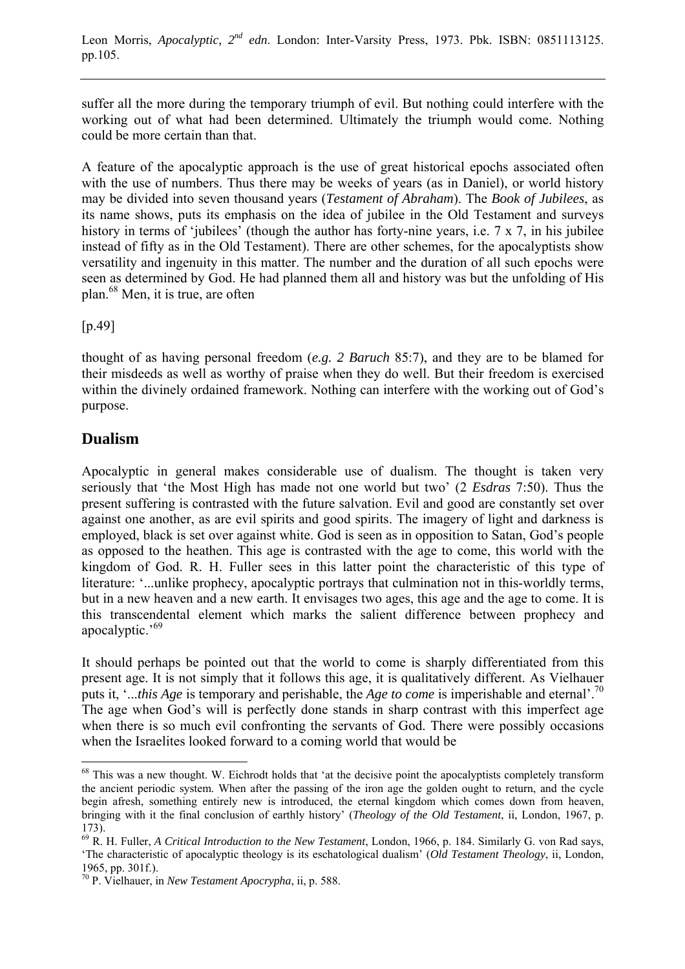suffer all the more during the temporary triumph of evil. But nothing could interfere with the working out of what had been determined. Ultimately the triumph would come. Nothing could be more certain than that.

A feature of the apocalyptic approach is the use of great historical epochs associated often with the use of numbers. Thus there may be weeks of years (as in Daniel), or world history may be divided into seven thousand years (*Testament of Abraham*). The *Book of Jubilees*, as its name shows, puts its emphasis on the idea of jubilee in the Old Testament and surveys history in terms of 'jubilees' (though the author has forty-nine years, i.e. 7 x 7, in his jubilee instead of fifty as in the Old Testament). There are other schemes, for the apocalyptists show versatility and ingenuity in this matter. The number and the duration of all such epochs were seen as determined by God. He had planned them all and history was but the unfolding of His plan.68 Men, it is true, are often

[p.49]

thought of as having personal freedom (*e.g. 2 Baruch* 85:7), and they are to be blamed for their misdeeds as well as worthy of praise when they do well. But their freedom is exercised within the divinely ordained framework. Nothing can interfere with the working out of God's purpose.

#### **Dualism**

 $\overline{a}$ 

Apocalyptic in general makes considerable use of dualism. The thought is taken very seriously that 'the Most High has made not one world but two' (2 *Esdras* 7:50). Thus the present suffering is contrasted with the future salvation. Evil and good are constantly set over against one another, as are evil spirits and good spirits. The imagery of light and darkness is employed, black is set over against white. God is seen as in opposition to Satan, God's people as opposed to the heathen. This age is contrasted with the age to come, this world with the kingdom of God. R. H. Fuller sees in this latter point the characteristic of this type of literature: '...unlike prophecy, apocalyptic portrays that culmination not in this-worldly terms, but in a new heaven and a new earth. It envisages two ages, this age and the age to come. It is this transcendental element which marks the salient difference between prophecy and apocalyptic.'<sup>69</sup>

It should perhaps be pointed out that the world to come is sharply differentiated from this present age. It is not simply that it follows this age, it is qualitatively different. As Vielhauer puts it, '...*this Age* is temporary and perishable, the *Age to come* is imperishable and eternal'.70 The age when God's will is perfectly done stands in sharp contrast with this imperfect age when there is so much evil confronting the servants of God. There were possibly occasions when the Israelites looked forward to a coming world that would be

<sup>&</sup>lt;sup>68</sup> This was a new thought. W. Eichrodt holds that 'at the decisive point the apocalyptists completely transform the ancient periodic system. When after the passing of the iron age the golden ought to return, and the cycle begin afresh, something entirely new is introduced, the eternal kingdom which comes down from heaven, bringing with it the final conclusion of earthly history' (*Theology of the Old Testament*, ii, London, 1967, p. 173).

<sup>69</sup> R. H. Fuller, *A Critical Introduction to the New Testament*, London, 1966, p. 184. Similarly G. von Rad says, 'The characteristic of apocalyptic theology is its eschatological dualism' (*Old Testament Theology*, ii, London, 1965, pp. 301f.).

<sup>70</sup> P. Vielhauer, in *New Testament Apocrypha*, ii, p. 588.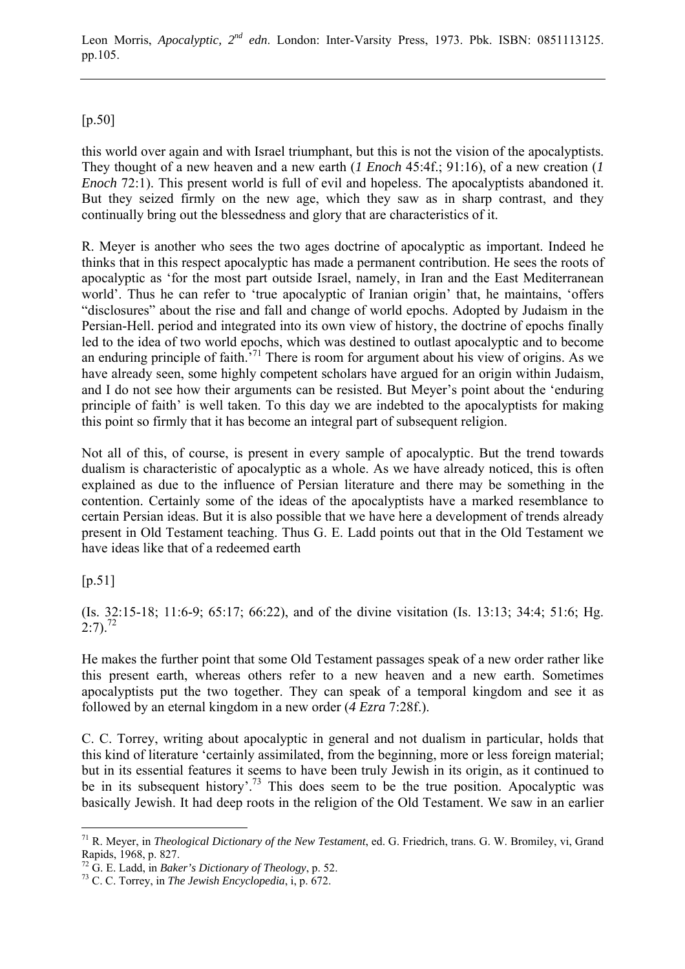#### [p.50]

this world over again and with Israel triumphant, but this is not the vision of the apocalyptists. They thought of a new heaven and a new earth (*1 Enoch* 45:4f.; 91:16), of a new creation (*1 Enoch* 72:1). This present world is full of evil and hopeless. The apocalyptists abandoned it. But they seized firmly on the new age, which they saw as in sharp contrast, and they continually bring out the blessedness and glory that are characteristics of it.

R. Meyer is another who sees the two ages doctrine of apocalyptic as important. Indeed he thinks that in this respect apocalyptic has made a permanent contribution. He sees the roots of apocalyptic as 'for the most part outside Israel, namely, in Iran and the East Mediterranean world'. Thus he can refer to 'true apocalyptic of Iranian origin' that, he maintains, 'offers "disclosures" about the rise and fall and change of world epochs. Adopted by Judaism in the Persian-Hell. period and integrated into its own view of history, the doctrine of epochs finally led to the idea of two world epochs, which was destined to outlast apocalyptic and to become an enduring principle of faith.<sup>71</sup> There is room for argument about his view of origins. As we have already seen, some highly competent scholars have argued for an origin within Judaism. and I do not see how their arguments can be resisted. But Meyer's point about the 'enduring principle of faith' is well taken. To this day we are indebted to the apocalyptists for making this point so firmly that it has become an integral part of subsequent religion.

Not all of this, of course, is present in every sample of apocalyptic. But the trend towards dualism is characteristic of apocalyptic as a whole. As we have already noticed, this is often explained as due to the influence of Persian literature and there may be something in the contention. Certainly some of the ideas of the apocalyptists have a marked resemblance to certain Persian ideas. But it is also possible that we have here a development of trends already present in Old Testament teaching. Thus G. E. Ladd points out that in the Old Testament we have ideas like that of a redeemed earth

 $[p.51]$ 

(Is. 32:15-18; 11:6-9; 65:17; 66:22), and of the divine visitation (Is. 13:13; 34:4; 51:6; Hg.  $2:7$ <sup>72</sup>

He makes the further point that some Old Testament passages speak of a new order rather like this present earth, whereas others refer to a new heaven and a new earth. Sometimes apocalyptists put the two together. They can speak of a temporal kingdom and see it as followed by an eternal kingdom in a new order (*4 Ezra* 7:28f.).

C. C. Torrey, writing about apocalyptic in general and not dualism in particular, holds that this kind of literature 'certainly assimilated, from the beginning, more or less foreign material; but in its essential features it seems to have been truly Jewish in its origin, as it continued to be in its subsequent history<sup>73</sup>. This does seem to be the true position. Apocalyptic was basically Jewish. It had deep roots in the religion of the Old Testament. We saw in an earlier

 $\overline{a}$ 71 R. Meyer, in *Theological Dictionary of the New Testament*, ed. G. Friedrich, trans. G. W. Bromiley, vi, Grand Rapids, 1968, p. 827.<br><sup>72</sup> G. E. Ladd, in *Baker's Dictionary of Theology*, p. 52.

<sup>72</sup> G. E. Ladd, in *Baker's Dictionary of Theology*, p. 52. 73 C. C. Torrey, in *The Jewish Encyclopedia*, i, p. 672.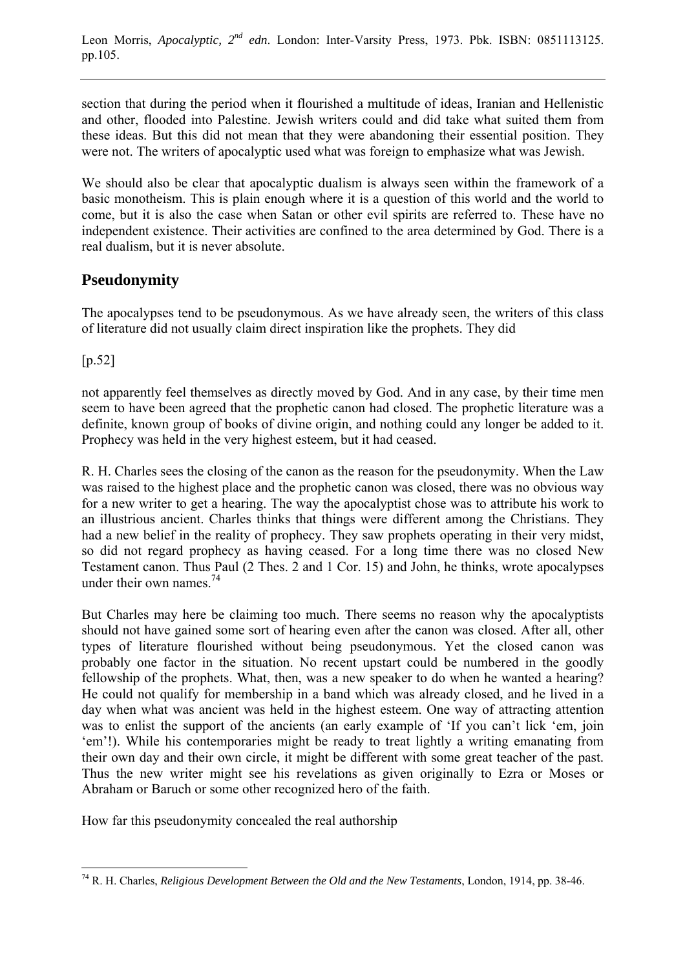section that during the period when it flourished a multitude of ideas, Iranian and Hellenistic and other, flooded into Palestine. Jewish writers could and did take what suited them from these ideas. But this did not mean that they were abandoning their essential position. They were not. The writers of apocalyptic used what was foreign to emphasize what was Jewish.

We should also be clear that apocalyptic dualism is always seen within the framework of a basic monotheism. This is plain enough where it is a question of this world and the world to come, but it is also the case when Satan or other evil spirits are referred to. These have no independent existence. Their activities are confined to the area determined by God. There is a real dualism, but it is never absolute.

### **Pseudonymity**

The apocalypses tend to be pseudonymous. As we have already seen, the writers of this class of literature did not usually claim direct inspiration like the prophets. They did

[p.52]

not apparently feel themselves as directly moved by God. And in any case, by their time men seem to have been agreed that the prophetic canon had closed. The prophetic literature was a definite, known group of books of divine origin, and nothing could any longer be added to it. Prophecy was held in the very highest esteem, but it had ceased.

R. H. Charles sees the closing of the canon as the reason for the pseudonymity. When the Law was raised to the highest place and the prophetic canon was closed, there was no obvious way for a new writer to get a hearing. The way the apocalyptist chose was to attribute his work to an illustrious ancient. Charles thinks that things were different among the Christians. They had a new belief in the reality of prophecy. They saw prophets operating in their very midst, so did not regard prophecy as having ceased. For a long time there was no closed New Testament canon. Thus Paul (2 Thes. 2 and 1 Cor. 15) and John, he thinks, wrote apocalypses under their own names. $^{74}$ 

But Charles may here be claiming too much. There seems no reason why the apocalyptists should not have gained some sort of hearing even after the canon was closed. After all, other types of literature flourished without being pseudonymous. Yet the closed canon was probably one factor in the situation. No recent upstart could be numbered in the goodly fellowship of the prophets. What, then, was a new speaker to do when he wanted a hearing? He could not qualify for membership in a band which was already closed, and he lived in a day when what was ancient was held in the highest esteem. One way of attracting attention was to enlist the support of the ancients (an early example of 'If you can't lick 'em, join 'em'!). While his contemporaries might be ready to treat lightly a writing emanating from their own day and their own circle, it might be different with some great teacher of the past. Thus the new writer might see his revelations as given originally to Ezra or Moses or Abraham or Baruch or some other recognized hero of the faith.

How far this pseudonymity concealed the real authorship

 $\overline{a}$ 74 R. H. Charles, *Religious Development Between the Old and the New Testaments*, London, 1914, pp. 38-46.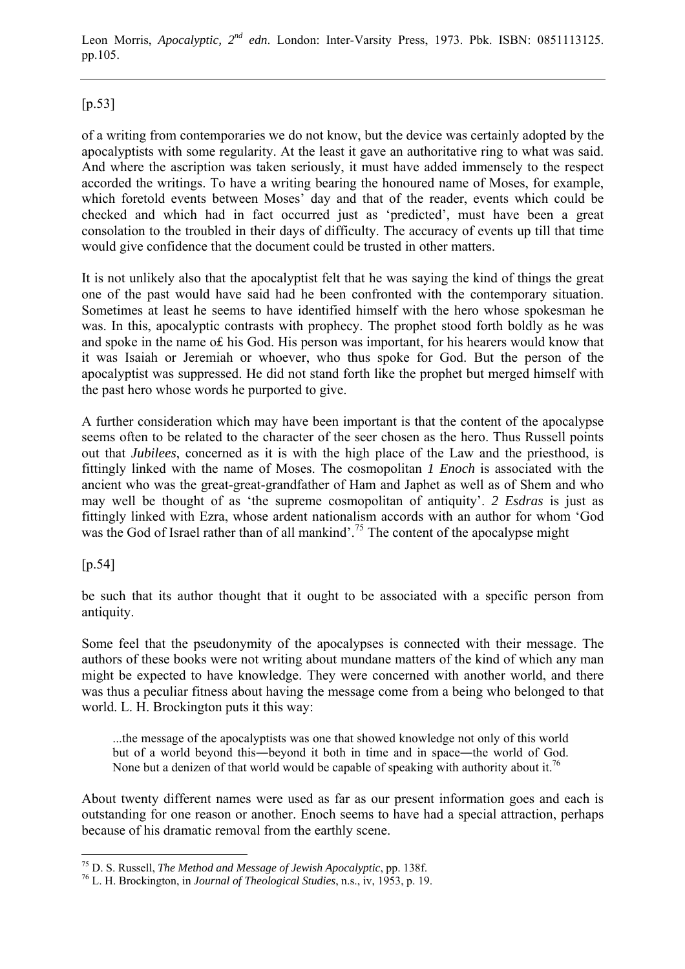#### [p.53]

of a writing from contemporaries we do not know, but the device was certainly adopted by the apocalyptists with some regularity. At the least it gave an authoritative ring to what was said. And where the ascription was taken seriously, it must have added immensely to the respect accorded the writings. To have a writing bearing the honoured name of Moses, for example, which foretold events between Moses' day and that of the reader, events which could be checked and which had in fact occurred just as 'predicted', must have been a great consolation to the troubled in their days of difficulty. The accuracy of events up till that time would give confidence that the document could be trusted in other matters.

It is not unlikely also that the apocalyptist felt that he was saying the kind of things the great one of the past would have said had he been confronted with the contemporary situation. Sometimes at least he seems to have identified himself with the hero whose spokesman he was. In this, apocalyptic contrasts with prophecy. The prophet stood forth boldly as he was and spoke in the name o£ his God. His person was important, for his hearers would know that it was Isaiah or Jeremiah or whoever, who thus spoke for God. But the person of the apocalyptist was suppressed. He did not stand forth like the prophet but merged himself with the past hero whose words he purported to give.

A further consideration which may have been important is that the content of the apocalypse seems often to be related to the character of the seer chosen as the hero. Thus Russell points out that *Jubilees*, concerned as it is with the high place of the Law and the priesthood, is fittingly linked with the name of Moses. The cosmopolitan *1 Enoch* is associated with the ancient who was the great-great-grandfather of Ham and Japhet as well as of Shem and who may well be thought of as 'the supreme cosmopolitan of antiquity'. *2 Esdras* is just as fittingly linked with Ezra, whose ardent nationalism accords with an author for whom 'God was the God of Israel rather than of all mankind'.<sup>75</sup> The content of the apocalypse might

[p.54]

be such that its author thought that it ought to be associated with a specific person from antiquity.

Some feel that the pseudonymity of the apocalypses is connected with their message. The authors of these books were not writing about mundane matters of the kind of which any man might be expected to have knowledge. They were concerned with another world, and there was thus a peculiar fitness about having the message come from a being who belonged to that world. L. H. Brockington puts it this way:

...the message of the apocalyptists was one that showed knowledge not only of this world but of a world beyond this—beyond it both in time and in space—the world of God. None but a denizen of that world would be capable of speaking with authority about it.<sup>76</sup>

About twenty different names were used as far as our present information goes and each is outstanding for one reason or another. Enoch seems to have had a special attraction, perhaps because of his dramatic removal from the earthly scene.

 $\overline{a}$ 

<sup>75</sup> D. S. Russell, *The Method and Message of Jewish Apocalyptic*, pp. 138f. 76 L. H. Brockington, in *Journal of Theological Studies*, n.s., iv, 1953, p. 19.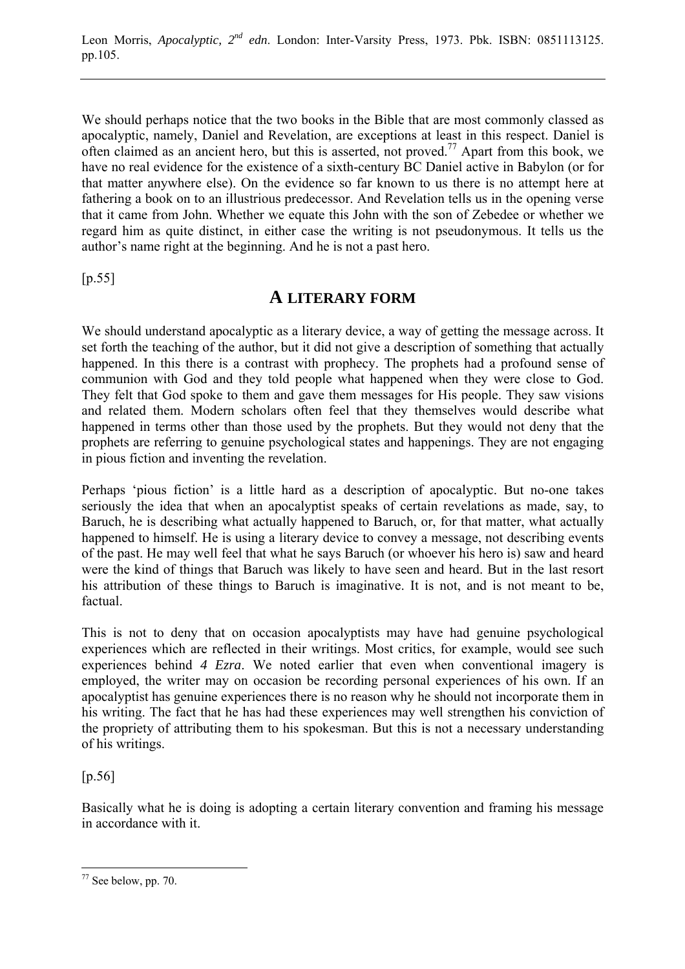We should perhaps notice that the two books in the Bible that are most commonly classed as apocalyptic, namely, Daniel and Revelation, are exceptions at least in this respect. Daniel is often claimed as an ancient hero, but this is asserted, not proved.77 Apart from this book, we have no real evidence for the existence of a sixth-century BC Daniel active in Babylon (or for that matter anywhere else). On the evidence so far known to us there is no attempt here at fathering a book on to an illustrious predecessor. And Revelation tells us in the opening verse that it came from John. Whether we equate this John with the son of Zebedee or whether we regard him as quite distinct, in either case the writing is not pseudonymous. It tells us the author's name right at the beginning. And he is not a past hero.

[p.55]

### **A LITERARY FORM**

We should understand apocalyptic as a literary device, a way of getting the message across. It set forth the teaching of the author, but it did not give a description of something that actually happened. In this there is a contrast with prophecy. The prophets had a profound sense of communion with God and they told people what happened when they were close to God. They felt that God spoke to them and gave them messages for His people. They saw visions and related them. Modern scholars often feel that they themselves would describe what happened in terms other than those used by the prophets. But they would not deny that the prophets are referring to genuine psychological states and happenings. They are not engaging in pious fiction and inventing the revelation.

Perhaps 'pious fiction' is a little hard as a description of apocalyptic. But no-one takes seriously the idea that when an apocalyptist speaks of certain revelations as made, say, to Baruch, he is describing what actually happened to Baruch, or, for that matter, what actually happened to himself. He is using a literary device to convey a message, not describing events of the past. He may well feel that what he says Baruch (or whoever his hero is) saw and heard were the kind of things that Baruch was likely to have seen and heard. But in the last resort his attribution of these things to Baruch is imaginative. It is not, and is not meant to be, factual.

This is not to deny that on occasion apocalyptists may have had genuine psychological experiences which are reflected in their writings. Most critics, for example, would see such experiences behind *4 Ezra*. We noted earlier that even when conventional imagery is employed, the writer may on occasion be recording personal experiences of his own. If an apocalyptist has genuine experiences there is no reason why he should not incorporate them in his writing. The fact that he has had these experiences may well strengthen his conviction of the propriety of attributing them to his spokesman. But this is not a necessary understanding of his writings.

[p.56]

Basically what he is doing is adopting a certain literary convention and framing his message in accordance with it.

 $\overline{a}$  $77$  See below, pp. 70.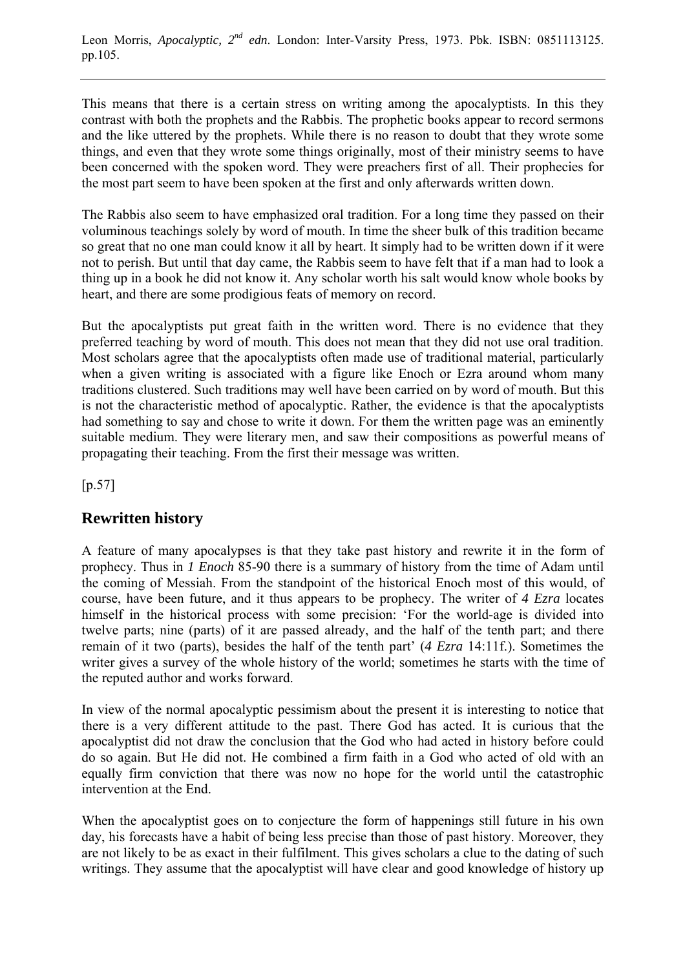This means that there is a certain stress on writing among the apocalyptists. In this they contrast with both the prophets and the Rabbis. The prophetic books appear to record sermons and the like uttered by the prophets. While there is no reason to doubt that they wrote some things, and even that they wrote some things originally, most of their ministry seems to have been concerned with the spoken word. They were preachers first of all. Their prophecies for the most part seem to have been spoken at the first and only afterwards written down.

The Rabbis also seem to have emphasized oral tradition. For a long time they passed on their voluminous teachings solely by word of mouth. In time the sheer bulk of this tradition became so great that no one man could know it all by heart. It simply had to be written down if it were not to perish. But until that day came, the Rabbis seem to have felt that if a man had to look a thing up in a book he did not know it. Any scholar worth his salt would know whole books by heart, and there are some prodigious feats of memory on record.

But the apocalyptists put great faith in the written word. There is no evidence that they preferred teaching by word of mouth. This does not mean that they did not use oral tradition. Most scholars agree that the apocalyptists often made use of traditional material, particularly when a given writing is associated with a figure like Enoch or Ezra around whom many traditions clustered. Such traditions may well have been carried on by word of mouth. But this is not the characteristic method of apocalyptic. Rather, the evidence is that the apocalyptists had something to say and chose to write it down. For them the written page was an eminently suitable medium. They were literary men, and saw their compositions as powerful means of propagating their teaching. From the first their message was written.

[p.57]

### **Rewritten history**

A feature of many apocalypses is that they take past history and rewrite it in the form of prophecy. Thus in *1 Enoch* 85-90 there is a summary of history from the time of Adam until the coming of Messiah. From the standpoint of the historical Enoch most of this would, of course, have been future, and it thus appears to be prophecy. The writer of *4 Ezra* locates himself in the historical process with some precision: 'For the world-age is divided into twelve parts; nine (parts) of it are passed already, and the half of the tenth part; and there remain of it two (parts), besides the half of the tenth part' (*4 Ezra* 14:11f.). Sometimes the writer gives a survey of the whole history of the world; sometimes he starts with the time of the reputed author and works forward.

In view of the normal apocalyptic pessimism about the present it is interesting to notice that there is a very different attitude to the past. There God has acted. It is curious that the apocalyptist did not draw the conclusion that the God who had acted in history before could do so again. But He did not. He combined a firm faith in a God who acted of old with an equally firm conviction that there was now no hope for the world until the catastrophic intervention at the End.

When the apocalyptist goes on to conjecture the form of happenings still future in his own day, his forecasts have a habit of being less precise than those of past history. Moreover, they are not likely to be as exact in their fulfilment. This gives scholars a clue to the dating of such writings. They assume that the apocalyptist will have clear and good knowledge of history up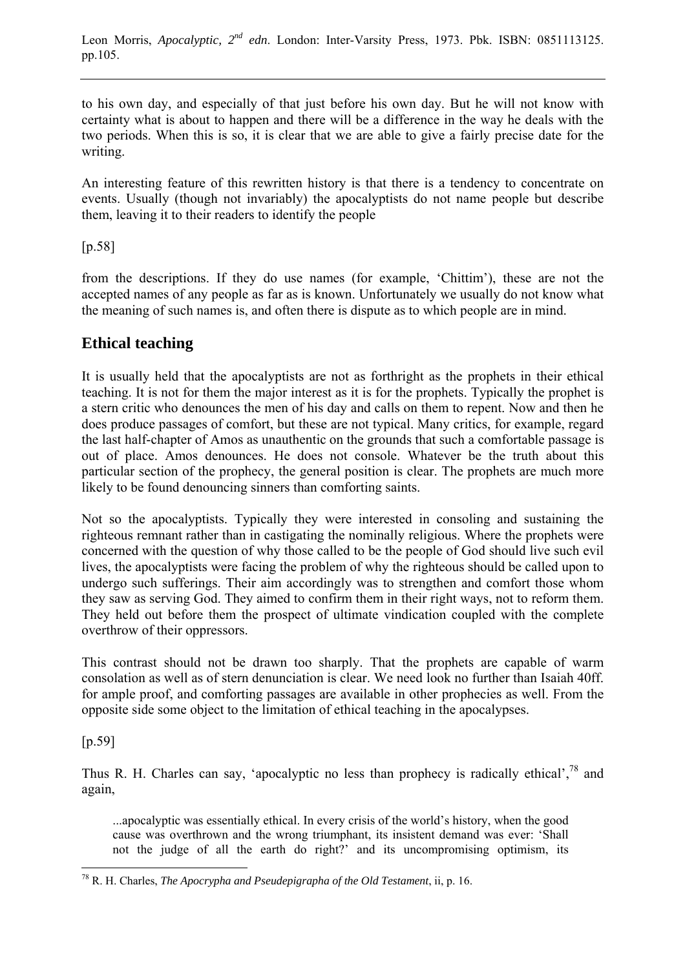to his own day, and especially of that just before his own day. But he will not know with certainty what is about to happen and there will be a difference in the way he deals with the two periods. When this is so, it is clear that we are able to give a fairly precise date for the writing.

An interesting feature of this rewritten history is that there is a tendency to concentrate on events. Usually (though not invariably) the apocalyptists do not name people but describe them, leaving it to their readers to identify the people

[p.58]

from the descriptions. If they do use names (for example, 'Chittim'), these are not the accepted names of any people as far as is known. Unfortunately we usually do not know what the meaning of such names is, and often there is dispute as to which people are in mind.

### **Ethical teaching**

It is usually held that the apocalyptists are not as forthright as the prophets in their ethical teaching. It is not for them the major interest as it is for the prophets. Typically the prophet is a stern critic who denounces the men of his day and calls on them to repent. Now and then he does produce passages of comfort, but these are not typical. Many critics, for example, regard the last half-chapter of Amos as unauthentic on the grounds that such a comfortable passage is out of place. Amos denounces. He does not console. Whatever be the truth about this particular section of the prophecy, the general position is clear. The prophets are much more likely to be found denouncing sinners than comforting saints.

Not so the apocalyptists. Typically they were interested in consoling and sustaining the righteous remnant rather than in castigating the nominally religious. Where the prophets were concerned with the question of why those called to be the people of God should live such evil lives, the apocalyptists were facing the problem of why the righteous should be called upon to undergo such sufferings. Their aim accordingly was to strengthen and comfort those whom they saw as serving God. They aimed to confirm them in their right ways, not to reform them. They held out before them the prospect of ultimate vindication coupled with the complete overthrow of their oppressors.

This contrast should not be drawn too sharply. That the prophets are capable of warm consolation as well as of stern denunciation is clear. We need look no further than Isaiah 40ff. for ample proof, and comforting passages are available in other prophecies as well. From the opposite side some object to the limitation of ethical teaching in the apocalypses.

[p.59]

Thus R. H. Charles can say, 'apocalyptic no less than prophecy is radically ethical',<sup>78</sup> and again,

...apocalyptic was essentially ethical. In every crisis of the world's history, when the good cause was overthrown and the wrong triumphant, its insistent demand was ever: 'Shall not the judge of all the earth do right?' and its uncompromising optimism, its

 $\overline{a}$ 78 R. H. Charles, *The Apocrypha and Pseudepigrapha of the Old Testament*, ii, p. 16.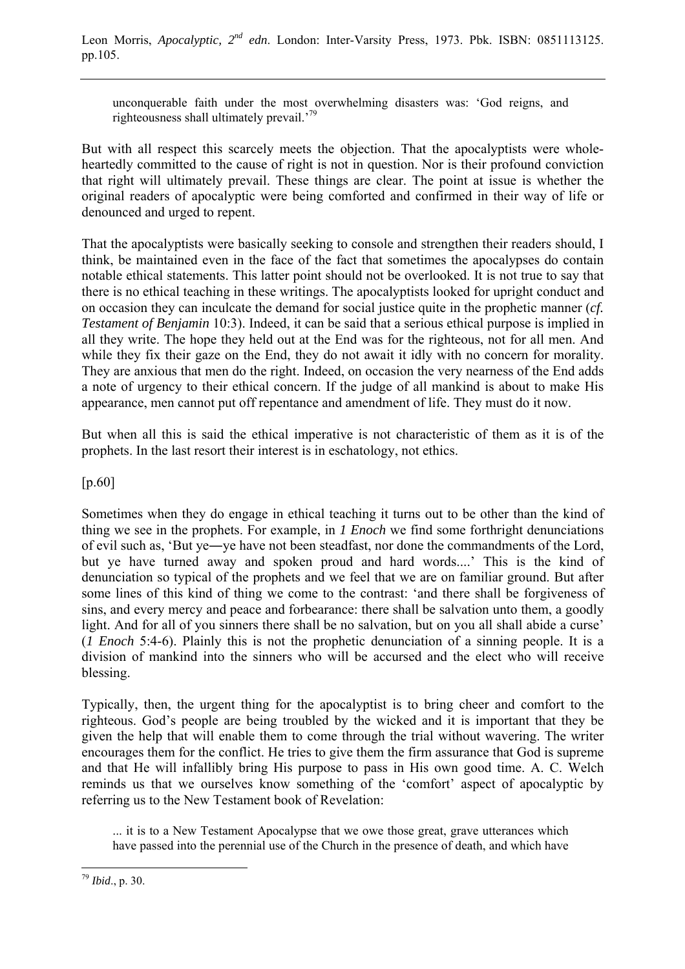unconquerable faith under the most overwhelming disasters was: 'God reigns, and righteousness shall ultimately prevail.<sup>'7</sup>

But with all respect this scarcely meets the objection. That the apocalyptists were wholeheartedly committed to the cause of right is not in question. Nor is their profound conviction that right will ultimately prevail. These things are clear. The point at issue is whether the original readers of apocalyptic were being comforted and confirmed in their way of life or denounced and urged to repent.

That the apocalyptists were basically seeking to console and strengthen their readers should, I think, be maintained even in the face of the fact that sometimes the apocalypses do contain notable ethical statements. This latter point should not be overlooked. It is not true to say that there is no ethical teaching in these writings. The apocalyptists looked for upright conduct and on occasion they can inculcate the demand for social justice quite in the prophetic manner (*cf. Testament of Benjamin* 10:3). Indeed, it can be said that a serious ethical purpose is implied in all they write. The hope they held out at the End was for the righteous, not for all men. And while they fix their gaze on the End, they do not await it idly with no concern for morality. They are anxious that men do the right. Indeed, on occasion the very nearness of the End adds a note of urgency to their ethical concern. If the judge of all mankind is about to make His appearance, men cannot put off repentance and amendment of life. They must do it now.

But when all this is said the ethical imperative is not characteristic of them as it is of the prophets. In the last resort their interest is in eschatology, not ethics.

[p.60]

Sometimes when they do engage in ethical teaching it turns out to be other than the kind of thing we see in the prophets. For example, in *1 Enoch* we find some forthright denunciations of evil such as, 'But ye―ye have not been steadfast, nor done the commandments of the Lord, but ye have turned away and spoken proud and hard words....' This is the kind of denunciation so typical of the prophets and we feel that we are on familiar ground. But after some lines of this kind of thing we come to the contrast: 'and there shall be forgiveness of sins, and every mercy and peace and forbearance: there shall be salvation unto them, a goodly light. And for all of you sinners there shall be no salvation, but on you all shall abide a curse' (*1 Enoch* 5:4-6). Plainly this is not the prophetic denunciation of a sinning people. It is a division of mankind into the sinners who will be accursed and the elect who will receive blessing.

Typically, then, the urgent thing for the apocalyptist is to bring cheer and comfort to the righteous. God's people are being troubled by the wicked and it is important that they be given the help that will enable them to come through the trial without wavering. The writer encourages them for the conflict. He tries to give them the firm assurance that God is supreme and that He will infallibly bring His purpose to pass in His own good time. A. C. Welch reminds us that we ourselves know something of the 'comfort' aspect of apocalyptic by referring us to the New Testament book of Revelation:

... it is to a New Testament Apocalypse that we owe those great, grave utterances which have passed into the perennial use of the Church in the presence of death, and which have

 $\overline{a}$ <sup>79</sup> *Ibid*., p. 30.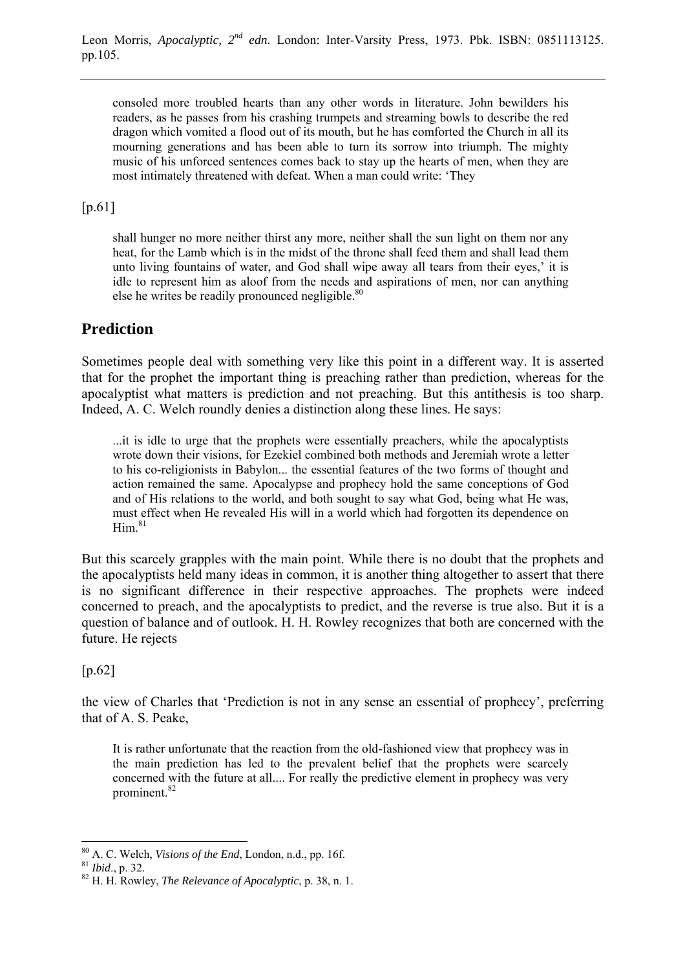consoled more troubled hearts than any other words in literature. John bewilders his readers, as he passes from his crashing trumpets and streaming bowls to describe the red dragon which vomited a flood out of its mouth, but he has comforted the Church in all its mourning generations and has been able to turn its sorrow into triumph. The mighty music of his unforced sentences comes back to stay up the hearts of men, when they are most intimately threatened with defeat. When a man could write: 'They

#### [p.61]

shall hunger no more neither thirst any more, neither shall the sun light on them nor any heat, for the Lamb which is in the midst of the throne shall feed them and shall lead them unto living fountains of water, and God shall wipe away all tears from their eyes,' it is idle to represent him as aloof from the needs and aspirations of men, nor can anything else he writes be readily pronounced negligible.<sup>80</sup>

### **Prediction**

Sometimes people deal with something very like this point in a different way. It is asserted that for the prophet the important thing is preaching rather than prediction, whereas for the apocalyptist what matters is prediction and not preaching. But this antithesis is too sharp. Indeed, A. C. Welch roundly denies a distinction along these lines. He says:

...it is idle to urge that the prophets were essentially preachers, while the apocalyptists wrote down their visions, for Ezekiel combined both methods and Jeremiah wrote a letter to his co-religionists in Babylon... the essential features of the two forms of thought and action remained the same. Apocalypse and prophecy hold the same conceptions of God and of His relations to the world, and both sought to say what God, being what He was, must effect when He revealed His will in a world which had forgotten its dependence on  $H$ im<sup>81</sup>

But this scarcely grapples with the main point. While there is no doubt that the prophets and the apocalyptists held many ideas in common, it is another thing altogether to assert that there is no significant difference in their respective approaches. The prophets were indeed concerned to preach, and the apocalyptists to predict, and the reverse is true also. But it is a question of balance and of outlook. H. H. Rowley recognizes that both are concerned with the future. He rejects

#### [p.62]

the view of Charles that 'Prediction is not in any sense an essential of prophecy', preferring that of A. S. Peake,

It is rather unfortunate that the reaction from the old-fashioned view that prophecy was in the main prediction has led to the prevalent belief that the prophets were scarcely concerned with the future at all.... For really the predictive element in prophecy was very prominent.<sup>82</sup>

<sup>80</sup> A. C. Welch, *Visions of the End*, London, n.d., pp. 16f. 81 *Ibid*., p. 32. 82 H. H. Rowley, *The Relevance of Apocalyptic*, p. 38, n. 1.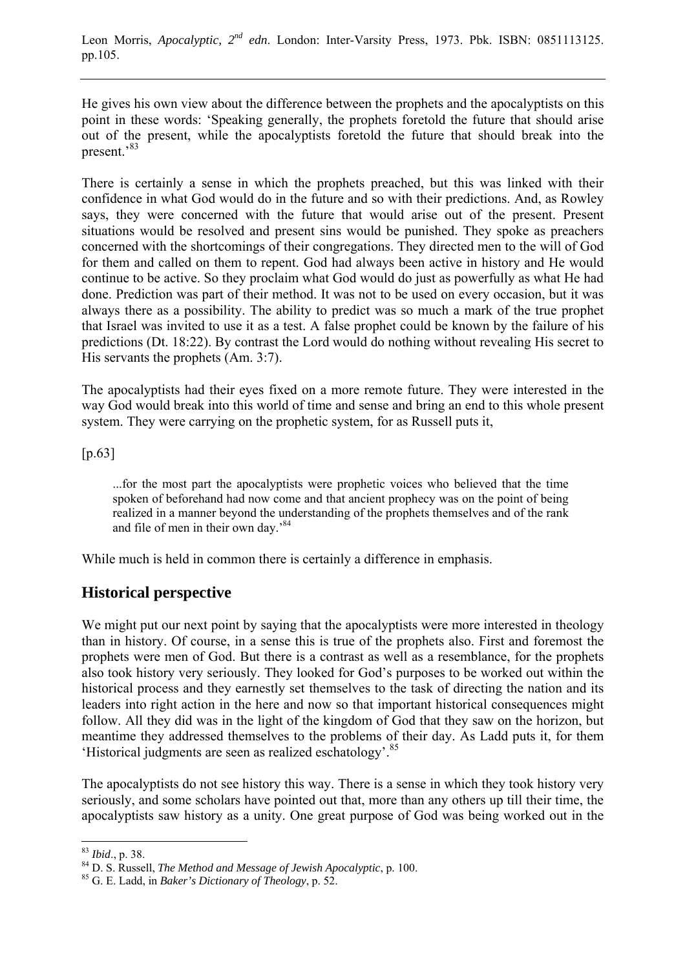He gives his own view about the difference between the prophets and the apocalyptists on this point in these words: 'Speaking generally, the prophets foretold the future that should arise out of the present, while the apocalyptists foretold the future that should break into the present.'83

There is certainly a sense in which the prophets preached, but this was linked with their confidence in what God would do in the future and so with their predictions. And, as Rowley says, they were concerned with the future that would arise out of the present. Present situations would be resolved and present sins would be punished. They spoke as preachers concerned with the shortcomings of their congregations. They directed men to the will of God for them and called on them to repent. God had always been active in history and He would continue to be active. So they proclaim what God would do just as powerfully as what He had done. Prediction was part of their method. It was not to be used on every occasion, but it was always there as a possibility. The ability to predict was so much a mark of the true prophet that Israel was invited to use it as a test. A false prophet could be known by the failure of his predictions (Dt. 18:22). By contrast the Lord would do nothing without revealing His secret to His servants the prophets (Am. 3:7).

The apocalyptists had their eyes fixed on a more remote future. They were interested in the way God would break into this world of time and sense and bring an end to this whole present system. They were carrying on the prophetic system, for as Russell puts it,

[p.63]

...for the most part the apocalyptists were prophetic voices who believed that the time spoken of beforehand had now come and that ancient prophecy was on the point of being realized in a manner beyond the understanding of the prophets themselves and of the rank and file of men in their own day.'84

While much is held in common there is certainly a difference in emphasis.

### **Historical perspective**

We might put our next point by saying that the apocalyptists were more interested in theology than in history. Of course, in a sense this is true of the prophets also. First and foremost the prophets were men of God. But there is a contrast as well as a resemblance, for the prophets also took history very seriously. They looked for God's purposes to be worked out within the historical process and they earnestly set themselves to the task of directing the nation and its leaders into right action in the here and now so that important historical consequences might follow. All they did was in the light of the kingdom of God that they saw on the horizon, but meantime they addressed themselves to the problems of their day. As Ladd puts it, for them 'Historical judgments are seen as realized eschatology'.<sup>85</sup>

The apocalyptists do not see history this way. There is a sense in which they took history very seriously, and some scholars have pointed out that, more than any others up till their time, the apocalyptists saw history as a unity. One great purpose of God was being worked out in the

<sup>83</sup> *Ibid*., p. 38. 84 D. S. Russell, *The Method and Message of Jewish Apocalyptic*, p. 100. 85 G. E. Ladd, in *Baker's Dictionary of Theology*, p. 52.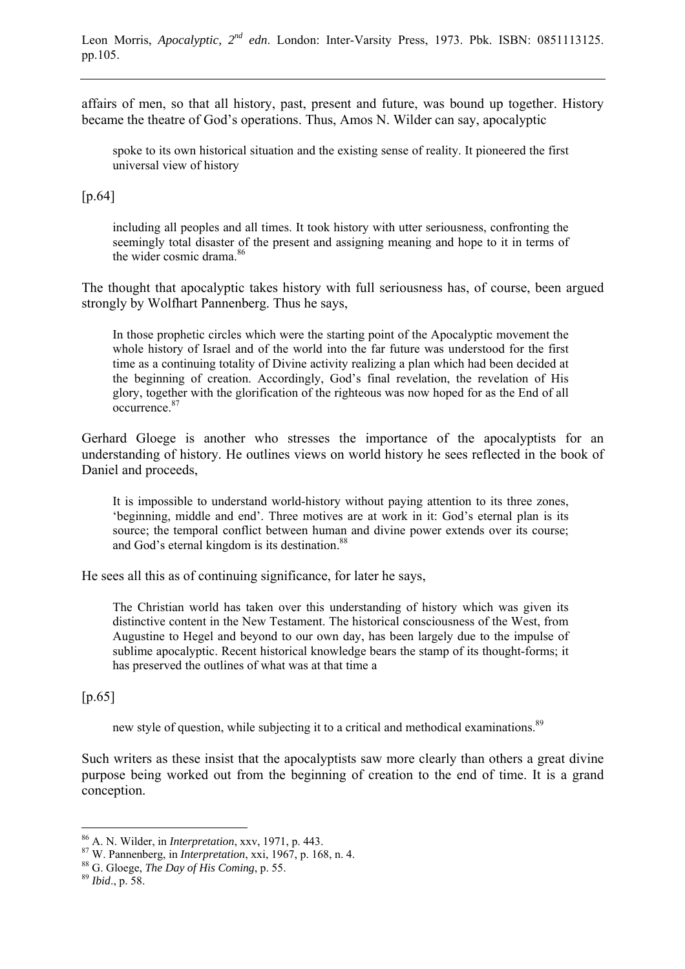affairs of men, so that all history, past, present and future, was bound up together. History became the theatre of God's operations. Thus, Amos N. Wilder can say, apocalyptic

spoke to its own historical situation and the existing sense of reality. It pioneered the first universal view of history

[p.64]

including all peoples and all times. It took history with utter seriousness, confronting the seemingly total disaster of the present and assigning meaning and hope to it in terms of the wider cosmic drama.<sup>86</sup>

The thought that apocalyptic takes history with full seriousness has, of course, been argued strongly by Wolfhart Pannenberg. Thus he says,

In those prophetic circles which were the starting point of the Apocalyptic movement the whole history of Israel and of the world into the far future was understood for the first time as a continuing totality of Divine activity realizing a plan which had been decided at the beginning of creation. Accordingly, God's final revelation, the revelation of His glory, together with the glorification of the righteous was now hoped for as the End of all occurrence.<sup>87</sup>

Gerhard Gloege is another who stresses the importance of the apocalyptists for an understanding of history. He outlines views on world history he sees reflected in the book of Daniel and proceeds,

It is impossible to understand world-history without paying attention to its three zones, 'beginning, middle and end'. Three motives are at work in it: God's eternal plan is its source; the temporal conflict between human and divine power extends over its course; and God's eternal kingdom is its destination.<sup>88</sup>

He sees all this as of continuing significance, for later he says,

The Christian world has taken over this understanding of history which was given its distinctive content in the New Testament. The historical consciousness of the West, from Augustine to Hegel and beyond to our own day, has been largely due to the impulse of sublime apocalyptic. Recent historical knowledge bears the stamp of its thought-forms; it has preserved the outlines of what was at that time a

[p.65]

new style of question, while subjecting it to a critical and methodical examinations.<sup>89</sup>

Such writers as these insist that the apocalyptists saw more clearly than others a great divine purpose being worked out from the beginning of creation to the end of time. It is a grand conception.

<sup>&</sup>lt;sup>86</sup> A. N. Wilder, in *Interpretation*, xxv, 1971, p. 443.<br><sup>87</sup> W. Pannenberg, in *Interpretation*, xxi, 1967, p. 168, n. 4. <sup>88</sup> G. Gloege, *The Day of His Coming*, p. 55. <sup>89</sup> *Ibid.*, p. 58.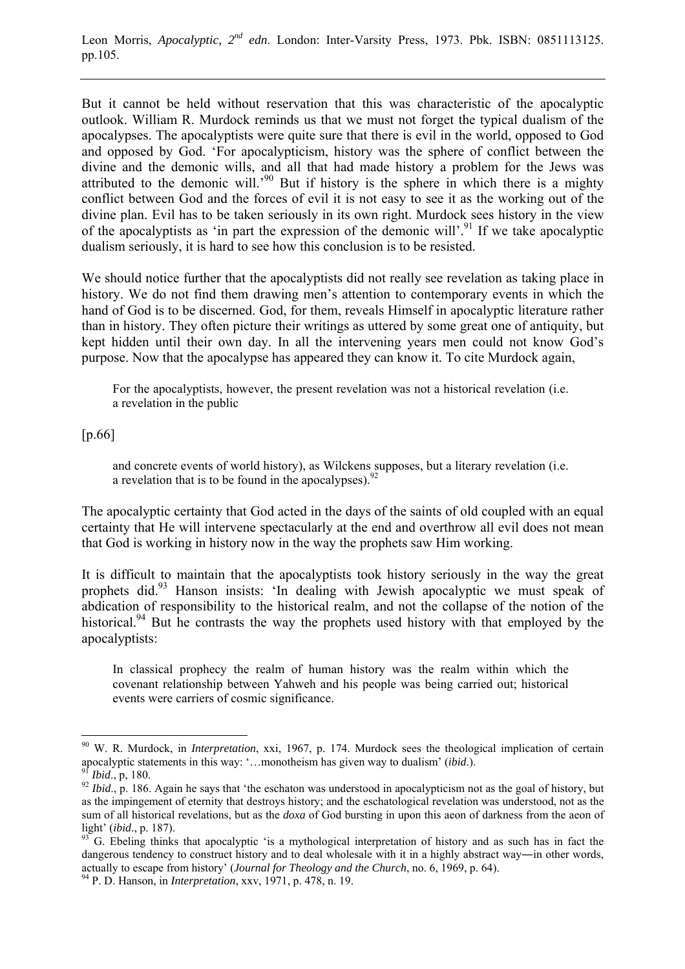But it cannot be held without reservation that this was characteristic of the apocalyptic outlook. William R. Murdock reminds us that we must not forget the typical dualism of the apocalypses. The apocalyptists were quite sure that there is evil in the world, opposed to God and opposed by God. 'For apocalypticism, history was the sphere of conflict between the divine and the demonic wills, and all that had made history a problem for the Jews was attributed to the demonic will.<sup>'90</sup> But if history is the sphere in which there is a mighty conflict between God and the forces of evil it is not easy to see it as the working out of the divine plan. Evil has to be taken seriously in its own right. Murdock sees history in the view of the apocalyptists as 'in part the expression of the demonic will'.<sup>91</sup> If we take apocalyptic dualism seriously, it is hard to see how this conclusion is to be resisted.

We should notice further that the apocalyptists did not really see revelation as taking place in history. We do not find them drawing men's attention to contemporary events in which the hand of God is to be discerned. God, for them, reveals Himself in apocalyptic literature rather than in history. They often picture their writings as uttered by some great one of antiquity, but kept hidden until their own day. In all the intervening years men could not know God's purpose. Now that the apocalypse has appeared they can know it. To cite Murdock again,

For the apocalyptists, however, the present revelation was not a historical revelation (i.e. a revelation in the public

[p.66]

and concrete events of world history), as Wilckens supposes, but a literary revelation (i.e. a revelation that is to be found in the apocalypses).  $92$ 

The apocalyptic certainty that God acted in the days of the saints of old coupled with an equal certainty that He will intervene spectacularly at the end and overthrow all evil does not mean that God is working in history now in the way the prophets saw Him working.

It is difficult to maintain that the apocalyptists took history seriously in the way the great prophets did.93 Hanson insists: 'In dealing with Jewish apocalyptic we must speak of abdication of responsibility to the historical realm, and not the collapse of the notion of the historical.<sup>94</sup> But he contrasts the way the prophets used history with that employed by the apocalyptists:

In classical prophecy the realm of human history was the realm within which the covenant relationship between Yahweh and his people was being carried out; historical events were carriers of cosmic significance.

<sup>&</sup>lt;sup>90</sup> W. R. Murdock, in *Interpretation*, xxi, 1967, p. 174. Murdock sees the theological implication of certain apocalyptic statements in this way: '...monotheism has given way to dualism' (*ibid.*).

<sup>&</sup>lt;sup>91</sup> *Ibid.*, p, 180.<br><sup>92</sup> *Ibid.*. p. 186. Again he savs that 'the eschaton was understood in apocalypticism not as the goal of history, but as the impingement of eternity that destroys history; and the eschatological revelation was understood, not as the sum of all historical revelations, but as the *doxa* of God bursting in upon this aeon of darkness from the aeon of light' (*ibid.*, p. 187).<br><sup>93</sup> G. Ebeling thinks that apocalyptic 'is a mythological interpretation of history and as such has in fact the

dangerous tendency to construct history and to deal wholesale with it in a highly abstract way—in other words, actually to escape from history' (*Journal for Theology and the Church*, no. 6, 1969, p. 64). 94 P. D. Hanson, in *Interpretation*, xxv, 1971, p. 478, n. 19.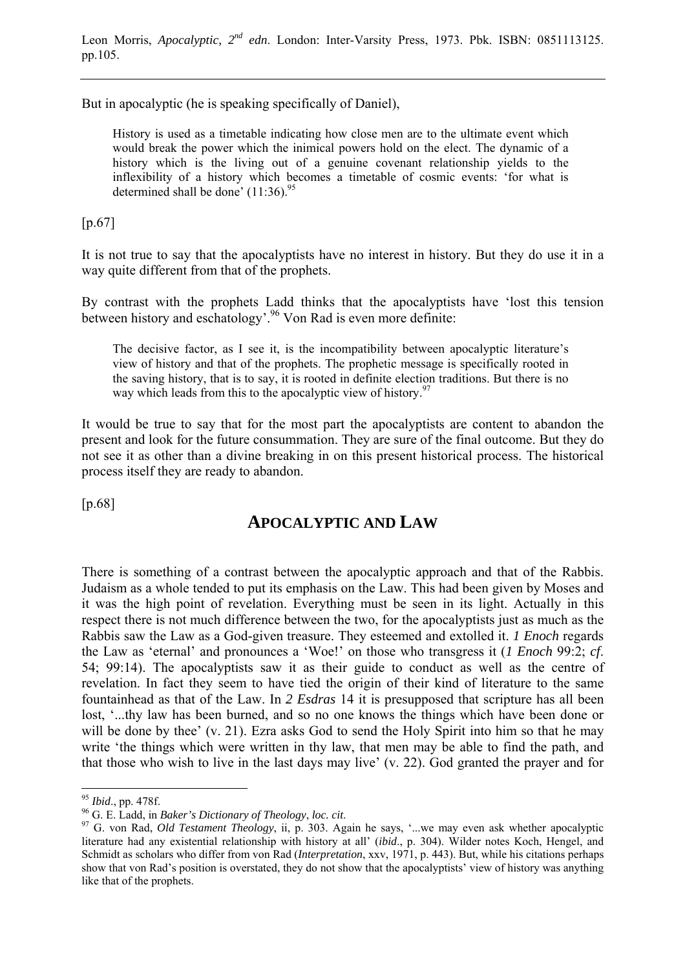But in apocalyptic (he is speaking specifically of Daniel),

History is used as a timetable indicating how close men are to the ultimate event which would break the power which the inimical powers hold on the elect. The dynamic of a history which is the living out of a genuine covenant relationship yields to the inflexibility of a history which becomes a timetable of cosmic events: 'for what is determined shall be done'  $(11:36)$ .<sup>95</sup>

[p.67]

It is not true to say that the apocalyptists have no interest in history. But they do use it in a way quite different from that of the prophets.

By contrast with the prophets Ladd thinks that the apocalyptists have 'lost this tension between history and eschatology'.<sup>96</sup> Von Rad is even more definite:

The decisive factor, as I see it, is the incompatibility between apocalyptic literature's view of history and that of the prophets. The prophetic message is specifically rooted in the saving history, that is to say, it is rooted in definite election traditions. But there is no way which leads from this to the apocalyptic view of history.<sup>97</sup>

It would be true to say that for the most part the apocalyptists are content to abandon the present and look for the future consummation. They are sure of the final outcome. But they do not see it as other than a divine breaking in on this present historical process. The historical process itself they are ready to abandon.

[p.68]

## **APOCALYPTIC AND LAW**

There is something of a contrast between the apocalyptic approach and that of the Rabbis. Judaism as a whole tended to put its emphasis on the Law. This had been given by Moses and it was the high point of revelation. Everything must be seen in its light. Actually in this respect there is not much difference between the two, for the apocalyptists just as much as the Rabbis saw the Law as a God-given treasure. They esteemed and extolled it. *1 Enoch* regards the Law as 'eternal' and pronounces a 'Woe!' on those who transgress it (*1 Enoch* 99:2; *cf*. 54; 99:14). The apocalyptists saw it as their guide to conduct as well as the centre of revelation. In fact they seem to have tied the origin of their kind of literature to the same fountainhead as that of the Law. In *2 Esdras* 14 it is presupposed that scripture has all been lost, '...thy law has been burned, and so no one knows the things which have been done or will be done by thee' (v. 21). Ezra asks God to send the Holy Spirit into him so that he may write 'the things which were written in thy law, that men may be able to find the path, and that those who wish to live in the last days may live' (v. 22). God granted the prayer and for

<sup>&</sup>lt;sup>95</sup> *Ibid.*, pp. 478f.

<sup>&</sup>lt;sup>96</sup> G. E. Ladd, in *Baker's Dictionary of Theology*, *loc. cit*.<br><sup>97</sup> G. von Rad, *Old Testament Theology*, ii, p. 303. Again he says, '...we may even ask whether apocalyptic literature had any existential relationship with history at all' (*ibid*., p. 304). Wilder notes Koch, Hengel, and Schmidt as scholars who differ from von Rad (*Interpretation*, xxv, 1971, p. 443). But, while his citations perhaps show that von Rad's position is overstated, they do not show that the apocalyptists' view of history was anything like that of the prophets.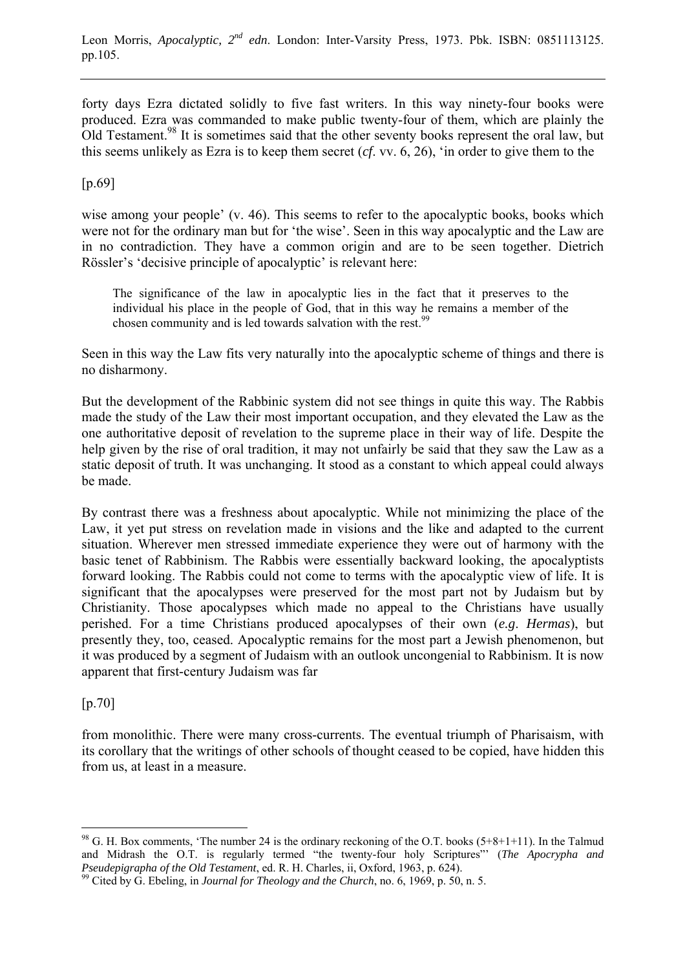forty days Ezra dictated solidly to five fast writers. In this way ninety-four books were produced. Ezra was commanded to make public twenty-four of them, which are plainly the Old Testament.<sup>98</sup> It is sometimes said that the other seventy books represent the oral law, but this seems unlikely as Ezra is to keep them secret (*cf*. vv. 6, 26), 'in order to give them to the

#### [p.69]

wise among your people' (v. 46). This seems to refer to the apocalyptic books, books which were not for the ordinary man but for 'the wise'. Seen in this way apocalyptic and the Law are in no contradiction. They have a common origin and are to be seen together. Dietrich Rössler's 'decisive principle of apocalyptic' is relevant here:

The significance of the law in apocalyptic lies in the fact that it preserves to the individual his place in the people of God, that in this way he remains a member of the chosen community and is led towards salvation with the rest.<sup>99</sup>

Seen in this way the Law fits very naturally into the apocalyptic scheme of things and there is no disharmony.

But the development of the Rabbinic system did not see things in quite this way. The Rabbis made the study of the Law their most important occupation, and they elevated the Law as the one authoritative deposit of revelation to the supreme place in their way of life. Despite the help given by the rise of oral tradition, it may not unfairly be said that they saw the Law as a static deposit of truth. It was unchanging. It stood as a constant to which appeal could always be made.

By contrast there was a freshness about apocalyptic. While not minimizing the place of the Law, it yet put stress on revelation made in visions and the like and adapted to the current situation. Wherever men stressed immediate experience they were out of harmony with the basic tenet of Rabbinism. The Rabbis were essentially backward looking, the apocalyptists forward looking. The Rabbis could not come to terms with the apocalyptic view of life. It is significant that the apocalypses were preserved for the most part not by Judaism but by Christianity. Those apocalypses which made no appeal to the Christians have usually perished. For a time Christians produced apocalypses of their own (*e.g*. *Hermas*), but presently they, too, ceased. Apocalyptic remains for the most part a Jewish phenomenon, but it was produced by a segment of Judaism with an outlook uncongenial to Rabbinism. It is now apparent that first-century Judaism was far

[p.70]

 $\overline{a}$ 

from monolithic. There were many cross-currents. The eventual triumph of Pharisaism, with its corollary that the writings of other schools of thought ceased to be copied, have hidden this from us, at least in a measure.

<sup>&</sup>lt;sup>98</sup> G. H. Box comments, 'The number 24 is the ordinary reckoning of the O.T. books (5+8+1+11). In the Talmud and Midrash the O.T. is regularly termed "the twenty-four holy Scriptures" (*The Apocrypha and Pseudepigrapha of the Old Testament*, ed. R. H. Charles, ii, Oxford, 1963, p. 624).

<sup>&</sup>lt;sup>99</sup> Cited by G. Ebeling, in *Journal for Theology and the Church*, no. 6, 1969, p. 50, n. 5.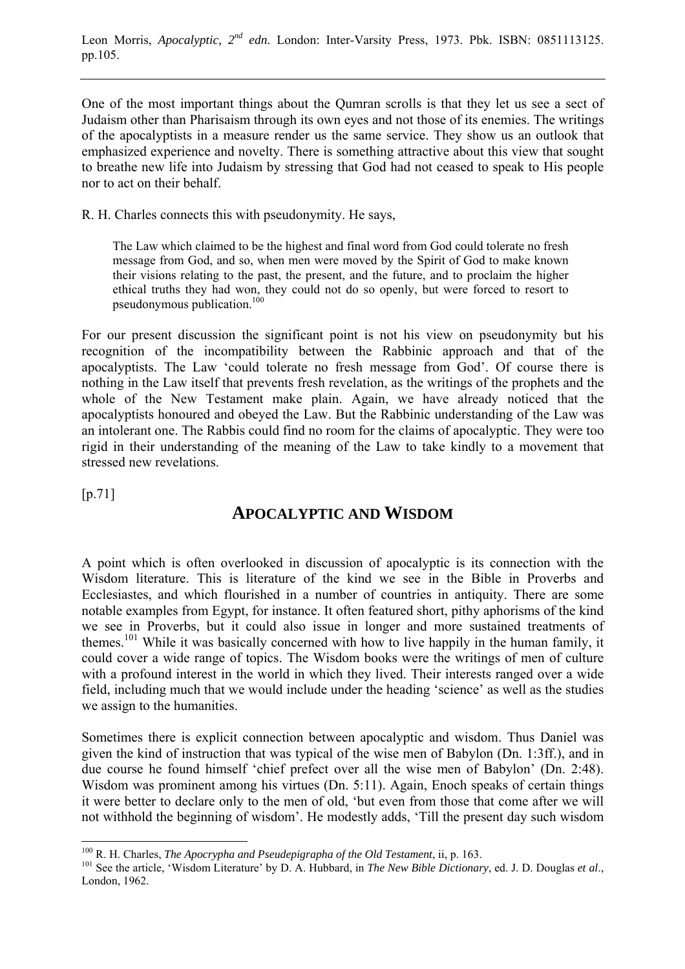One of the most important things about the Qumran scrolls is that they let us see a sect of Judaism other than Pharisaism through its own eyes and not those of its enemies. The writings of the apocalyptists in a measure render us the same service. They show us an outlook that emphasized experience and novelty. There is something attractive about this view that sought to breathe new life into Judaism by stressing that God had not ceased to speak to His people nor to act on their behalf.

R. H. Charles connects this with pseudonymity. He says,

The Law which claimed to be the highest and final word from God could tolerate no fresh message from God, and so, when men were moved by the Spirit of God to make known their visions relating to the past, the present, and the future, and to proclaim the higher ethical truths they had won, they could not do so openly, but were forced to resort to pseudonymous publication.<sup>100</sup>

For our present discussion the significant point is not his view on pseudonymity but his recognition of the incompatibility between the Rabbinic approach and that of the apocalyptists. The Law 'could tolerate no fresh message from God'. Of course there is nothing in the Law itself that prevents fresh revelation, as the writings of the prophets and the whole of the New Testament make plain. Again, we have already noticed that the apocalyptists honoured and obeyed the Law. But the Rabbinic understanding of the Law was an intolerant one. The Rabbis could find no room for the claims of apocalyptic. They were too rigid in their understanding of the meaning of the Law to take kindly to a movement that stressed new revelations.

[p.71]

 $\overline{a}$ 

#### **APOCALYPTIC AND WISDOM**

A point which is often overlooked in discussion of apocalyptic is its connection with the Wisdom literature. This is literature of the kind we see in the Bible in Proverbs and Ecclesiastes, and which flourished in a number of countries in antiquity. There are some notable examples from Egypt, for instance. It often featured short, pithy aphorisms of the kind we see in Proverbs, but it could also issue in longer and more sustained treatments of themes.<sup>101</sup> While it was basically concerned with how to live happily in the human family, it could cover a wide range of topics. The Wisdom books were the writings of men of culture with a profound interest in the world in which they lived. Their interests ranged over a wide field, including much that we would include under the heading 'science' as well as the studies we assign to the humanities.

Sometimes there is explicit connection between apocalyptic and wisdom. Thus Daniel was given the kind of instruction that was typical of the wise men of Babylon (Dn. 1:3ff.), and in due course he found himself 'chief prefect over all the wise men of Babylon' (Dn. 2:48). Wisdom was prominent among his virtues (Dn. 5:11). Again, Enoch speaks of certain things it were better to declare only to the men of old, 'but even from those that come after we will not withhold the beginning of wisdom'. He modestly adds, 'Till the present day such wisdom

<sup>&</sup>lt;sup>100</sup> R. H. Charles, *The Apocrypha and Pseudepigrapha of the Old Testament*, ii, p. 163.<br><sup>101</sup> See the article, 'Wisdom Literature' by D. A. Hubbard, in *The New Bible Dictionary*, ed. J. D. Douglas *et al.*, London, 1962.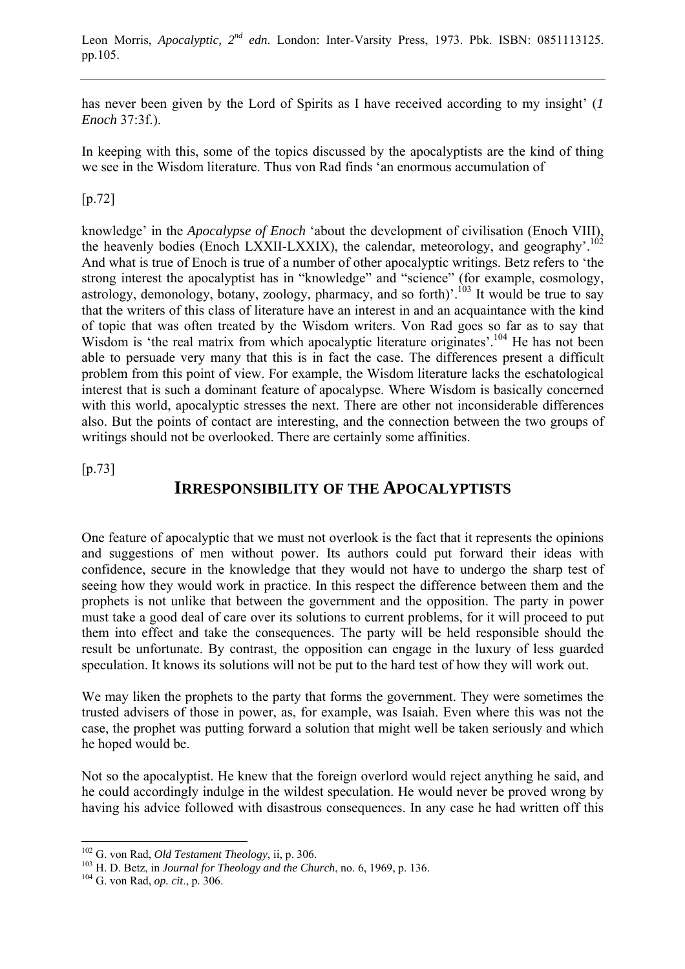has never been given by the Lord of Spirits as I have received according to my insight' (*1 Enoch* 37:3f.).

In keeping with this, some of the topics discussed by the apocalyptists are the kind of thing we see in the Wisdom literature. Thus von Rad finds 'an enormous accumulation of

[p.72]

knowledge' in the *Apocalypse of Enoch* 'about the development of civilisation (Enoch VIII), the heavenly bodies (Enoch LXXII-LXXIX), the calendar, meteorology, and geography<sup>'.102</sup> And what is true of Enoch is true of a number of other apocalyptic writings. Betz refers to 'the strong interest the apocalyptist has in "knowledge" and "science" (for example, cosmology, astrology, demonology, botany, zoology, pharmacy, and so forth)<sup>'.103</sup> It would be true to say that the writers of this class of literature have an interest in and an acquaintance with the kind of topic that was often treated by the Wisdom writers. Von Rad goes so far as to say that Wisdom is 'the real matrix from which apocalyptic literature originates'.<sup>104</sup> He has not been able to persuade very many that this is in fact the case. The differences present a difficult problem from this point of view. For example, the Wisdom literature lacks the eschatological interest that is such a dominant feature of apocalypse. Where Wisdom is basically concerned with this world, apocalyptic stresses the next. There are other not inconsiderable differences also. But the points of contact are interesting, and the connection between the two groups of writings should not be overlooked. There are certainly some affinities.

[p.73]

### **IRRESPONSIBILITY OF THE APOCALYPTISTS**

One feature of apocalyptic that we must not overlook is the fact that it represents the opinions and suggestions of men without power. Its authors could put forward their ideas with confidence, secure in the knowledge that they would not have to undergo the sharp test of seeing how they would work in practice. In this respect the difference between them and the prophets is not unlike that between the government and the opposition. The party in power must take a good deal of care over its solutions to current problems, for it will proceed to put them into effect and take the consequences. The party will be held responsible should the result be unfortunate. By contrast, the opposition can engage in the luxury of less guarded speculation. It knows its solutions will not be put to the hard test of how they will work out.

We may liken the prophets to the party that forms the government. They were sometimes the trusted advisers of those in power, as, for example, was Isaiah. Even where this was not the case, the prophet was putting forward a solution that might well be taken seriously and which he hoped would be.

Not so the apocalyptist. He knew that the foreign overlord would reject anything he said, and he could accordingly indulge in the wildest speculation. He would never be proved wrong by having his advice followed with disastrous consequences. In any case he had written off this

<sup>&</sup>lt;sup>102</sup> G. von Rad, *Old Testament Theology*, ii, p. 306.

<sup>&</sup>lt;sup>103</sup> H. D. Betz, in *Journal for Theology and the Church*, no. 6, 1969, p. 136. <sup>104</sup> G. von Rad, *op. cit.*, p. 306.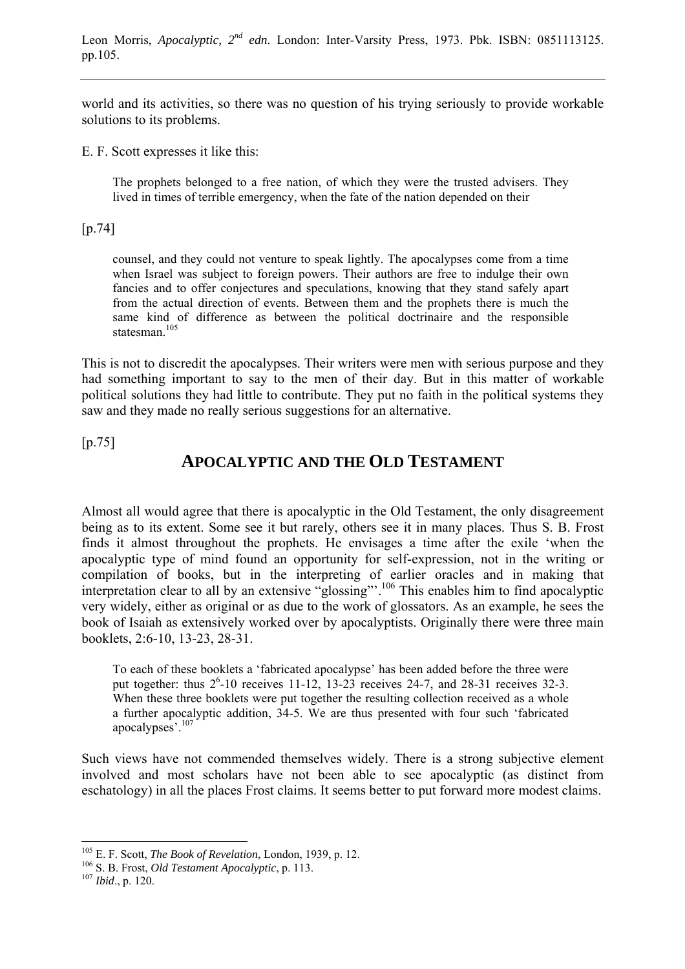world and its activities, so there was no question of his trying seriously to provide workable solutions to its problems.

E. F. Scott expresses it like this:

The prophets belonged to a free nation, of which they were the trusted advisers. They lived in times of terrible emergency, when the fate of the nation depended on their

[p.74]

counsel, and they could not venture to speak lightly. The apocalypses come from a time when Israel was subject to foreign powers. Their authors are free to indulge their own fancies and to offer conjectures and speculations, knowing that they stand safely apart from the actual direction of events. Between them and the prophets there is much the same kind of difference as between the political doctrinaire and the responsible statesman.<sup>105</sup>

This is not to discredit the apocalypses. Their writers were men with serious purpose and they had something important to say to the men of their day. But in this matter of workable political solutions they had little to contribute. They put no faith in the political systems they saw and they made no really serious suggestions for an alternative.

[p.75]

### **APOCALYPTIC AND THE OLD TESTAMENT**

Almost all would agree that there is apocalyptic in the Old Testament, the only disagreement being as to its extent. Some see it but rarely, others see it in many places. Thus S. B. Frost finds it almost throughout the prophets. He envisages a time after the exile 'when the apocalyptic type of mind found an opportunity for self-expression, not in the writing or compilation of books, but in the interpreting of earlier oracles and in making that interpretation clear to all by an extensive "glossing"<sup>2106</sup> This enables him to find apocalyptic very widely, either as original or as due to the work of glossators. As an example, he sees the book of Isaiah as extensively worked over by apocalyptists. Originally there were three main booklets, 2:6-10, 13-23, 28-31.

To each of these booklets a 'fabricated apocalypse' has been added before the three were put together: thus  $2^6$ -10 receives 11-12, 13-23 receives 24-7, and 28-31 receives 32-3. When these three booklets were put together the resulting collection received as a whole a further apocalyptic addition, 34-5. We are thus presented with four such 'fabricated apocalypses'.107

Such views have not commended themselves widely. There is a strong subjective element involved and most scholars have not been able to see apocalyptic (as distinct from eschatology) in all the places Frost claims. It seems better to put forward more modest claims.

<sup>&</sup>lt;sup>105</sup> E. F. Scott, *The Book of Revelation*, London, 1939, p. 12.<br><sup>106</sup> S. B. Frost, *Old Testament Apocalyptic*, p. 113.<br><sup>107</sup> *Ibid.*, p. 120.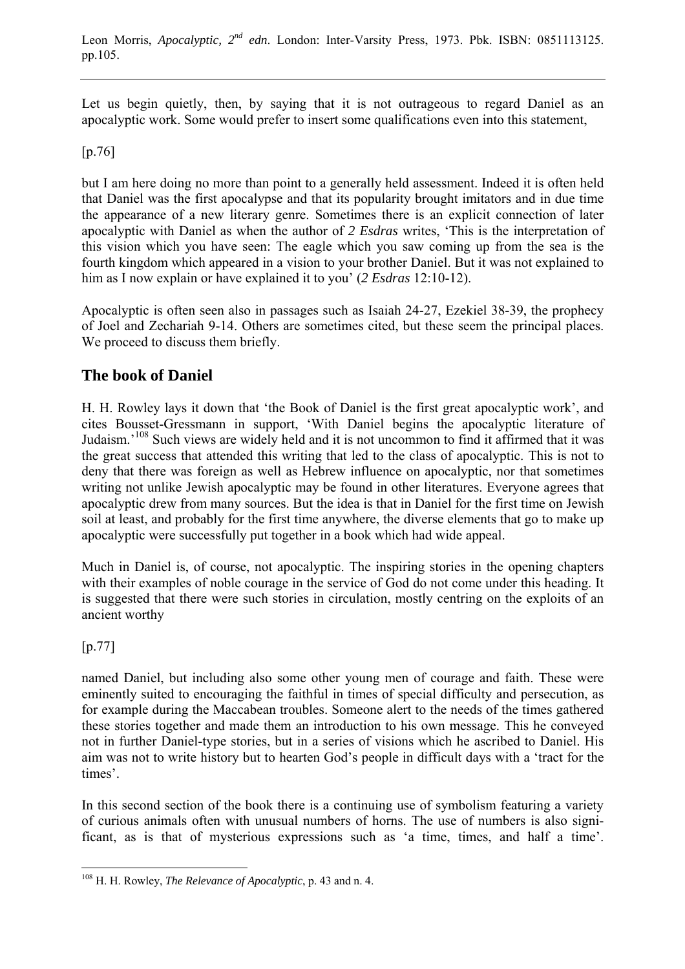Let us begin quietly, then, by saying that it is not outrageous to regard Daniel as an apocalyptic work. Some would prefer to insert some qualifications even into this statement,

[p.76]

but I am here doing no more than point to a generally held assessment. Indeed it is often held that Daniel was the first apocalypse and that its popularity brought imitators and in due time the appearance of a new literary genre. Sometimes there is an explicit connection of later apocalyptic with Daniel as when the author of *2 Esdras* writes, 'This is the interpretation of this vision which you have seen: The eagle which you saw coming up from the sea is the fourth kingdom which appeared in a vision to your brother Daniel. But it was not explained to him as I now explain or have explained it to you' (*2 Esdras* 12:10-12).

Apocalyptic is often seen also in passages such as Isaiah 24-27, Ezekiel 38-39, the prophecy of Joel and Zechariah 9-14. Others are sometimes cited, but these seem the principal places. We proceed to discuss them briefly.

### **The book of Daniel**

H. H. Rowley lays it down that 'the Book of Daniel is the first great apocalyptic work', and cites Bousset-Gressmann in support, 'With Daniel begins the apocalyptic literature of Judaism.<sup>'108</sup> Such views are widely held and it is not uncommon to find it affirmed that it was the great success that attended this writing that led to the class of apocalyptic. This is not to deny that there was foreign as well as Hebrew influence on apocalyptic, nor that sometimes writing not unlike Jewish apocalyptic may be found in other literatures. Everyone agrees that apocalyptic drew from many sources. But the idea is that in Daniel for the first time on Jewish soil at least, and probably for the first time anywhere, the diverse elements that go to make up apocalyptic were successfully put together in a book which had wide appeal.

Much in Daniel is, of course, not apocalyptic. The inspiring stories in the opening chapters with their examples of noble courage in the service of God do not come under this heading. It is suggested that there were such stories in circulation, mostly centring on the exploits of an ancient worthy

[p.77]

named Daniel, but including also some other young men of courage and faith. These were eminently suited to encouraging the faithful in times of special difficulty and persecution, as for example during the Maccabean troubles. Someone alert to the needs of the times gathered these stories together and made them an introduction to his own message. This he conveyed not in further Daniel-type stories, but in a series of visions which he ascribed to Daniel. His aim was not to write history but to hearten God's people in difficult days with a 'tract for the times'.

In this second section of the book there is a continuing use of symbolism featuring a variety of curious animals often with unusual numbers of horns. The use of numbers is also significant, as is that of mysterious expressions such as 'a time, times, and half a time'.

 $\overline{a}$ 108 H. H. Rowley, *The Relevance of Apocalyptic*, p. 43 and n. 4.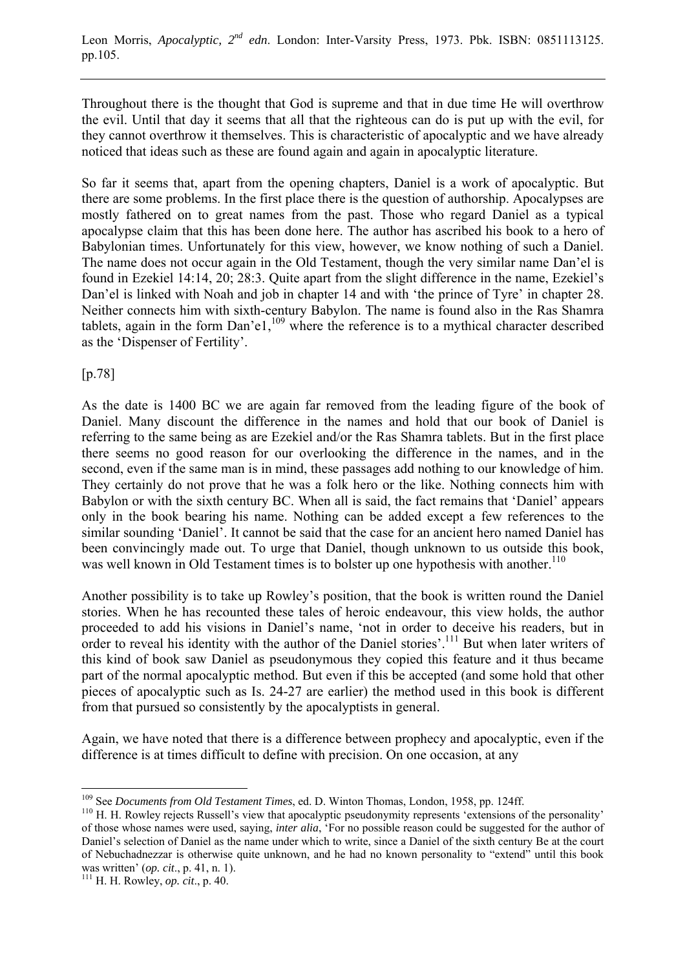Throughout there is the thought that God is supreme and that in due time He will overthrow the evil. Until that day it seems that all that the righteous can do is put up with the evil, for they cannot overthrow it themselves. This is characteristic of apocalyptic and we have already noticed that ideas such as these are found again and again in apocalyptic literature.

So far it seems that, apart from the opening chapters, Daniel is a work of apocalyptic. But there are some problems. In the first place there is the question of authorship. Apocalypses are mostly fathered on to great names from the past. Those who regard Daniel as a typical apocalypse claim that this has been done here. The author has ascribed his book to a hero of Babylonian times. Unfortunately for this view, however, we know nothing of such a Daniel. The name does not occur again in the Old Testament, though the very similar name Dan'el is found in Ezekiel 14:14, 20; 28:3. Quite apart from the slight difference in the name, Ezekiel's Dan'el is linked with Noah and job in chapter 14 and with 'the prince of Tyre' in chapter 28. Neither connects him with sixth-century Babylon. The name is found also in the Ras Shamra tablets, again in the form  $Dan'el$ ,  $109$  where the reference is to a mythical character described as the 'Dispenser of Fertility'.

[p.78]

As the date is 1400 BC we are again far removed from the leading figure of the book of Daniel. Many discount the difference in the names and hold that our book of Daniel is referring to the same being as are Ezekiel and/or the Ras Shamra tablets. But in the first place there seems no good reason for our overlooking the difference in the names, and in the second, even if the same man is in mind, these passages add nothing to our knowledge of him. They certainly do not prove that he was a folk hero or the like. Nothing connects him with Babylon or with the sixth century BC. When all is said, the fact remains that 'Daniel' appears only in the book bearing his name. Nothing can be added except a few references to the similar sounding 'Daniel'. It cannot be said that the case for an ancient hero named Daniel has been convincingly made out. To urge that Daniel, though unknown to us outside this book. was well known in Old Testament times is to bolster up one hypothesis with another.<sup>110</sup>

Another possibility is to take up Rowley's position, that the book is written round the Daniel stories. When he has recounted these tales of heroic endeavour, this view holds, the author proceeded to add his visions in Daniel's name, 'not in order to deceive his readers, but in order to reveal his identity with the author of the Daniel stories'.<sup>111</sup> But when later writers of this kind of book saw Daniel as pseudonymous they copied this feature and it thus became part of the normal apocalyptic method. But even if this be accepted (and some hold that other pieces of apocalyptic such as Is. 24-27 are earlier) the method used in this book is different from that pursued so consistently by the apocalyptists in general.

Again, we have noted that there is a difference between prophecy and apocalyptic, even if the difference is at times difficult to define with precision. On one occasion, at any

<sup>&</sup>lt;sup>109</sup> See *Documents from Old Testament Times*, ed. D. Winton Thomas, London, 1958, pp. 124ff.

<sup>&</sup>lt;sup>110</sup> H. H. Rowley rejects Russell's view that apocalyptic pseudonymity represents 'extensions of the personality' of those whose names were used, saying, *inter alia*, 'For no possible reason could be suggested for the author of Daniel's selection of Daniel as the name under which to write, since a Daniel of the sixth century Be at the court of Nebuchadnezzar is otherwise quite unknown, and he had no known personality to "extend" until this book was written' (*op. cit*., p. 41, n. 1). 111 H. H. Rowley, *op. cit*., p. 40.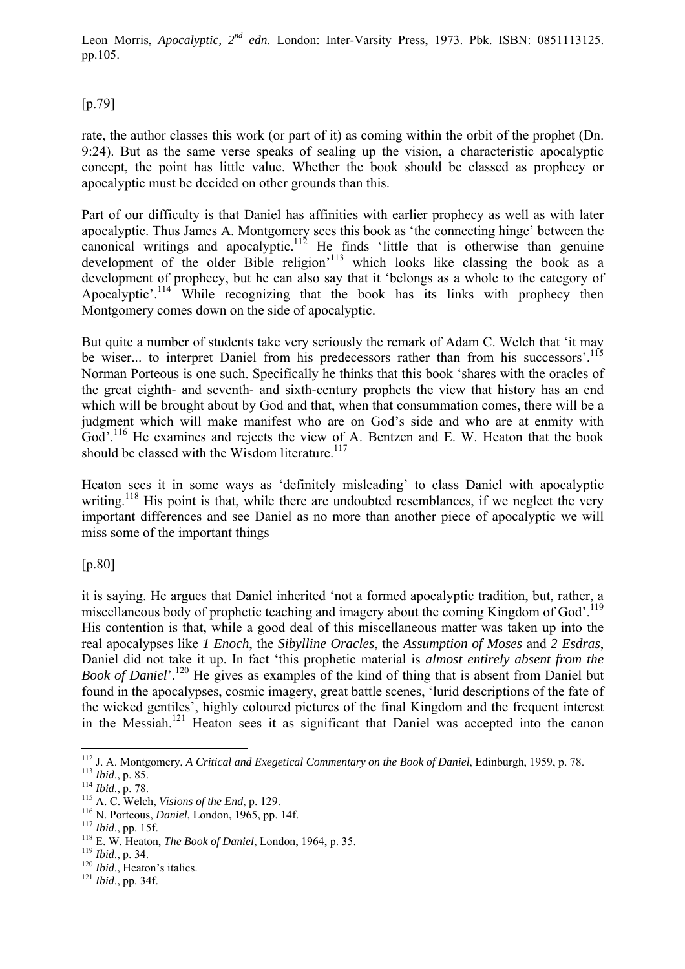[p.79]

rate, the author classes this work (or part of it) as coming within the orbit of the prophet (Dn. 9:24). But as the same verse speaks of sealing up the vision, a characteristic apocalyptic concept, the point has little value. Whether the book should be classed as prophecy or apocalyptic must be decided on other grounds than this.

Part of our difficulty is that Daniel has affinities with earlier prophecy as well as with later apocalyptic. Thus James A. Montgomery sees this book as 'the connecting hinge' between the canonical writings and apocalyptic.<sup>112</sup> He finds 'little that is otherwise than genuine development of the older Bible religion'113 which looks like classing the book as a development of prophecy, but he can also say that it 'belongs as a whole to the category of Apocalyptic'.<sup>114</sup> While recognizing that the book has its links with prophecy then Montgomery comes down on the side of apocalyptic.

But quite a number of students take very seriously the remark of Adam C. Welch that 'it may be wiser... to interpret Daniel from his predecessors rather than from his successors'.<sup>115</sup> Norman Porteous is one such. Specifically he thinks that this book 'shares with the oracles of the great eighth- and seventh- and sixth-century prophets the view that history has an end which will be brought about by God and that, when that consummation comes, there will be a judgment which will make manifest who are on God's side and who are at enmity with God'.<sup>116</sup> He examines and rejects the view of A. Bentzen and E. W. Heaton that the book should be classed with the Wisdom literature.<sup>117</sup>

Heaton sees it in some ways as 'definitely misleading' to class Daniel with apocalyptic writing.<sup>118</sup> His point is that, while there are undoubted resemblances, if we neglect the very important differences and see Daniel as no more than another piece of apocalyptic we will miss some of the important things

[p.80]

it is saying. He argues that Daniel inherited 'not a formed apocalyptic tradition, but, rather, a miscellaneous body of prophetic teaching and imagery about the coming Kingdom of God'.<sup>119</sup> His contention is that, while a good deal of this miscellaneous matter was taken up into the real apocalypses like *1 Enoch*, the *Sibylline Oracles*, the *Assumption of Moses* and *2 Esdras*, Daniel did not take it up. In fact 'this prophetic material is *almost entirely absent from the Book of Daniel*<sup>'</sup>.<sup>120</sup> He gives as examples of the kind of thing that is absent from Daniel but found in the apocalypses, cosmic imagery, great battle scenes, 'lurid descriptions of the fate of the wicked gentiles', highly coloured pictures of the final Kingdom and the frequent interest in the Messiah.<sup>121</sup> Heaton sees it as significant that Daniel was accepted into the canon

 <sup>112</sup> J. A. Montgomery, *A Critical and Exegetical Commentary on the Book of Daniel*, Edinburgh, 1959, p. 78.<br><sup>113</sup> *Ibid.*, p. 85.<br><sup>114</sup> *Ibid.*, p. 78.<br><sup>115</sup> A. C. Welch, *Visions of the End*, p. 129.<br><sup>116</sup> N. Porteous,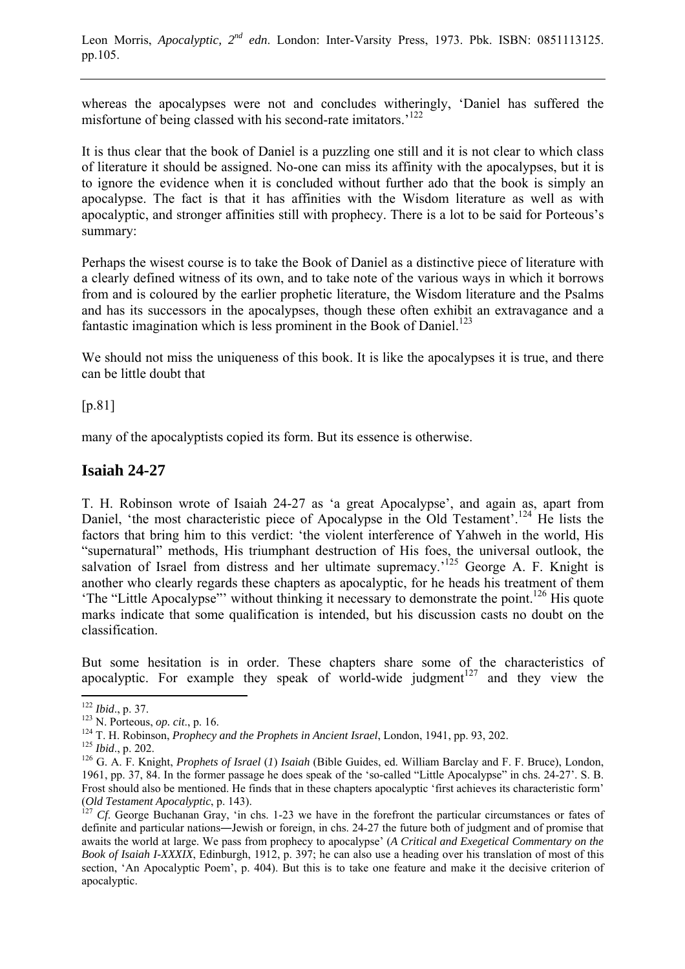whereas the apocalypses were not and concludes witheringly, 'Daniel has suffered the misfortune of being classed with his second-rate imitators.<sup>122</sup>

It is thus clear that the book of Daniel is a puzzling one still and it is not clear to which class of literature it should be assigned. No-one can miss its affinity with the apocalypses, but it is to ignore the evidence when it is concluded without further ado that the book is simply an apocalypse. The fact is that it has affinities with the Wisdom literature as well as with apocalyptic, and stronger affinities still with prophecy. There is a lot to be said for Porteous's summary:

Perhaps the wisest course is to take the Book of Daniel as a distinctive piece of literature with a clearly defined witness of its own, and to take note of the various ways in which it borrows from and is coloured by the earlier prophetic literature, the Wisdom literature and the Psalms and has its successors in the apocalypses, though these often exhibit an extravagance and a fantastic imagination which is less prominent in the Book of Daniel.<sup>123</sup>

We should not miss the uniqueness of this book. It is like the apocalypses it is true, and there can be little doubt that

#### [p.81]

many of the apocalyptists copied its form. But its essence is otherwise.

#### **Isaiah 24-27**

T. H. Robinson wrote of Isaiah 24-27 as 'a great Apocalypse', and again as, apart from Daniel, 'the most characteristic piece of Apocalypse in the Old Testament'.<sup>124</sup> He lists the factors that bring him to this verdict: 'the violent interference of Yahweh in the world, His "supernatural" methods, His triumphant destruction of His foes, the universal outlook, the salvation of Israel from distress and her ultimate supremacy.<sup>125</sup> George A. F. Knight is another who clearly regards these chapters as apocalyptic, for he heads his treatment of them The "Little Apocalypse"' without thinking it necessary to demonstrate the point.<sup>126</sup> His quote marks indicate that some qualification is intended, but his discussion casts no doubt on the classification.

But some hesitation is in order. These chapters share some of the characteristics of apocalyptic. For example they speak of world-wide judgment<sup>127</sup> and they view the

 $122$  *Ibid.*, p. 37.

<sup>&</sup>lt;sup>123</sup> N. Porteous, *op. cit.*, p. 16.<br><sup>124</sup> T. H. Robinson, *Prophecy and the Prophets in Ancient Israel*, London, 1941, pp. 93, 202.<br><sup>125</sup> *Ibid.*, p. 202.<br><sup>126</sup> G. A. F. Knight, *Prophets of Israel* (1) *Isaiah* (Bible 1961, pp. 37, 84. In the former passage he does speak of the 'so-called "Little Apocalypse" in chs. 24-27'. S. B. Frost should also be mentioned. He finds that in these chapters apocalyptic 'first achieves its characteristic form' (*Old Testament Apocalyptic*, p. 143).<br><sup>127</sup> *Cf*. George Buchanan Gray, 'in chs. 1-23 we have in the forefront the particular circumstances or fates of

definite and particular nations―Jewish or foreign, in chs. 24-27 the future both of judgment and of promise that awaits the world at large. We pass from prophecy to apocalypse' (*A Critical and Exegetical Commentary on the Book of Isaiah I-XXXIX*, Edinburgh, 1912, p. 397; he can also use a heading over his translation of most of this section, 'An Apocalyptic Poem', p. 404). But this is to take one feature and make it the decisive criterion of apocalyptic.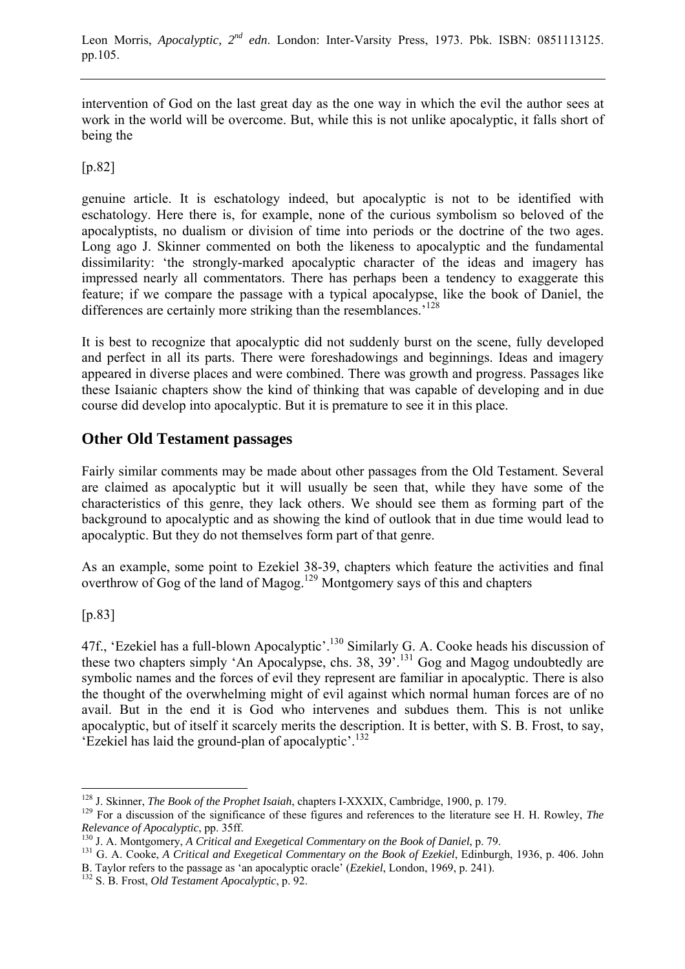intervention of God on the last great day as the one way in which the evil the author sees at work in the world will be overcome. But, while this is not unlike apocalyptic, it falls short of being the

[p.82]

genuine article. It is eschatology indeed, but apocalyptic is not to be identified with eschatology. Here there is, for example, none of the curious symbolism so beloved of the apocalyptists, no dualism or division of time into periods or the doctrine of the two ages. Long ago J. Skinner commented on both the likeness to apocalyptic and the fundamental dissimilarity: 'the strongly-marked apocalyptic character of the ideas and imagery has impressed nearly all commentators. There has perhaps been a tendency to exaggerate this feature; if we compare the passage with a typical apocalypse, like the book of Daniel, the differences are certainly more striking than the resemblances.<sup>'128</sup>

It is best to recognize that apocalyptic did not suddenly burst on the scene, fully developed and perfect in all its parts. There were foreshadowings and beginnings. Ideas and imagery appeared in diverse places and were combined. There was growth and progress. Passages like these Isaianic chapters show the kind of thinking that was capable of developing and in due course did develop into apocalyptic. But it is premature to see it in this place.

### **Other Old Testament passages**

Fairly similar comments may be made about other passages from the Old Testament. Several are claimed as apocalyptic but it will usually be seen that, while they have some of the characteristics of this genre, they lack others. We should see them as forming part of the background to apocalyptic and as showing the kind of outlook that in due time would lead to apocalyptic. But they do not themselves form part of that genre.

As an example, some point to Ezekiel 38-39, chapters which feature the activities and final overthrow of Gog of the land of Magog.129 Montgomery says of this and chapters

[p.83]

47f., 'Ezekiel has a full-blown Apocalyptic'.<sup>130</sup> Similarly G. A. Cooke heads his discussion of these two chapters simply 'An Apocalypse, chs. 38, 39'.131 Gog and Magog undoubtedly are symbolic names and the forces of evil they represent are familiar in apocalyptic. There is also the thought of the overwhelming might of evil against which normal human forces are of no avail. But in the end it is God who intervenes and subdues them. This is not unlike apocalyptic, but of itself it scarcely merits the description. It is better, with S. B. Frost, to say, 'Ezekiel has laid the ground-plan of apocalyptic'.<sup>132</sup>

<sup>&</sup>lt;sup>128</sup> J. Skinner, *The Book of the Prophet Isaiah*, chapters I-XXXIX, Cambridge, 1900, p. 179.

<sup>&</sup>lt;sup>129</sup> For a discussion of the significance of these figures and references to the literature see H. H. Rowley, *The* Relevance of Apocalyptic, pp. 35ff.<br><sup>130</sup> J. A. Montgomery, A Critical and Exegetical Commentary on the Book of Daniel, p. 79.<br><sup>131</sup> G. A. Cooke, A Critical and Exegetical Commentary on the Book of Ezekiel, Edinburgh, 1936

B. Taylor refers to the passage as 'an apocalyptic oracle' (*Ezekiel*, London, 1969, p. 241). 132 S. B. Frost, *Old Testament Apocalyptic*, p. 92.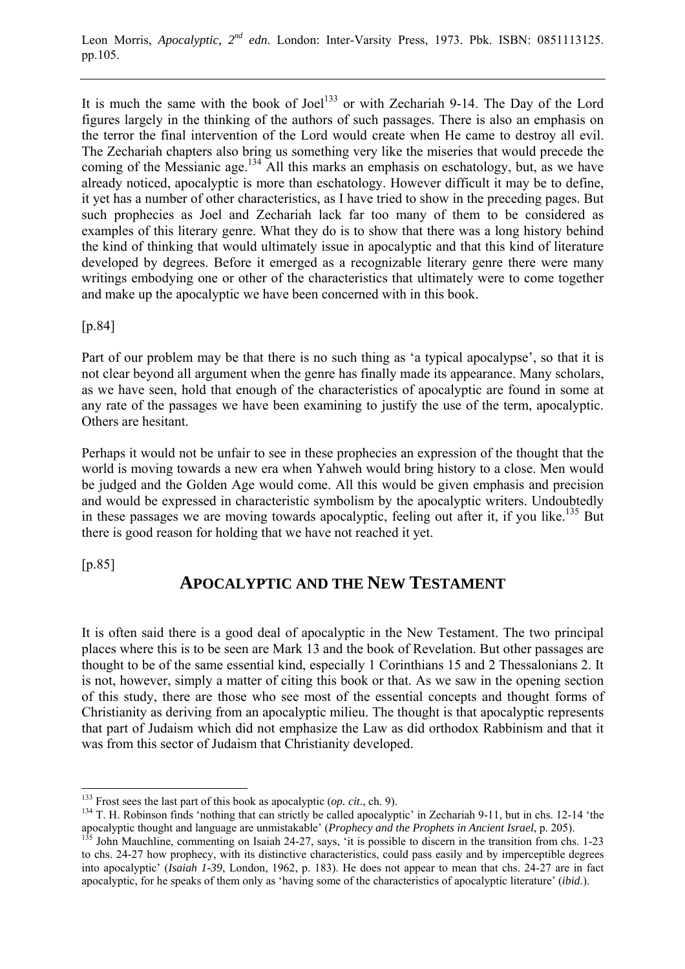It is much the same with the book of  $Joel<sup>133</sup>$  or with Zechariah 9-14. The Day of the Lord figures largely in the thinking of the authors of such passages. There is also an emphasis on the terror the final intervention of the Lord would create when He came to destroy all evil. The Zechariah chapters also bring us something very like the miseries that would precede the coming of the Messianic age.<sup>134</sup> All this marks an emphasis on eschatology, but, as we have already noticed, apocalyptic is more than eschatology. However difficult it may be to define, it yet has a number of other characteristics, as I have tried to show in the preceding pages. But such prophecies as Joel and Zechariah lack far too many of them to be considered as examples of this literary genre. What they do is to show that there was a long history behind the kind of thinking that would ultimately issue in apocalyptic and that this kind of literature developed by degrees. Before it emerged as a recognizable literary genre there were many writings embodying one or other of the characteristics that ultimately were to come together and make up the apocalyptic we have been concerned with in this book.

[p.84]

Part of our problem may be that there is no such thing as 'a typical apocalypse', so that it is not clear beyond all argument when the genre has finally made its appearance. Many scholars, as we have seen, hold that enough of the characteristics of apocalyptic are found in some at any rate of the passages we have been examining to justify the use of the term, apocalyptic. Others are hesitant.

Perhaps it would not be unfair to see in these prophecies an expression of the thought that the world is moving towards a new era when Yahweh would bring history to a close. Men would be judged and the Golden Age would come. All this would be given emphasis and precision and would be expressed in characteristic symbolism by the apocalyptic writers. Undoubtedly in these passages we are moving towards apocalyptic, feeling out after it, if you like.<sup>135</sup> But there is good reason for holding that we have not reached it yet.

[p.85]

 $\overline{a}$ 

### **APOCALYPTIC AND THE NEW TESTAMENT**

It is often said there is a good deal of apocalyptic in the New Testament. The two principal places where this is to be seen are Mark 13 and the book of Revelation. But other passages are thought to be of the same essential kind, especially 1 Corinthians 15 and 2 Thessalonians 2. It is not, however, simply a matter of citing this book or that. As we saw in the opening section of this study, there are those who see most of the essential concepts and thought forms of Christianity as deriving from an apocalyptic milieu. The thought is that apocalyptic represents that part of Judaism which did not emphasize the Law as did orthodox Rabbinism and that it was from this sector of Judaism that Christianity developed.

<sup>&</sup>lt;sup>133</sup> Frost sees the last part of this book as apocalyptic (*op. cit.*, ch. 9).<br><sup>134</sup> T. H. Robinson finds 'nothing that can strictly be called apocalyptic' in Zechariah 9-11, but in chs. 12-14 'the apocalyptic thought and language are unmistakable' (*Prophecy and the Prophets in Ancient Israel*, p. 205).<br><sup>135</sup> John Mauchline, commenting on Isaiah 24-27, says, 'it is possible to discern in the transition from chs. 1-2

to chs. 24-27 how prophecy, with its distinctive characteristics, could pass easily and by imperceptible degrees into apocalyptic' (*Isaiah 1-39*, London, 1962, p. 183). He does not appear to mean that chs. 24-27 are in fact apocalyptic, for he speaks of them only as 'having some of the characteristics of apocalyptic literature' (*ibid*.).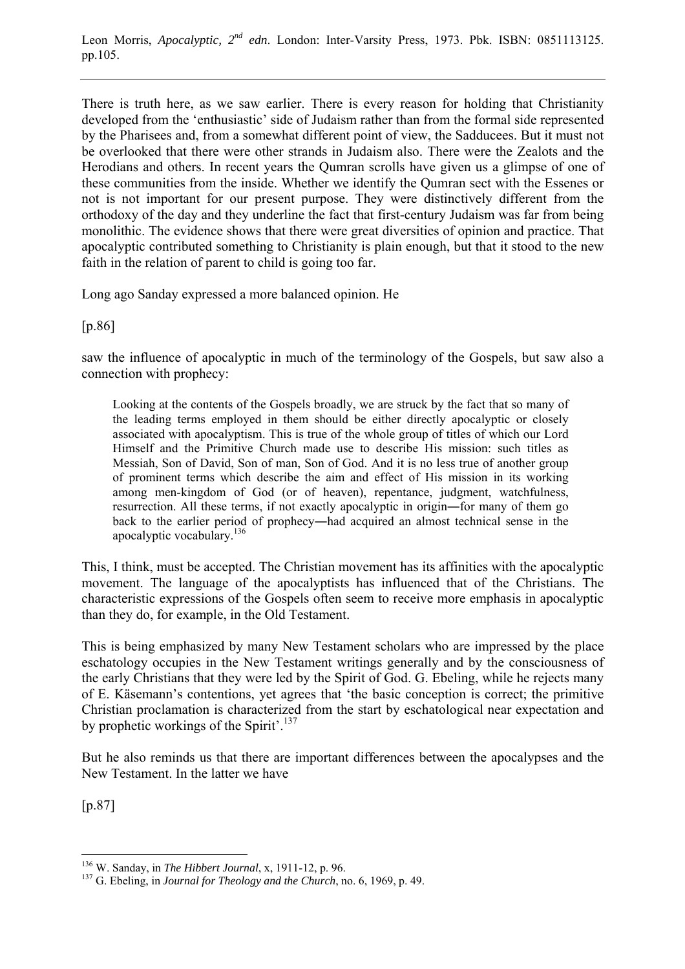There is truth here, as we saw earlier. There is every reason for holding that Christianity developed from the 'enthusiastic' side of Judaism rather than from the formal side represented by the Pharisees and, from a somewhat different point of view, the Sadducees. But it must not be overlooked that there were other strands in Judaism also. There were the Zealots and the Herodians and others. In recent years the Qumran scrolls have given us a glimpse of one of these communities from the inside. Whether we identify the Qumran sect with the Essenes or not is not important for our present purpose. They were distinctively different from the orthodoxy of the day and they underline the fact that first-century Judaism was far from being monolithic. The evidence shows that there were great diversities of opinion and practice. That apocalyptic contributed something to Christianity is plain enough, but that it stood to the new faith in the relation of parent to child is going too far.

Long ago Sanday expressed a more balanced opinion. He

[p.86]

saw the influence of apocalyptic in much of the terminology of the Gospels, but saw also a connection with prophecy:

Looking at the contents of the Gospels broadly, we are struck by the fact that so many of the leading terms employed in them should be either directly apocalyptic or closely associated with apocalyptism. This is true of the whole group of titles of which our Lord Himself and the Primitive Church made use to describe His mission: such titles as Messiah, Son of David, Son of man, Son of God. And it is no less true of another group of prominent terms which describe the aim and effect of His mission in its working among men-kingdom of God (or of heaven), repentance, judgment, watchfulness, resurrection. All these terms, if not exactly apocalyptic in origin—for many of them go back to the earlier period of prophecy―had acquired an almost technical sense in the apocalyptic vocabulary.136

This, I think, must be accepted. The Christian movement has its affinities with the apocalyptic movement. The language of the apocalyptists has influenced that of the Christians. The characteristic expressions of the Gospels often seem to receive more emphasis in apocalyptic than they do, for example, in the Old Testament.

This is being emphasized by many New Testament scholars who are impressed by the place eschatology occupies in the New Testament writings generally and by the consciousness of the early Christians that they were led by the Spirit of God. G. Ebeling, while he rejects many of E. Käsemann's contentions, yet agrees that 'the basic conception is correct; the primitive Christian proclamation is characterized from the start by eschatological near expectation and by prophetic workings of the Spirit'.<sup>137</sup>

But he also reminds us that there are important differences between the apocalypses and the New Testament. In the latter we have

[p.87]

 $\overline{a}$ 

<sup>&</sup>lt;sup>136</sup> W. Sanday, in *The Hibbert Journal*, x, 1911-12, p. 96.<br><sup>137</sup> G. Ebeling, in *Journal for Theology and the Church*, no. 6, 1969, p. 49.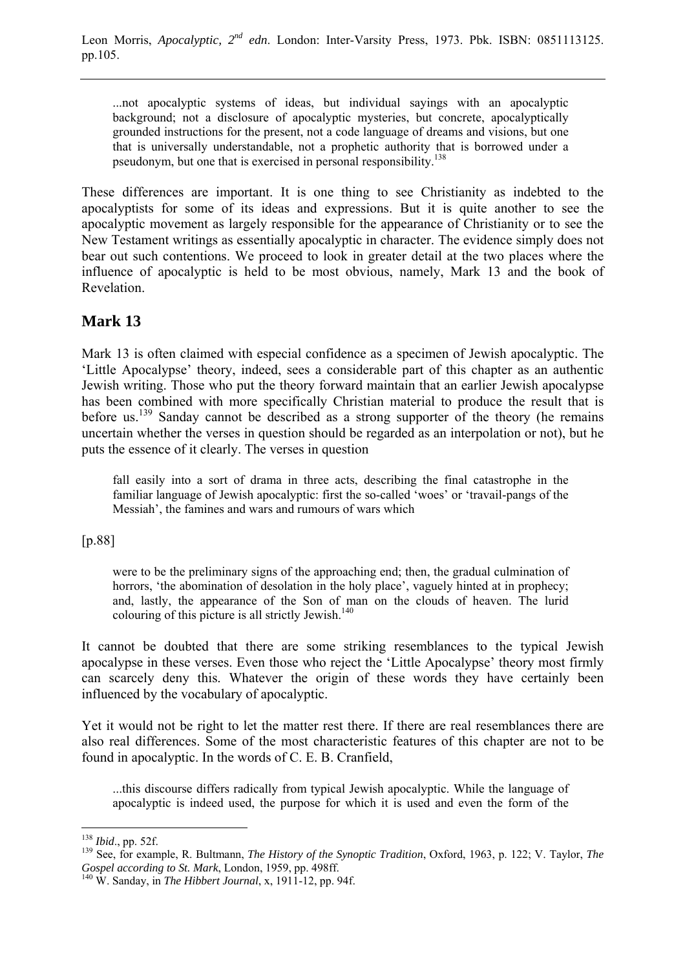...not apocalyptic systems of ideas, but individual sayings with an apocalyptic background; not a disclosure of apocalyptic mysteries, but concrete, apocalyptically grounded instructions for the present, not a code language of dreams and visions, but one that is universally understandable, not a prophetic authority that is borrowed under a pseudonym, but one that is exercised in personal responsibility.138

These differences are important. It is one thing to see Christianity as indebted to the apocalyptists for some of its ideas and expressions. But it is quite another to see the apocalyptic movement as largely responsible for the appearance of Christianity or to see the New Testament writings as essentially apocalyptic in character. The evidence simply does not bear out such contentions. We proceed to look in greater detail at the two places where the influence of apocalyptic is held to be most obvious, namely, Mark 13 and the book of Revelation.

### **Mark 13**

Mark 13 is often claimed with especial confidence as a specimen of Jewish apocalyptic. The 'Little Apocalypse' theory, indeed, sees a considerable part of this chapter as an authentic Jewish writing. Those who put the theory forward maintain that an earlier Jewish apocalypse has been combined with more specifically Christian material to produce the result that is before us.<sup>139</sup> Sanday cannot be described as a strong supporter of the theory (he remains uncertain whether the verses in question should be regarded as an interpolation or not), but he puts the essence of it clearly. The verses in question

fall easily into a sort of drama in three acts, describing the final catastrophe in the familiar language of Jewish apocalyptic: first the so-called 'woes' or 'travail-pangs of the Messiah', the famines and wars and rumours of wars which

#### [p.88]

were to be the preliminary signs of the approaching end; then, the gradual culmination of horrors, 'the abomination of desolation in the holy place', vaguely hinted at in prophecy; and, lastly, the appearance of the Son of man on the clouds of heaven. The lurid colouring of this picture is all strictly Jewish.<sup>140</sup>

It cannot be doubted that there are some striking resemblances to the typical Jewish apocalypse in these verses. Even those who reject the 'Little Apocalypse' theory most firmly can scarcely deny this. Whatever the origin of these words they have certainly been influenced by the vocabulary of apocalyptic.

Yet it would not be right to let the matter rest there. If there are real resemblances there are also real differences. Some of the most characteristic features of this chapter are not to be found in apocalyptic. In the words of C. E. B. Cranfield,

...this discourse differs radically from typical Jewish apocalyptic. While the language of apocalyptic is indeed used, the purpose for which it is used and even the form of the

 $138$  *Ibid.*, pp. 52f.

<sup>&</sup>lt;sup>139</sup> See, for example, R. Bultmann, *The History of the Synoptic Tradition*, Oxford, 1963, p. 122; V. Taylor, *The Gospel according to St. Mark*, London, 1959, pp. 498ff.

<sup>&</sup>lt;sup>140</sup> W. Sanday, in *The Hibbert Journal*, x, 1911-12, pp. 94f.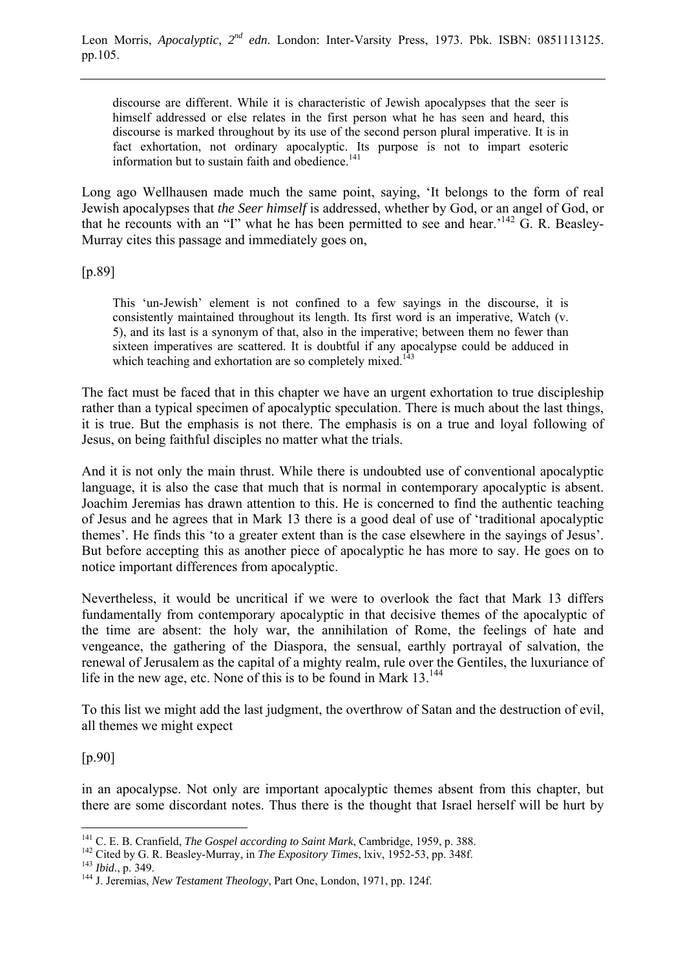discourse are different. While it is characteristic of Jewish apocalypses that the seer is himself addressed or else relates in the first person what he has seen and heard, this discourse is marked throughout by its use of the second person plural imperative. It is in fact exhortation, not ordinary apocalyptic. Its purpose is not to impart esoteric information but to sustain faith and obedience.<sup>141</sup>

Long ago Wellhausen made much the same point, saying, 'It belongs to the form of real Jewish apocalypses that *the Seer himself* is addressed, whether by God, or an angel of God, or that he recounts with an "I" what he has been permitted to see and hear.<sup> $142$ </sup> G. R. Beasley-Murray cites this passage and immediately goes on,

[p.89]

This 'un-Jewish' element is not confined to a few sayings in the discourse, it is consistently maintained throughout its length. Its first word is an imperative, Watch (v. 5), and its last is a synonym of that, also in the imperative; between them no fewer than sixteen imperatives are scattered. It is doubtful if any apocalypse could be adduced in which teaching and exhortation are so completely mixed.<sup>143</sup>

The fact must be faced that in this chapter we have an urgent exhortation to true discipleship rather than a typical specimen of apocalyptic speculation. There is much about the last things, it is true. But the emphasis is not there. The emphasis is on a true and loyal following of Jesus, on being faithful disciples no matter what the trials.

And it is not only the main thrust. While there is undoubted use of conventional apocalyptic language, it is also the case that much that is normal in contemporary apocalyptic is absent. Joachim Jeremias has drawn attention to this. He is concerned to find the authentic teaching of Jesus and he agrees that in Mark 13 there is a good deal of use of 'traditional apocalyptic themes'. He finds this 'to a greater extent than is the case elsewhere in the sayings of Jesus'. But before accepting this as another piece of apocalyptic he has more to say. He goes on to notice important differences from apocalyptic.

Nevertheless, it would be uncritical if we were to overlook the fact that Mark 13 differs fundamentally from contemporary apocalyptic in that decisive themes of the apocalyptic of the time are absent: the holy war, the annihilation of Rome, the feelings of hate and vengeance, the gathering of the Diaspora, the sensual, earthly portrayal of salvation, the renewal of Jerusalem as the capital of a mighty realm, rule over the Gentiles, the luxuriance of life in the new age, etc. None of this is to be found in Mark  $13^{144}$ .

To this list we might add the last judgment, the overthrow of Satan and the destruction of evil, all themes we might expect

[p.90]

in an apocalypse. Not only are important apocalyptic themes absent from this chapter, but there are some discordant notes. Thus there is the thought that Israel herself will be hurt by

<sup>&</sup>lt;sup>141</sup> C. E. B. Cranfield, *The Gospel according to Saint Mark*, Cambridge, 1959, p. 388.

<sup>&</sup>lt;sup>142</sup> Cited by G. R. Beasley-Murray, in *The Expository Times*, lxiv, 1952-53, pp. 348f.<br><sup>143</sup> *Ibid.*, p. 349.<br><sup>144</sup> J. Jeremias, *New Testament Theology*, Part One, London, 1971, pp. 124f.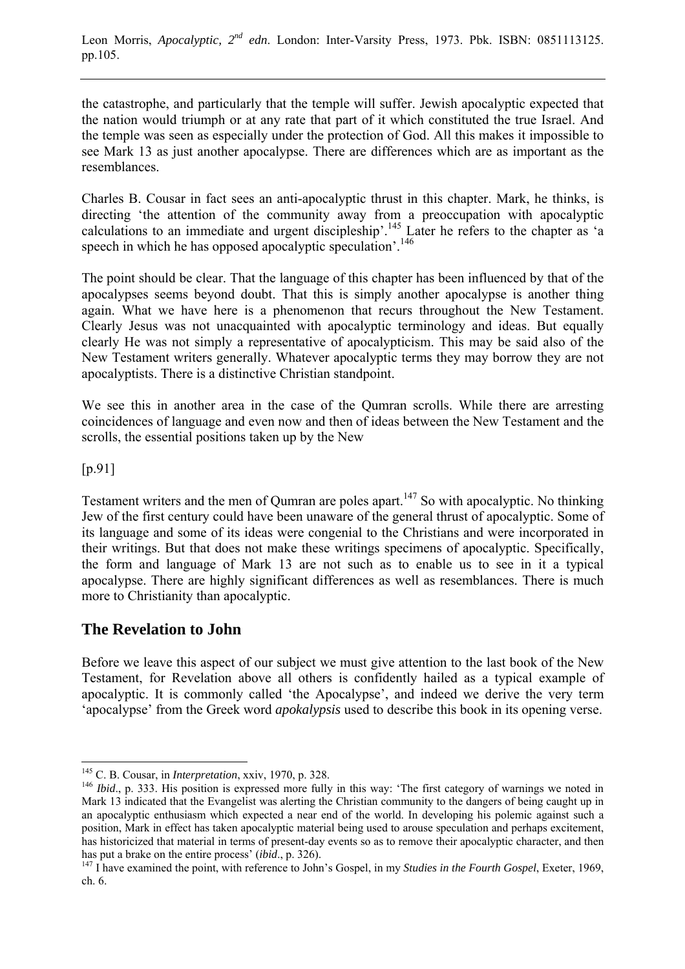the catastrophe, and particularly that the temple will suffer. Jewish apocalyptic expected that the nation would triumph or at any rate that part of it which constituted the true Israel. And the temple was seen as especially under the protection of God. All this makes it impossible to see Mark 13 as just another apocalypse. There are differences which are as important as the resemblances.

Charles B. Cousar in fact sees an anti-apocalyptic thrust in this chapter. Mark, he thinks, is directing 'the attention of the community away from a preoccupation with apocalyptic calculations to an immediate and urgent discipleship'.145 Later he refers to the chapter as 'a speech in which he has opposed apocalyptic speculation'.<sup>146</sup>

The point should be clear. That the language of this chapter has been influenced by that of the apocalypses seems beyond doubt. That this is simply another apocalypse is another thing again. What we have here is a phenomenon that recurs throughout the New Testament. Clearly Jesus was not unacquainted with apocalyptic terminology and ideas. But equally clearly He was not simply a representative of apocalypticism. This may be said also of the New Testament writers generally. Whatever apocalyptic terms they may borrow they are not apocalyptists. There is a distinctive Christian standpoint.

We see this in another area in the case of the Qumran scrolls. While there are arresting coincidences of language and even now and then of ideas between the New Testament and the scrolls, the essential positions taken up by the New

[p.91]

Testament writers and the men of Qumran are poles apart.<sup>147</sup> So with apocalyptic. No thinking Jew of the first century could have been unaware of the general thrust of apocalyptic. Some of its language and some of its ideas were congenial to the Christians and were incorporated in their writings. But that does not make these writings specimens of apocalyptic. Specifically, the form and language of Mark 13 are not such as to enable us to see in it a typical apocalypse. There are highly significant differences as well as resemblances. There is much more to Christianity than apocalyptic.

### **The Revelation to John**

Before we leave this aspect of our subject we must give attention to the last book of the New Testament, for Revelation above all others is confidently hailed as a typical example of apocalyptic. It is commonly called 'the Apocalypse', and indeed we derive the very term 'apocalypse' from the Greek word *apokalypsis* used to describe this book in its opening verse.

<sup>&</sup>lt;sup>145</sup> C. B. Cousar, in *Interpretation*, xxiv, 1970, p. 328.

<sup>&</sup>lt;sup>146</sup> Ibid., p. 333. His position is expressed more fully in this way: 'The first category of warnings we noted in Mark 13 indicated that the Evangelist was alerting the Christian community to the dangers of being caught up in an apocalyptic enthusiasm which expected a near end of the world. In developing his polemic against such a position, Mark in effect has taken apocalyptic material being used to arouse speculation and perhaps excitement, has historicized that material in terms of present-day events so as to remove their apocalyptic character, and then has put a brake on the entire process' (*ibid.*, p. 326).<br><sup>147</sup> I have examined the point, with reference to John's Gospel, in my *Studies in the Fourth Gospel*, Exeter, 1969,

ch. 6.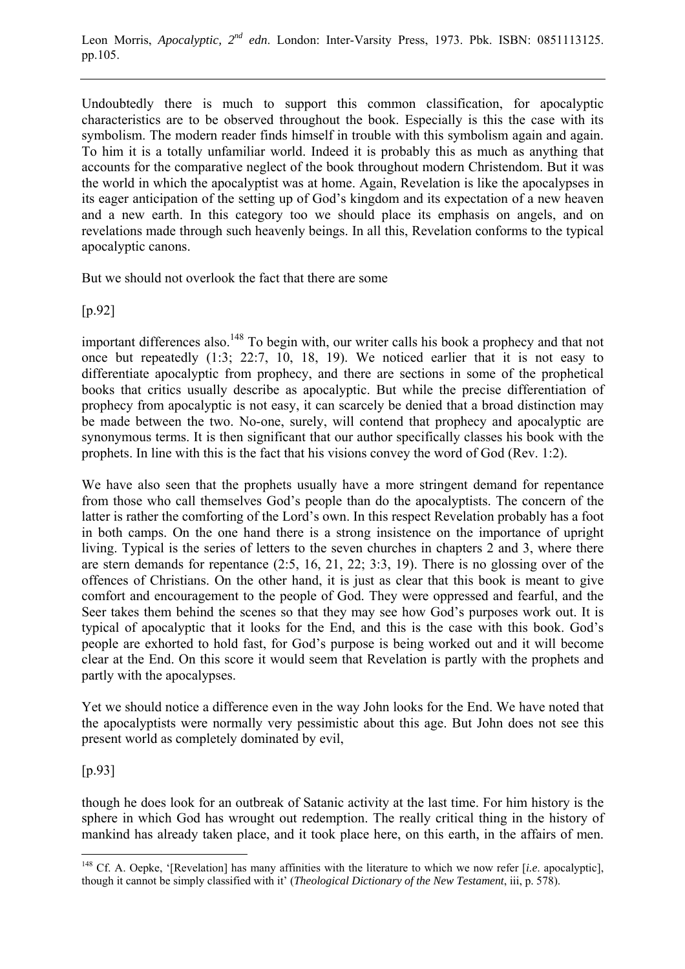Undoubtedly there is much to support this common classification, for apocalyptic characteristics are to be observed throughout the book. Especially is this the case with its symbolism. The modern reader finds himself in trouble with this symbolism again and again. To him it is a totally unfamiliar world. Indeed it is probably this as much as anything that accounts for the comparative neglect of the book throughout modern Christendom. But it was the world in which the apocalyptist was at home. Again, Revelation is like the apocalypses in its eager anticipation of the setting up of God's kingdom and its expectation of a new heaven and a new earth. In this category too we should place its emphasis on angels, and on revelations made through such heavenly beings. In all this, Revelation conforms to the typical apocalyptic canons.

But we should not overlook the fact that there are some

[p.92]

important differences also.<sup>148</sup> To begin with, our writer calls his book a prophecy and that not once but repeatedly (1:3; 22:7, 10, 18, 19). We noticed earlier that it is not easy to differentiate apocalyptic from prophecy, and there are sections in some of the prophetical books that critics usually describe as apocalyptic. But while the precise differentiation of prophecy from apocalyptic is not easy, it can scarcely be denied that a broad distinction may be made between the two. No-one, surely, will contend that prophecy and apocalyptic are synonymous terms. It is then significant that our author specifically classes his book with the prophets. In line with this is the fact that his visions convey the word of God (Rev. 1:2).

We have also seen that the prophets usually have a more stringent demand for repentance from those who call themselves God's people than do the apocalyptists. The concern of the latter is rather the comforting of the Lord's own. In this respect Revelation probably has a foot in both camps. On the one hand there is a strong insistence on the importance of upright living. Typical is the series of letters to the seven churches in chapters 2 and 3, where there are stern demands for repentance (2:5, 16, 21, 22; 3:3, 19). There is no glossing over of the offences of Christians. On the other hand, it is just as clear that this book is meant to give comfort and encouragement to the people of God. They were oppressed and fearful, and the Seer takes them behind the scenes so that they may see how God's purposes work out. It is typical of apocalyptic that it looks for the End, and this is the case with this book. God's people are exhorted to hold fast, for God's purpose is being worked out and it will become clear at the End. On this score it would seem that Revelation is partly with the prophets and partly with the apocalypses.

Yet we should notice a difference even in the way John looks for the End. We have noted that the apocalyptists were normally very pessimistic about this age. But John does not see this present world as completely dominated by evil,

[p.93]

though he does look for an outbreak of Satanic activity at the last time. For him history is the sphere in which God has wrought out redemption. The really critical thing in the history of mankind has already taken place, and it took place here, on this earth, in the affairs of men.

 $\overline{a}$ 148 Cf. A. Oepke, '[Revelation] has many affinities with the literature to which we now refer [*i.e*. apocalyptic], though it cannot be simply classified with it' (*Theological Dictionary of the New Testament*, iii, p. 578).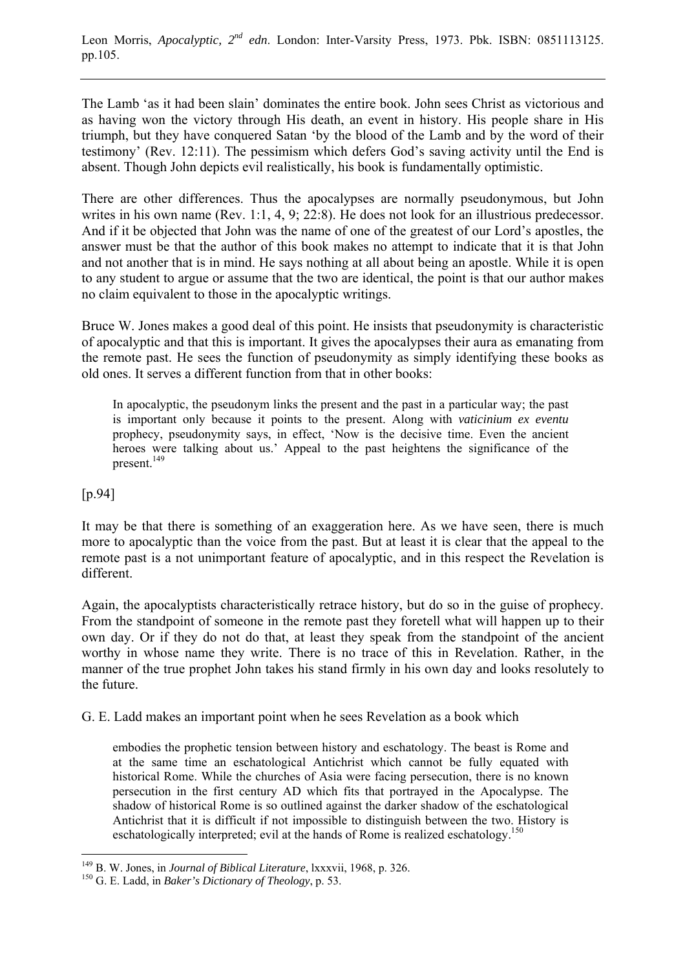The Lamb 'as it had been slain' dominates the entire book. John sees Christ as victorious and as having won the victory through His death, an event in history. His people share in His triumph, but they have conquered Satan 'by the blood of the Lamb and by the word of their testimony' (Rev. 12:11). The pessimism which defers God's saving activity until the End is absent. Though John depicts evil realistically, his book is fundamentally optimistic.

There are other differences. Thus the apocalypses are normally pseudonymous, but John writes in his own name (Rev. 1:1, 4, 9; 22:8). He does not look for an illustrious predecessor. And if it be objected that John was the name of one of the greatest of our Lord's apostles, the answer must be that the author of this book makes no attempt to indicate that it is that John and not another that is in mind. He says nothing at all about being an apostle. While it is open to any student to argue or assume that the two are identical, the point is that our author makes no claim equivalent to those in the apocalyptic writings.

Bruce W. Jones makes a good deal of this point. He insists that pseudonymity is characteristic of apocalyptic and that this is important. It gives the apocalypses their aura as emanating from the remote past. He sees the function of pseudonymity as simply identifying these books as old ones. It serves a different function from that in other books:

In apocalyptic, the pseudonym links the present and the past in a particular way; the past is important only because it points to the present. Along with *vaticinium ex eventu* prophecy, pseudonymity says, in effect, 'Now is the decisive time. Even the ancient heroes were talking about us.' Appeal to the past heightens the significance of the present.<sup>149</sup>

[p.94]

 $\overline{a}$ 

It may be that there is something of an exaggeration here. As we have seen, there is much more to apocalyptic than the voice from the past. But at least it is clear that the appeal to the remote past is a not unimportant feature of apocalyptic, and in this respect the Revelation is different.

Again, the apocalyptists characteristically retrace history, but do so in the guise of prophecy. From the standpoint of someone in the remote past they foretell what will happen up to their own day. Or if they do not do that, at least they speak from the standpoint of the ancient worthy in whose name they write. There is no trace of this in Revelation. Rather, in the manner of the true prophet John takes his stand firmly in his own day and looks resolutely to the future.

G. E. Ladd makes an important point when he sees Revelation as a book which

embodies the prophetic tension between history and eschatology. The beast is Rome and at the same time an eschatological Antichrist which cannot be fully equated with historical Rome. While the churches of Asia were facing persecution, there is no known persecution in the first century AD which fits that portrayed in the Apocalypse. The shadow of historical Rome is so outlined against the darker shadow of the eschatological Antichrist that it is difficult if not impossible to distinguish between the two. History is eschatologically interpreted; evil at the hands of Rome is realized eschatology.<sup>150</sup>

<sup>&</sup>lt;sup>149</sup> B. W. Jones, in *Journal of Biblical Literature*, lxxxvii, 1968, p. 326. <sup>150</sup> G. E. Ladd, in *Baker's Dictionary of Theology*, p. 53.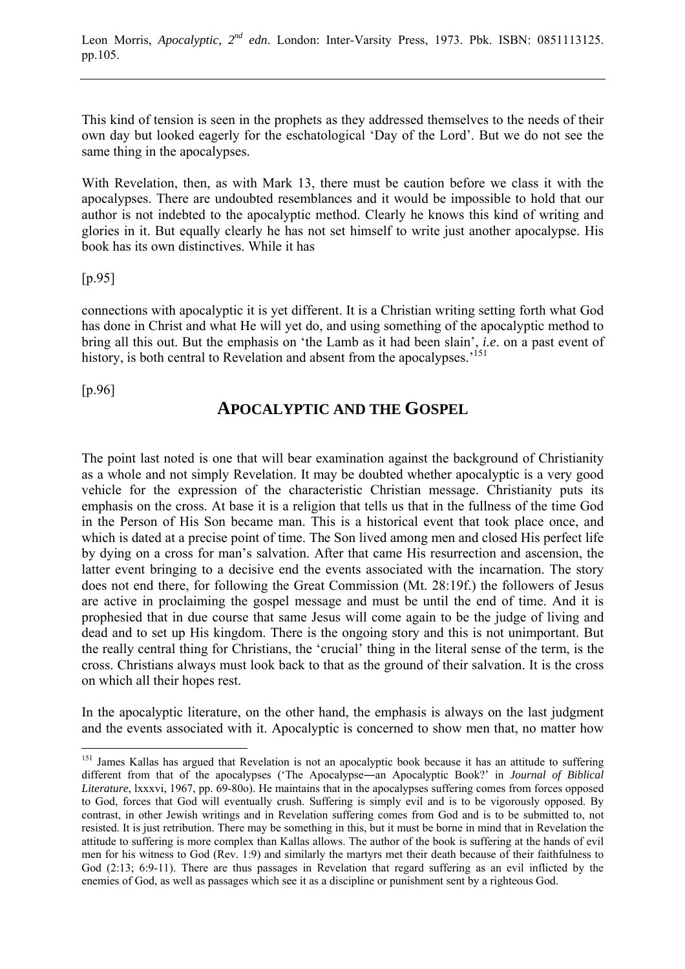This kind of tension is seen in the prophets as they addressed themselves to the needs of their own day but looked eagerly for the eschatological 'Day of the Lord'. But we do not see the same thing in the apocalypses.

With Revelation, then, as with Mark 13, there must be caution before we class it with the apocalypses. There are undoubted resemblances and it would be impossible to hold that our author is not indebted to the apocalyptic method. Clearly he knows this kind of writing and glories in it. But equally clearly he has not set himself to write just another apocalypse. His book has its own distinctives. While it has

[p.95]

connections with apocalyptic it is yet different. It is a Christian writing setting forth what God has done in Christ and what He will yet do, and using something of the apocalyptic method to bring all this out. But the emphasis on 'the Lamb as it had been slain', *i.e*. on a past event of history, is both central to Revelation and absent from the apocalypses.<sup>151</sup>

[p.96]

#### **APOCALYPTIC AND THE GOSPEL**

The point last noted is one that will bear examination against the background of Christianity as a whole and not simply Revelation. It may be doubted whether apocalyptic is a very good vehicle for the expression of the characteristic Christian message. Christianity puts its emphasis on the cross. At base it is a religion that tells us that in the fullness of the time God in the Person of His Son became man. This is a historical event that took place once, and which is dated at a precise point of time. The Son lived among men and closed His perfect life by dying on a cross for man's salvation. After that came His resurrection and ascension, the latter event bringing to a decisive end the events associated with the incarnation. The story does not end there, for following the Great Commission (Mt. 28:19f.) the followers of Jesus are active in proclaiming the gospel message and must be until the end of time. And it is prophesied that in due course that same Jesus will come again to be the judge of living and dead and to set up His kingdom. There is the ongoing story and this is not unimportant. But the really central thing for Christians, the 'crucial' thing in the literal sense of the term, is the cross. Christians always must look back to that as the ground of their salvation. It is the cross on which all their hopes rest.

In the apocalyptic literature, on the other hand, the emphasis is always on the last judgment and the events associated with it. Apocalyptic is concerned to show men that, no matter how

<sup>&</sup>lt;sup>151</sup> James Kallas has argued that Revelation is not an apocalyptic book because it has an attitude to suffering different from that of the apocalypses ('The Apocalypse―an Apocalyptic Book?' in *Journal of Biblical Literature*, lxxxvi, 1967, pp. 69-80o). He maintains that in the apocalypses suffering comes from forces opposed to God, forces that God will eventually crush. Suffering is simply evil and is to be vigorously opposed. By contrast, in other Jewish writings and in Revelation suffering comes from God and is to be submitted to, not resisted. It is just retribution. There may be something in this, but it must be borne in mind that in Revelation the attitude to suffering is more complex than Kallas allows. The author of the book is suffering at the hands of evil men for his witness to God (Rev. 1:9) and similarly the martyrs met their death because of their faithfulness to God (2:13; 6:9-11). There are thus passages in Revelation that regard suffering as an evil inflicted by the enemies of God, as well as passages which see it as a discipline or punishment sent by a righteous God.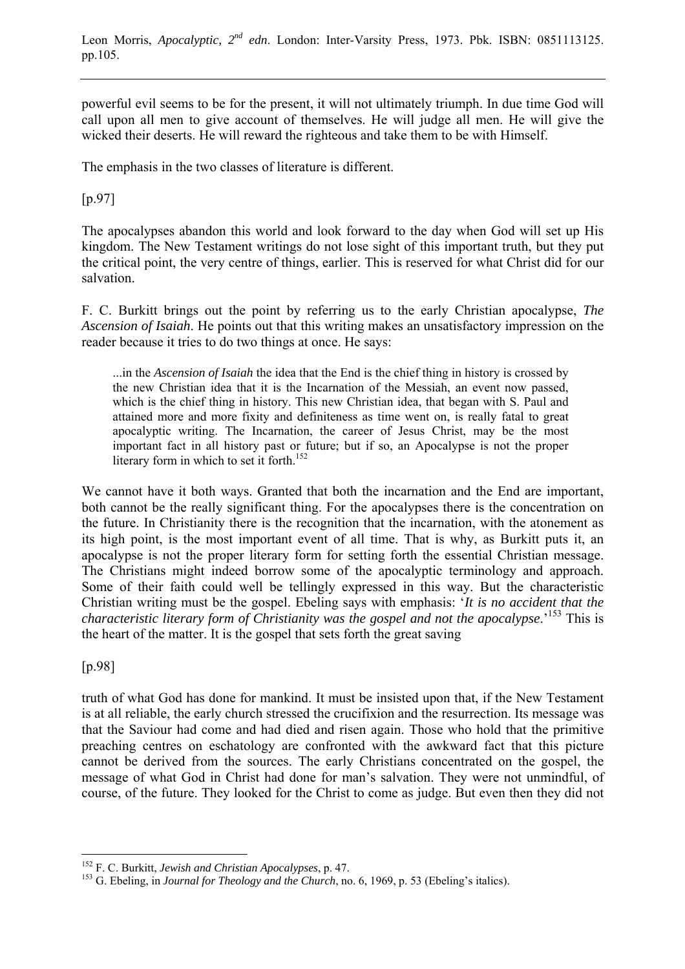powerful evil seems to be for the present, it will not ultimately triumph. In due time God will call upon all men to give account of themselves. He will judge all men. He will give the wicked their deserts. He will reward the righteous and take them to be with Himself.

The emphasis in the two classes of literature is different.

[p.97]

The apocalypses abandon this world and look forward to the day when God will set up His kingdom. The New Testament writings do not lose sight of this important truth, but they put the critical point, the very centre of things, earlier. This is reserved for what Christ did for our salvation.

F. C. Burkitt brings out the point by referring us to the early Christian apocalypse, *The Ascension of Isaiah*. He points out that this writing makes an unsatisfactory impression on the reader because it tries to do two things at once. He says:

...in the *Ascension of Isaiah* the idea that the End is the chief thing in history is crossed by the new Christian idea that it is the Incarnation of the Messiah, an event now passed, which is the chief thing in history. This new Christian idea, that began with S. Paul and attained more and more fixity and definiteness as time went on, is really fatal to great apocalyptic writing. The Incarnation, the career of Jesus Christ, may be the most important fact in all history past or future; but if so, an Apocalypse is not the proper literary form in which to set it forth.<sup>152</sup>

We cannot have it both ways. Granted that both the incarnation and the End are important, both cannot be the really significant thing. For the apocalypses there is the concentration on the future. In Christianity there is the recognition that the incarnation, with the atonement as its high point, is the most important event of all time. That is why, as Burkitt puts it, an apocalypse is not the proper literary form for setting forth the essential Christian message. The Christians might indeed borrow some of the apocalyptic terminology and approach. Some of their faith could well be tellingly expressed in this way. But the characteristic Christian writing must be the gospel. Ebeling says with emphasis: '*It is no accident that the characteristic literary form of Christianity was the gospel and not the apocalypse*.'153 This is the heart of the matter. It is the gospel that sets forth the great saving

[p.98]

truth of what God has done for mankind. It must be insisted upon that, if the New Testament is at all reliable, the early church stressed the crucifixion and the resurrection. Its message was that the Saviour had come and had died and risen again. Those who hold that the primitive preaching centres on eschatology are confronted with the awkward fact that this picture cannot be derived from the sources. The early Christians concentrated on the gospel, the message of what God in Christ had done for man's salvation. They were not unmindful, of course, of the future. They looked for the Christ to come as judge. But even then they did not

<sup>&</sup>lt;sup>152</sup> F. C. Burkitt, Jewish and Christian Apocalypses, p. 47.

<sup>&</sup>lt;sup>153</sup> G. Ebeling, in *Journal for Theology and the Church*, no. 6, 1969, p. 53 (Ebeling's italics).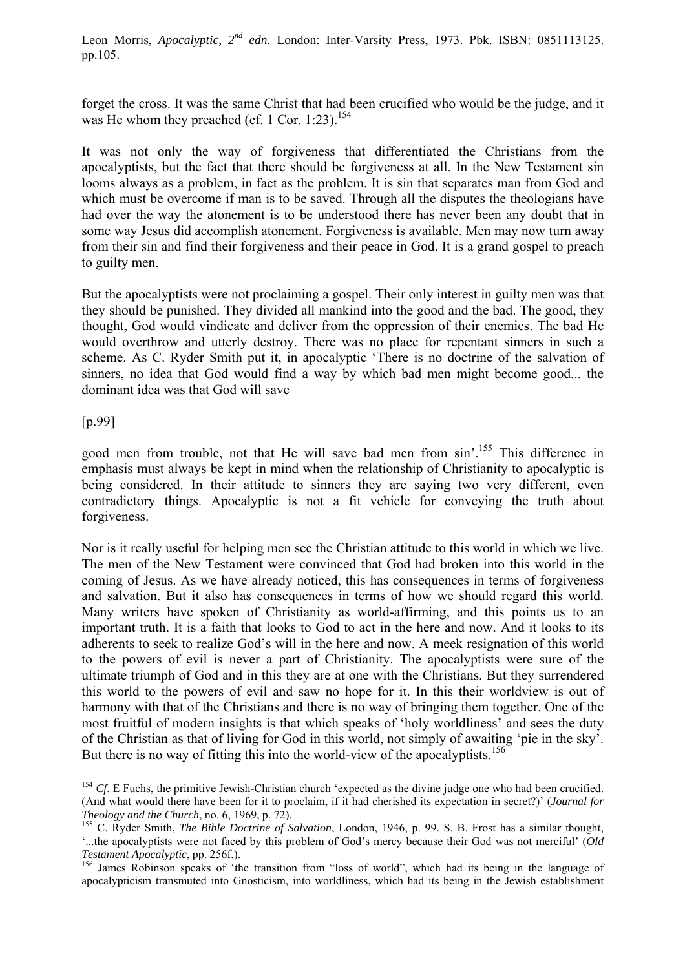forget the cross. It was the same Christ that had been crucified who would be the judge, and it was He whom they preached (cf. 1 Cor. 1:23).<sup>154</sup>

It was not only the way of forgiveness that differentiated the Christians from the apocalyptists, but the fact that there should be forgiveness at all. In the New Testament sin looms always as a problem, in fact as the problem. It is sin that separates man from God and which must be overcome if man is to be saved. Through all the disputes the theologians have had over the way the atonement is to be understood there has never been any doubt that in some way Jesus did accomplish atonement. Forgiveness is available. Men may now turn away from their sin and find their forgiveness and their peace in God. It is a grand gospel to preach to guilty men.

But the apocalyptists were not proclaiming a gospel. Their only interest in guilty men was that they should be punished. They divided all mankind into the good and the bad. The good, they thought, God would vindicate and deliver from the oppression of their enemies. The bad He would overthrow and utterly destroy. There was no place for repentant sinners in such a scheme. As C. Ryder Smith put it, in apocalyptic 'There is no doctrine of the salvation of sinners, no idea that God would find a way by which bad men might become good... the dominant idea was that God will save

[p.99]

 $\overline{a}$ 

good men from trouble, not that He will save bad men from sin'.155 This difference in emphasis must always be kept in mind when the relationship of Christianity to apocalyptic is being considered. In their attitude to sinners they are saying two very different, even contradictory things. Apocalyptic is not a fit vehicle for conveying the truth about forgiveness.

Nor is it really useful for helping men see the Christian attitude to this world in which we live. The men of the New Testament were convinced that God had broken into this world in the coming of Jesus. As we have already noticed, this has consequences in terms of forgiveness and salvation. But it also has consequences in terms of how we should regard this world. Many writers have spoken of Christianity as world-affirming, and this points us to an important truth. It is a faith that looks to God to act in the here and now. And it looks to its adherents to seek to realize God's will in the here and now. A meek resignation of this world to the powers of evil is never a part of Christianity. The apocalyptists were sure of the ultimate triumph of God and in this they are at one with the Christians. But they surrendered this world to the powers of evil and saw no hope for it. In this their worldview is out of harmony with that of the Christians and there is no way of bringing them together. One of the most fruitful of modern insights is that which speaks of 'holy worldliness' and sees the duty of the Christian as that of living for God in this world, not simply of awaiting 'pie in the sky'. But there is no way of fitting this into the world-view of the apocalyptists.<sup>156</sup>

 $^{154}$  *Cf*. E Fuchs, the primitive Jewish-Christian church 'expected as the divine judge one who had been crucified. (And what would there have been for it to proclaim, if it had cherished its expectation in secret?)' (*Journal for* 

*Theology and the Church*, no. 6, 1969, p. 72).<br><sup>155</sup> C. Ryder Smith, *The Bible Doctrine of Salvation*, London, 1946, p. 99. S. B. Frost has a similar thought, '...the apocalyptists were not faced by this problem of God's mercy because their God was not merciful' (*Old* 

*Testament Apocalyptic*, pp. 256f.).<br><sup>156</sup> James Robinson speaks of 'the transition from "loss of world", which had its being in the language of apocalypticism transmuted into Gnosticism, into worldliness, which had its being in the Jewish establishment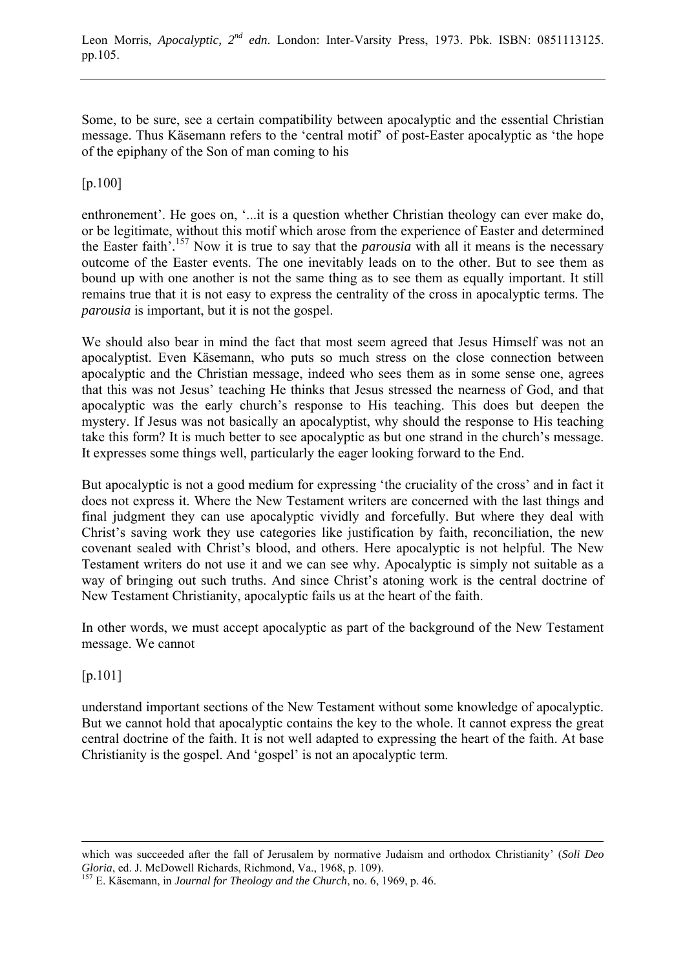Some, to be sure, see a certain compatibility between apocalyptic and the essential Christian message. Thus Käsemann refers to the 'central motif' of post-Easter apocalyptic as 'the hope of the epiphany of the Son of man coming to his

[p.100]

enthronement'. He goes on, '...it is a question whether Christian theology can ever make do, or be legitimate, without this motif which arose from the experience of Easter and determined the Easter faith'.157 Now it is true to say that the *parousia* with all it means is the necessary outcome of the Easter events. The one inevitably leads on to the other. But to see them as bound up with one another is not the same thing as to see them as equally important. It still remains true that it is not easy to express the centrality of the cross in apocalyptic terms. The *parousia* is important, but it is not the gospel.

We should also bear in mind the fact that most seem agreed that Jesus Himself was not an apocalyptist. Even Käsemann, who puts so much stress on the close connection between apocalyptic and the Christian message, indeed who sees them as in some sense one, agrees that this was not Jesus' teaching He thinks that Jesus stressed the nearness of God, and that apocalyptic was the early church's response to His teaching. This does but deepen the mystery. If Jesus was not basically an apocalyptist, why should the response to His teaching take this form? It is much better to see apocalyptic as but one strand in the church's message. It expresses some things well, particularly the eager looking forward to the End.

But apocalyptic is not a good medium for expressing 'the cruciality of the cross' and in fact it does not express it. Where the New Testament writers are concerned with the last things and final judgment they can use apocalyptic vividly and forcefully. But where they deal with Christ's saving work they use categories like justification by faith, reconciliation, the new covenant sealed with Christ's blood, and others. Here apocalyptic is not helpful. The New Testament writers do not use it and we can see why. Apocalyptic is simply not suitable as a way of bringing out such truths. And since Christ's atoning work is the central doctrine of New Testament Christianity, apocalyptic fails us at the heart of the faith.

In other words, we must accept apocalyptic as part of the background of the New Testament message. We cannot

[p.101]

understand important sections of the New Testament without some knowledge of apocalyptic. But we cannot hold that apocalyptic contains the key to the whole. It cannot express the great central doctrine of the faith. It is not well adapted to expressing the heart of the faith. At base Christianity is the gospel. And 'gospel' is not an apocalyptic term.

which was succeeded after the fall of Jerusalem by normative Judaism and orthodox Christianity' (*Soli Deo Gloria*, ed. J. McDowell Richards, Richmond, Va., 1968, p. 109).<br><sup>157</sup> E. Käsemann, in *Journal for Theology and the Church*, no. 6, 1969, p. 46.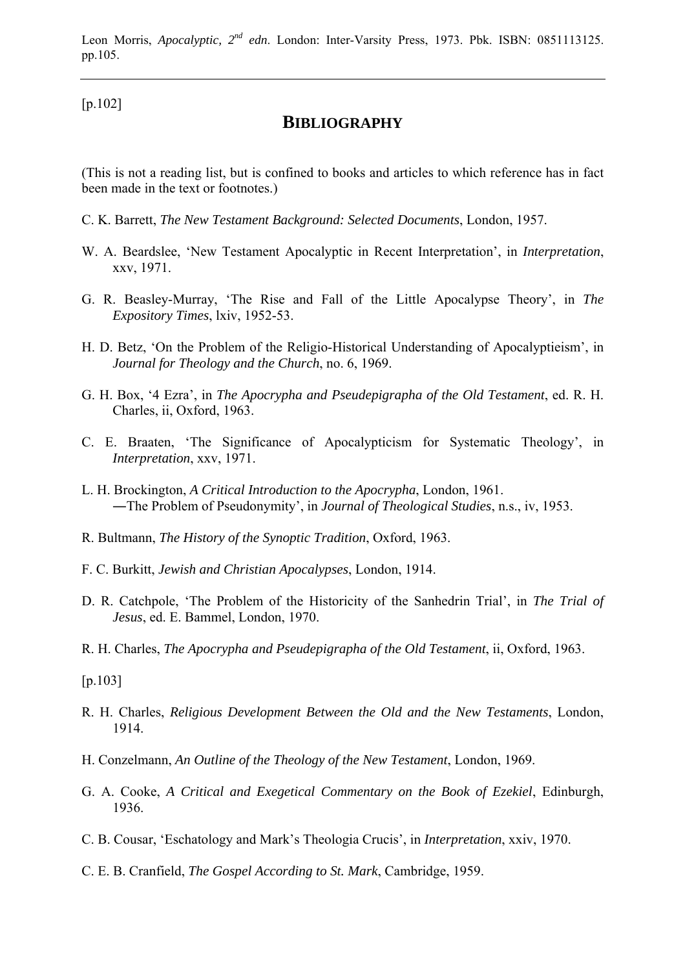[p.102]

#### **BIBLIOGRAPHY**

(This is not a reading list, but is confined to books and articles to which reference has in fact been made in the text or footnotes.)

- C. K. Barrett, *The New Testament Background: Selected Documents*, London, 1957.
- W. A. Beardslee, 'New Testament Apocalyptic in Recent Interpretation', in *Interpretation*, xxv, 1971.
- G. R. Beasley-Murray, 'The Rise and Fall of the Little Apocalypse Theory', in *The Expository Times*, lxiv, 1952-53.
- H. D. Betz, 'On the Problem of the Religio-Historical Understanding of Apocalyptieism', in *Journal for Theology and the Church*, no. 6, 1969.
- G. H. Box, '4 Ezra', in *The Apocrypha and Pseudepigrapha of the Old Testament*, ed. R. H. Charles, ii, Oxford, 1963.
- C. E. Braaten, 'The Significance of Apocalypticism for Systematic Theology', in *Interpretation*, xxv, 1971.
- L. H. Brockington, *A Critical Introduction to the Apocrypha*, London, 1961. ―The Problem of Pseudonymity', in *Journal of Theological Studies*, n.s., iv, 1953.
- R. Bultmann, *The History of the Synoptic Tradition*, Oxford, 1963.
- F. C. Burkitt, *Jewish and Christian Apocalypses*, London, 1914.
- D. R. Catchpole, 'The Problem of the Historicity of the Sanhedrin Trial', in *The Trial of Jesus*, ed. E. Bammel, London, 1970.
- R. H. Charles, *The Apocrypha and Pseudepigrapha of the Old Testament*, ii, Oxford, 1963.
- [p.103]
- R. H. Charles, *Religious Development Between the Old and the New Testaments*, London, 1914.
- H. Conzelmann, *An Outline of the Theology of the New Testament*, London, 1969.
- G. A. Cooke, *A Critical and Exegetical Commentary on the Book of Ezekiel*, Edinburgh, 1936.
- C. B. Cousar, 'Eschatology and Mark's Theologia Crucis', in *Interpretation*, xxiv, 1970.
- C. E. B. Cranfield, *The Gospel According to St. Mark*, Cambridge, 1959.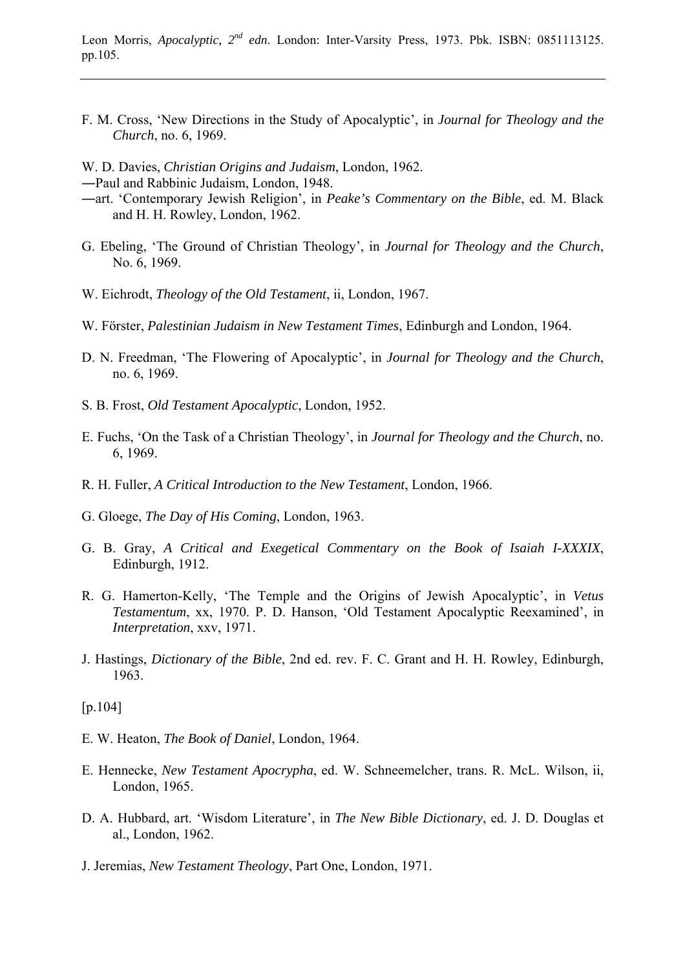- F. M. Cross, 'New Directions in the Study of Apocalyptic', in *Journal for Theology and the Church*, no. 6, 1969.
- W. D. Davies, *Christian Origins and Judaism*, London, 1962.
- ―Paul and Rabbinic Judaism, London, 1948.
- ―art. 'Contemporary Jewish Religion', in *Peake's Commentary on the Bible*, ed. M. Black and H. H. Rowley, London, 1962.
- G. Ebeling, 'The Ground of Christian Theology', in *Journal for Theology and the Church*, No. 6, 1969.
- W. Eichrodt, *Theology of the Old Testament*, ii, London, 1967.
- W. Förster, *Palestinian Judaism in New Testament Times*, Edinburgh and London, 1964.
- D. N. Freedman, 'The Flowering of Apocalyptic', in *Journal for Theology and the Church*, no. 6, 1969.
- S. B. Frost, *Old Testament Apocalyptic*, London, 1952.
- E. Fuchs, 'On the Task of a Christian Theology', in *Journal for Theology and the Church*, no. 6, 1969.
- R. H. Fuller, *A Critical Introduction to the New Testament*, London, 1966.
- G. Gloege, *The Day of His Coming*, London, 1963.
- G. B. Gray, *A Critical and Exegetical Commentary on the Book of Isaiah I-XXXIX*, Edinburgh, 1912.
- R. G. Hamerton-Kelly, 'The Temple and the Origins of Jewish Apocalyptic', in *Vetus Testamentum*, xx, 1970. P. D. Hanson, 'Old Testament Apocalyptic Reexamined', in *Interpretation*, xxv, 1971.
- J. Hastings, *Dictionary of the Bible*, 2nd ed. rev. F. C. Grant and H. H. Rowley, Edinburgh, 1963.

[p.104]

- E. W. Heaton, *The Book of Daniel*, London, 1964.
- E. Hennecke, *New Testament Apocrypha*, ed. W. Schneemelcher, trans. R. McL. Wilson, ii, London, 1965.
- D. A. Hubbard, art. 'Wisdom Literature', in *The New Bible Dictionary*, ed. J. D. Douglas et al., London, 1962.
- J. Jeremias, *New Testament Theology*, Part One, London, 1971.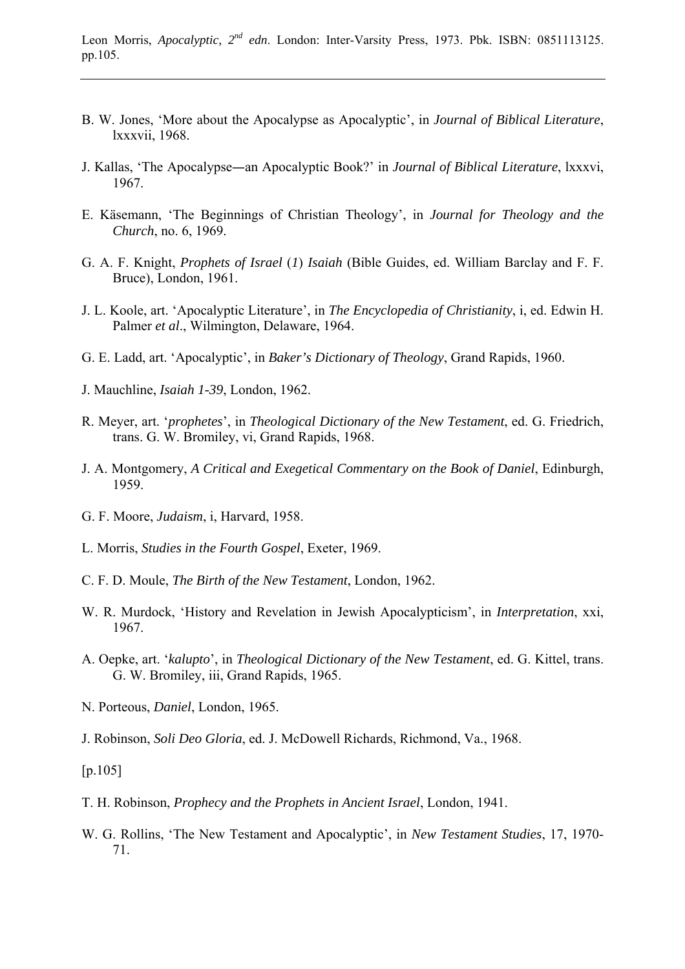- B. W. Jones, 'More about the Apocalypse as Apocalyptic', in *Journal of Biblical Literature*, lxxxvii, 1968.
- J. Kallas, 'The Apocalypse―an Apocalyptic Book?' in *Journal of Biblical Literature*, lxxxvi, 1967.
- E. Käsemann, 'The Beginnings of Christian Theology', in *Journal for Theology and the Church*, no. 6, 1969.
- G. A. F. Knight, *Prophets of Israel* (*1*) *Isaiah* (Bible Guides, ed. William Barclay and F. F. Bruce), London, 1961.
- J. L. Koole, art. 'Apocalyptic Literature', in *The Encyclopedia of Christianity*, i, ed. Edwin H. Palmer *et al*., Wilmington, Delaware, 1964.
- G. E. Ladd, art. 'Apocalyptic', in *Baker's Dictionary of Theology*, Grand Rapids, 1960.
- J. Mauchline, *Isaiah 1-39*, London, 1962.
- R. Meyer, art. '*prophetes*', in *Theological Dictionary of the New Testament*, ed. G. Friedrich, trans. G. W. Bromiley, vi, Grand Rapids, 1968.
- J. A. Montgomery, *A Critical and Exegetical Commentary on the Book of Daniel*, Edinburgh, 1959.
- G. F. Moore, *Judaism*, i, Harvard, 1958.
- L. Morris, *Studies in the Fourth Gospel*, Exeter, 1969.
- C. F. D. Moule, *The Birth of the New Testament*, London, 1962.
- W. R. Murdock, 'History and Revelation in Jewish Apocalypticism', in *Interpretation*, xxi, 1967.
- A. Oepke, art. '*kalupto*', in *Theological Dictionary of the New Testament*, ed. G. Kittel, trans. G. W. Bromiley, iii, Grand Rapids, 1965.
- N. Porteous, *Daniel*, London, 1965.
- J. Robinson, *Soli Deo Gloria*, ed. J. McDowell Richards, Richmond, Va., 1968.

[p.105]

- T. H. Robinson, *Prophecy and the Prophets in Ancient Israel*, London, 1941.
- W. G. Rollins, 'The New Testament and Apocalyptic', in *New Testament Studies*, 17, 1970- 71.